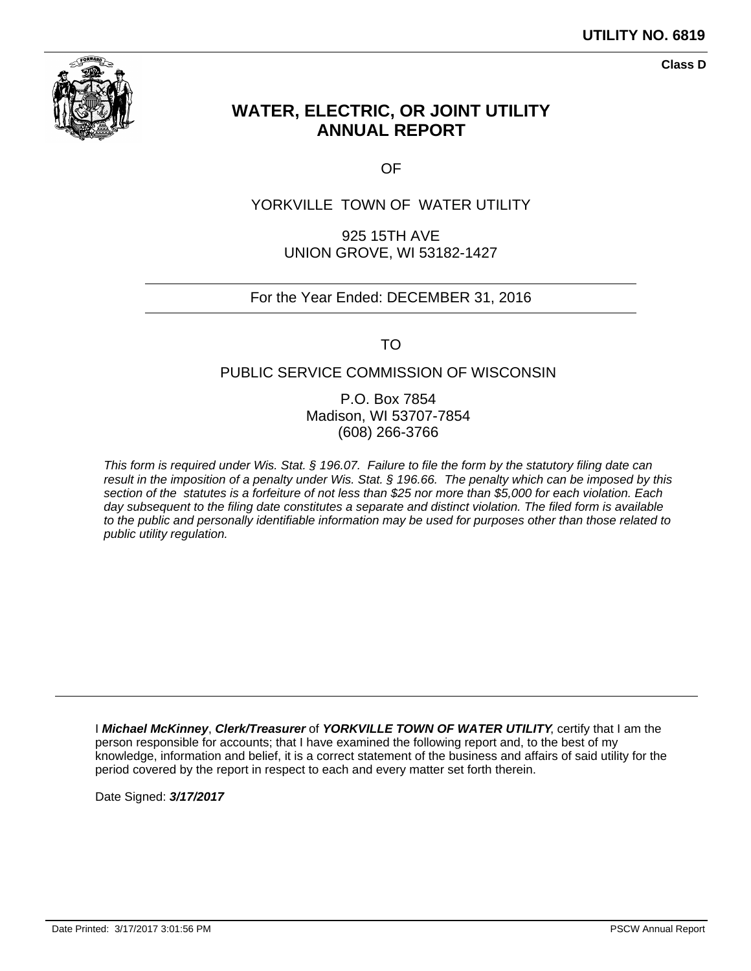

**Class D**

# **WATER, ELECTRIC, OR JOINT UTILITY ANNUAL REPORT**

OF

# YORKVILLE TOWN OF WATER UTILITY

925 15TH AVE UNION GROVE, WI 53182-1427

# For the Year Ended: DECEMBER 31, 2016

TO

# PUBLIC SERVICE COMMISSION OF WISCONSIN

P.O. Box 7854 Madison, WI 53707-7854 (608) 266-3766

This form is required under Wis. Stat. § 196.07. Failure to file the form by the statutory filing date can result in the imposition of a penalty under Wis. Stat. § 196.66. The penalty which can be imposed by this section of the statutes is a forfeiture of not less than \$25 nor more than \$5,000 for each violation. Each day subsequent to the filing date constitutes a separate and distinct violation. The filed form is available to the public and personally identifiable information may be used for purposes other than those related to public utility regulation.

I **Michael McKinney**, **Clerk/Treasurer** of **YORKVILLE TOWN OF WATER UTILITY**, certify that I am the person responsible for accounts; that I have examined the following report and, to the best of my knowledge, information and belief, it is a correct statement of the business and affairs of said utility for the period covered by the report in respect to each and every matter set forth therein.

Date Signed: **3/17/2017**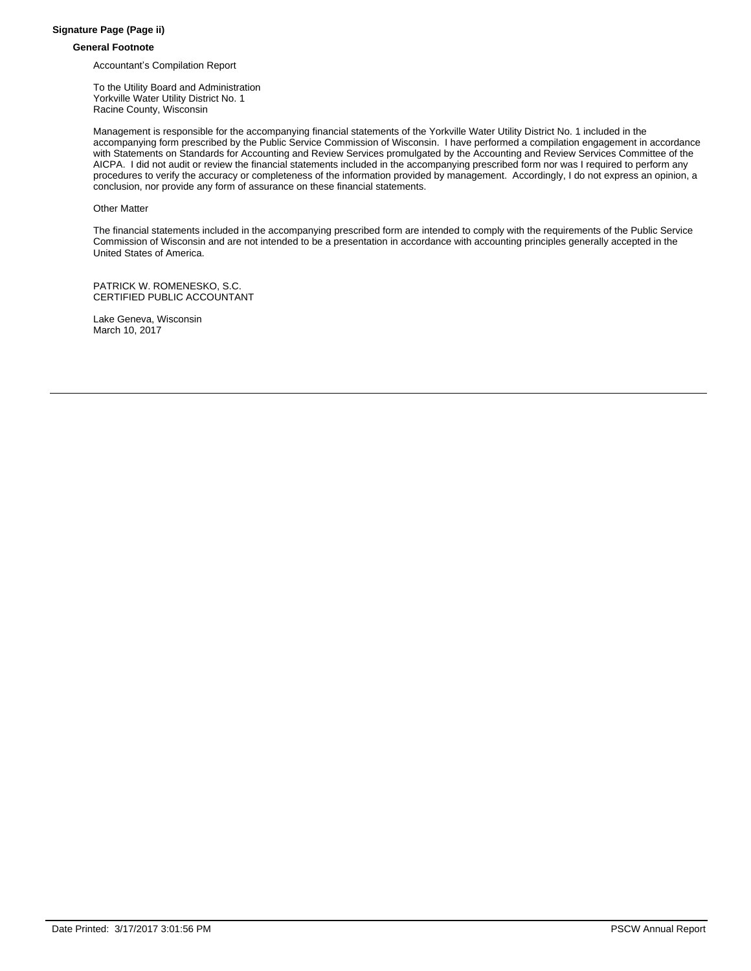#### **Signature Page (Page ii)**

#### **General Footnote**

Accountant's Compilation Report

To the Utility Board and Administration Yorkville Water Utility District No. 1 Racine County, Wisconsin

Management is responsible for the accompanying financial statements of the Yorkville Water Utility District No. 1 included in the accompanying form prescribed by the Public Service Commission of Wisconsin. I have performed a compilation engagement in accordance with Statements on Standards for Accounting and Review Services promulgated by the Accounting and Review Services Committee of the AICPA. I did not audit or review the financial statements included in the accompanying prescribed form nor was I required to perform any procedures to verify the accuracy or completeness of the information provided by management. Accordingly, I do not express an opinion, a conclusion, nor provide any form of assurance on these financial statements.

#### Other Matter

The financial statements included in the accompanying prescribed form are intended to comply with the requirements of the Public Service Commission of Wisconsin and are not intended to be a presentation in accordance with accounting principles generally accepted in the United States of America.

PATRICK W. ROMENESKO, S.C. CERTIFIED PUBLIC ACCOUNTANT

Lake Geneva, Wisconsin March 10, 2017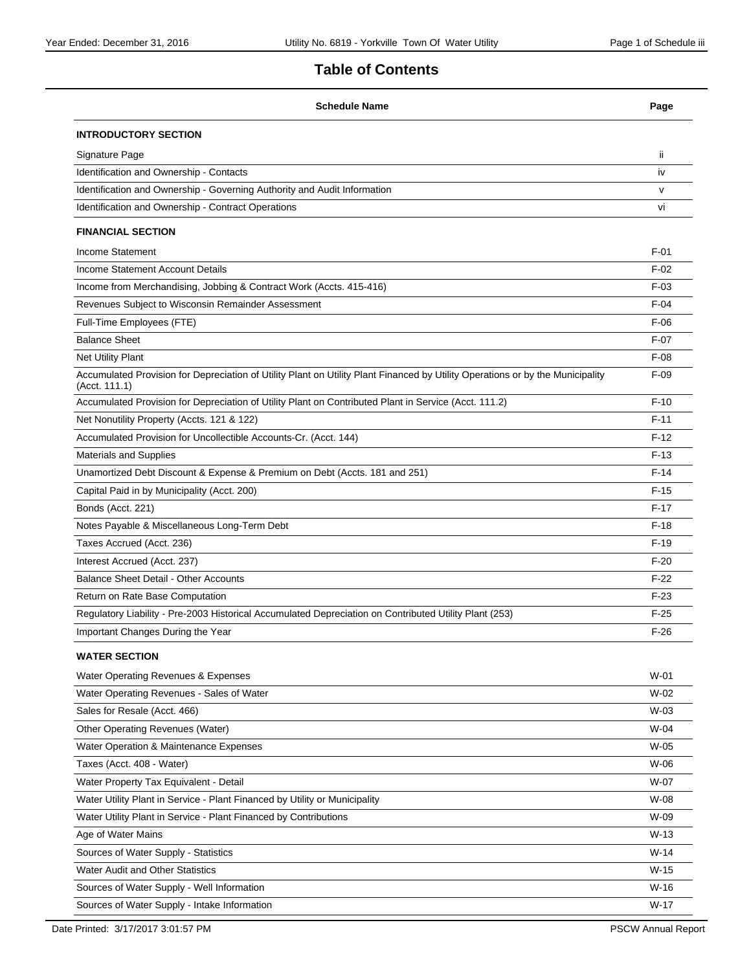# **Table of Contents**

| <b>Schedule Name</b>                                                                                                                            | Page         |
|-------------------------------------------------------------------------------------------------------------------------------------------------|--------------|
| <b>INTRODUCTORY SECTION</b>                                                                                                                     |              |
| Signature Page                                                                                                                                  | ii.          |
| Identification and Ownership - Contacts                                                                                                         | iv           |
| Identification and Ownership - Governing Authority and Audit Information                                                                        | $\mathsf{V}$ |
| Identification and Ownership - Contract Operations                                                                                              | vi           |
| <b>FINANCIAL SECTION</b>                                                                                                                        |              |
| Income Statement                                                                                                                                | $F-01$       |
| Income Statement Account Details                                                                                                                | $F-02$       |
| Income from Merchandising, Jobbing & Contract Work (Accts. 415-416)                                                                             | $F-03$       |
| Revenues Subject to Wisconsin Remainder Assessment                                                                                              | $F-04$       |
| Full-Time Employees (FTE)                                                                                                                       | $F-06$       |
| <b>Balance Sheet</b>                                                                                                                            | $F-07$       |
| Net Utility Plant                                                                                                                               | $F-08$       |
| Accumulated Provision for Depreciation of Utility Plant on Utility Plant Financed by Utility Operations or by the Municipality<br>(Acct. 111.1) | $F-09$       |
| Accumulated Provision for Depreciation of Utility Plant on Contributed Plant in Service (Acct. 111.2)                                           | $F-10$       |
| Net Nonutility Property (Accts. 121 & 122)                                                                                                      | $F-11$       |
| Accumulated Provision for Uncollectible Accounts-Cr. (Acct. 144)                                                                                | $F-12$       |
| <b>Materials and Supplies</b>                                                                                                                   | $F-13$       |
| Unamortized Debt Discount & Expense & Premium on Debt (Accts. 181 and 251)                                                                      | $F-14$       |
| Capital Paid in by Municipality (Acct. 200)                                                                                                     | $F-15$       |
| Bonds (Acct. 221)                                                                                                                               | $F-17$       |
| Notes Payable & Miscellaneous Long-Term Debt                                                                                                    | $F-18$       |
| Taxes Accrued (Acct. 236)                                                                                                                       | $F-19$       |
| Interest Accrued (Acct. 237)                                                                                                                    | $F-20$       |
| Balance Sheet Detail - Other Accounts                                                                                                           | $F-22$       |
| Return on Rate Base Computation                                                                                                                 | $F-23$       |
| Regulatory Liability - Pre-2003 Historical Accumulated Depreciation on Contributed Utility Plant (253)                                          | $F-25$       |
| Important Changes During the Year                                                                                                               | $F-26$       |
| <b>WATER SECTION</b>                                                                                                                            |              |
| Water Operating Revenues & Expenses                                                                                                             | $W-01$       |
| Water Operating Revenues - Sales of Water                                                                                                       | W-02         |
| Sales for Resale (Acct. 466)                                                                                                                    | W-03         |
| Other Operating Revenues (Water)                                                                                                                | W-04         |
| Water Operation & Maintenance Expenses                                                                                                          | W-05         |
| Taxes (Acct. 408 - Water)                                                                                                                       | W-06         |
| Water Property Tax Equivalent - Detail                                                                                                          | W-07         |
| Water Utility Plant in Service - Plant Financed by Utility or Municipality                                                                      | W-08         |
| Water Utility Plant in Service - Plant Financed by Contributions                                                                                | W-09         |
| Age of Water Mains                                                                                                                              | $W-13$       |
| Sources of Water Supply - Statistics                                                                                                            | $W-14$       |
| Water Audit and Other Statistics                                                                                                                | $W-15$       |
| Sources of Water Supply - Well Information                                                                                                      | $W-16$       |
| Sources of Water Supply - Intake Information                                                                                                    | $W-17$       |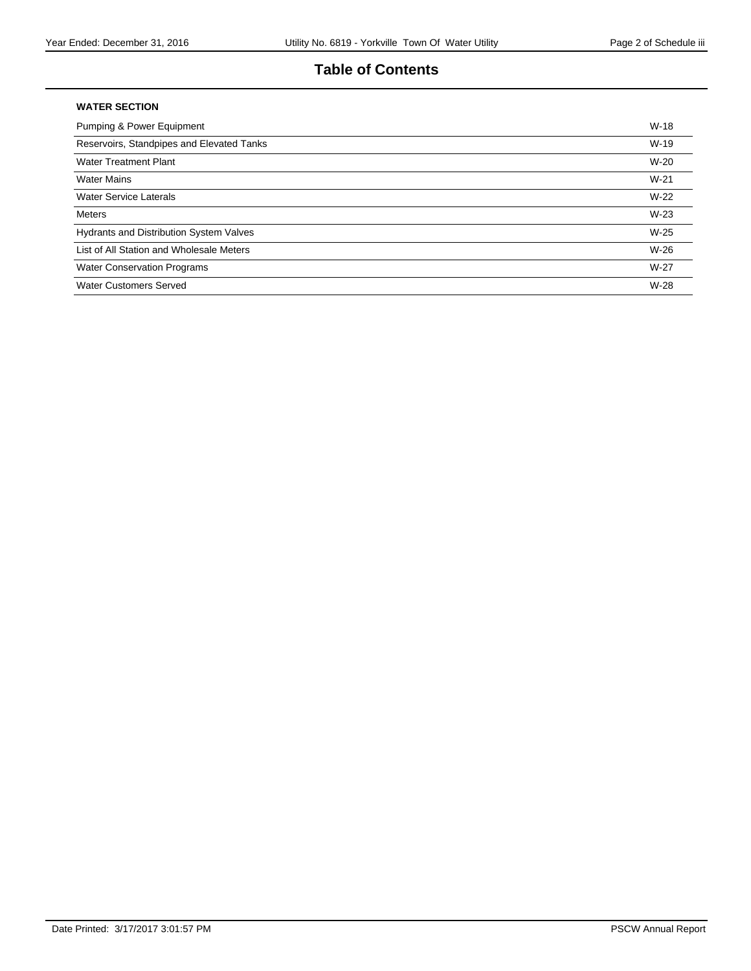# **Table of Contents**

#### **WATER SECTION**

| Pumping & Power Equipment                 | $W-18$ |
|-------------------------------------------|--------|
| Reservoirs, Standpipes and Elevated Tanks | $W-19$ |
| <b>Water Treatment Plant</b>              | $W-20$ |
| <b>Water Mains</b>                        | $W-21$ |
| <b>Water Service Laterals</b>             | $W-22$ |
| <b>Meters</b>                             | $W-23$ |
| Hydrants and Distribution System Valves   | $W-25$ |
| List of All Station and Wholesale Meters  | $W-26$ |
| <b>Water Conservation Programs</b>        | $W-27$ |
| Water Customers Served                    | $W-28$ |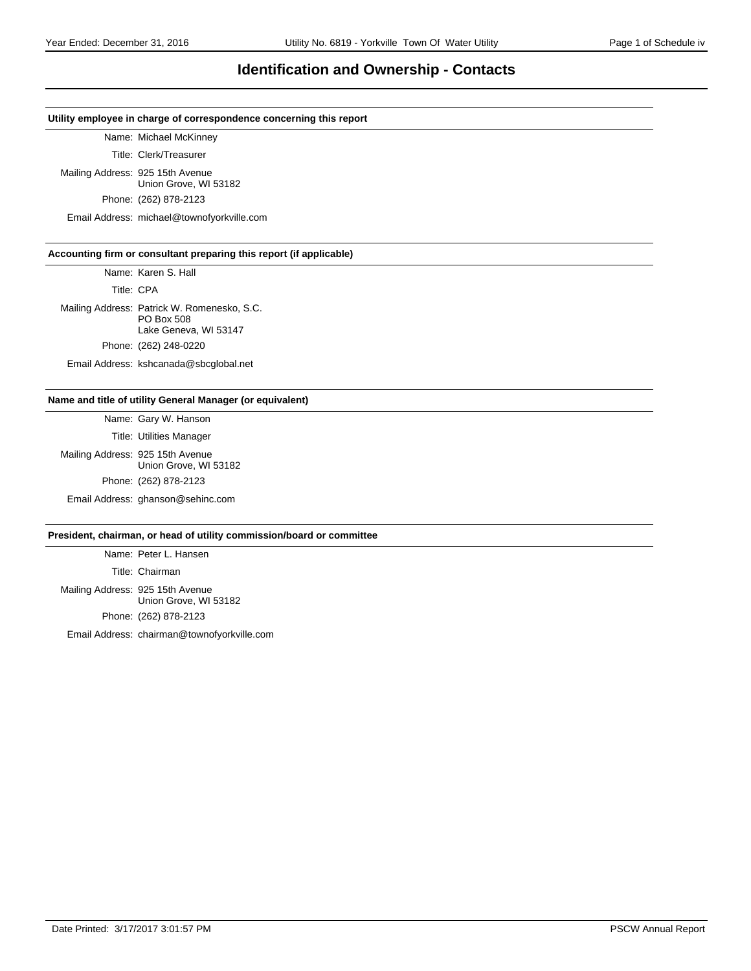### **Identification and Ownership - Contacts**

#### **Utility employee in charge of correspondence concerning this report**

Name: Michael McKinney

Title: Clerk/Treasurer

Mailing Address: 925 15th Avenue Union Grove, WI 53182

Phone: (262) 878-2123

Email Address: michael@townofyorkville.com

#### **Accounting firm or consultant preparing this report (if applicable)**

Name: Karen S. Hall

Title: CPA

Mailing Address: Patrick W. Romenesko, S.C. PO Box 508 Lake Geneva, WI 53147 Phone: (262) 248-0220 Email Address: kshcanada@sbcglobal.net

# **Name and title of utility General Manager (or equivalent)**

Name: Gary W. Hanson Title: Utilities Manager Mailing Address: 925 15th Avenue Union Grove, WI 53182 Phone: (262) 878-2123 Email Address: ghanson@sehinc.com

#### **President, chairman, or head of utility commission/board or committee**

Name: Peter L. Hansen Title: Chairman Mailing Address: 925 15th Avenue Union Grove, WI 53182 Phone: (262) 878-2123

Email Address: chairman@townofyorkville.com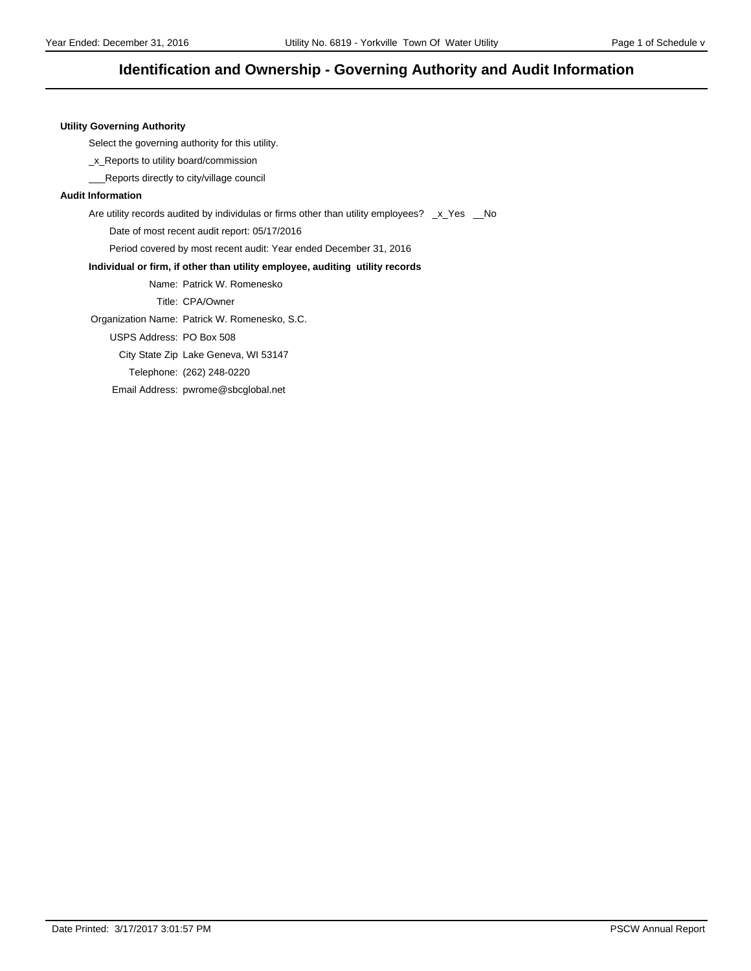# **Identification and Ownership - Governing Authority and Audit Information**

#### **Utility Governing Authority**

Select the governing authority for this utility.

\_x\_Reports to utility board/commission

\_\_\_Reports directly to city/village council

#### **Audit Information**

Are utility records audited by individulas or firms other than utility employees? \_x\_Yes \_No

Date of most recent audit report: 05/17/2016

Period covered by most recent audit: Year ended December 31, 2016

#### **Individual or firm, if other than utility employee, auditing utility records**

Name: Patrick W. Romenesko

Title: CPA/Owner

Organization Name: Patrick W. Romenesko, S.C.

USPS Address: PO Box 508

City State Zip Lake Geneva, WI 53147

Telephone: (262) 248-0220

Email Address: pwrome@sbcglobal.net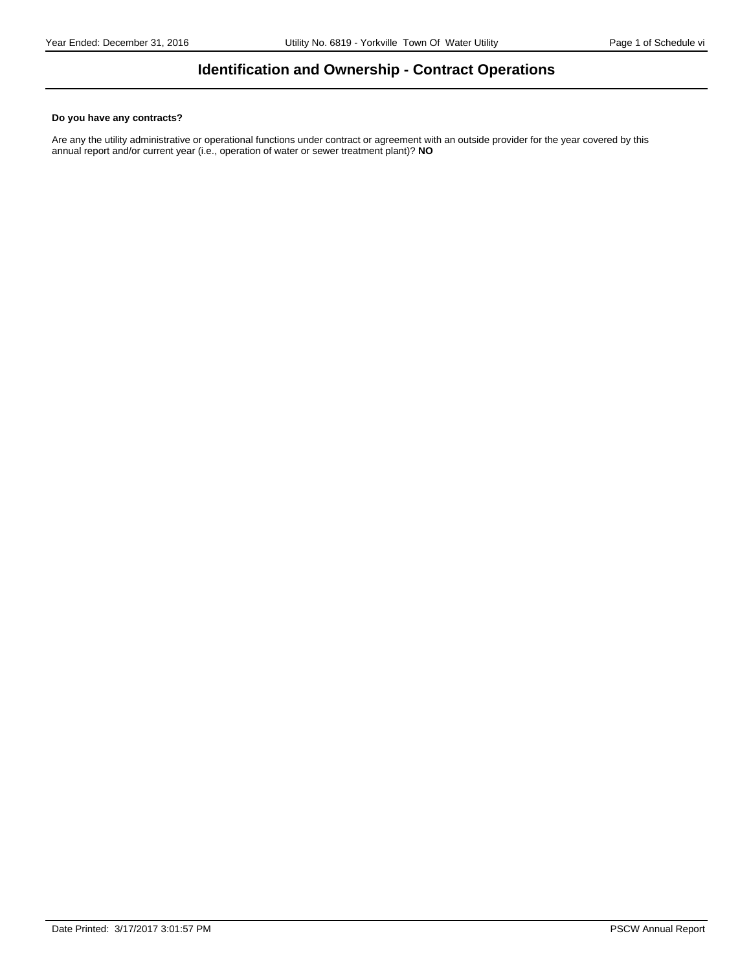# **Identification and Ownership - Contract Operations**

#### **Do you have any contracts?**

Are any the utility administrative or operational functions under contract or agreement with an outside provider for the year covered by this annual report and/or current year (i.e., operation of water or sewer treatment plant)? **NO**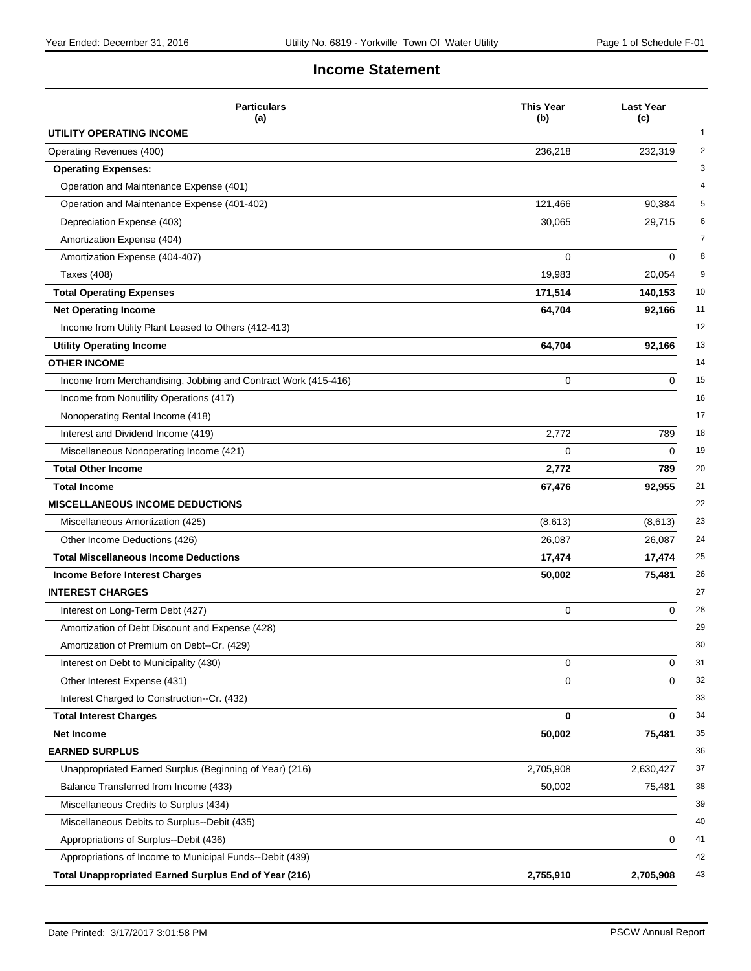# **Income Statement**

| <b>Particulars</b><br>(a)                                      | <b>This Year</b><br>(b) | <b>Last Year</b><br>(c) |
|----------------------------------------------------------------|-------------------------|-------------------------|
| UTILITY OPERATING INCOME                                       |                         |                         |
| Operating Revenues (400)                                       | 236,218                 | 232,319                 |
| <b>Operating Expenses:</b>                                     |                         |                         |
| Operation and Maintenance Expense (401)                        |                         |                         |
| Operation and Maintenance Expense (401-402)                    | 121,466                 | 90,384                  |
| Depreciation Expense (403)                                     | 30,065                  | 29,715                  |
| Amortization Expense (404)                                     |                         |                         |
| Amortization Expense (404-407)                                 | 0                       | 0                       |
| <b>Taxes (408)</b>                                             | 19,983                  | 20,054                  |
| <b>Total Operating Expenses</b>                                | 171,514                 | 140,153                 |
| <b>Net Operating Income</b>                                    | 64,704                  | 92,166                  |
| Income from Utility Plant Leased to Others (412-413)           |                         |                         |
| <b>Utility Operating Income</b>                                | 64,704                  | 92,166                  |
| <b>OTHER INCOME</b>                                            |                         |                         |
| Income from Merchandising, Jobbing and Contract Work (415-416) | 0                       | 0                       |
| Income from Nonutility Operations (417)                        |                         |                         |
| Nonoperating Rental Income (418)                               |                         |                         |
| Interest and Dividend Income (419)                             | 2,772                   | 789                     |
| Miscellaneous Nonoperating Income (421)                        | 0                       | 0                       |
| <b>Total Other Income</b>                                      | 2,772                   | 789                     |
| <b>Total Income</b>                                            | 67,476                  | 92,955                  |
| <b>MISCELLANEOUS INCOME DEDUCTIONS</b>                         |                         |                         |
| Miscellaneous Amortization (425)                               | (8,613)                 | (8,613)                 |
| Other Income Deductions (426)                                  | 26,087                  | 26,087                  |
| <b>Total Miscellaneous Income Deductions</b>                   | 17,474                  | 17,474                  |
| <b>Income Before Interest Charges</b>                          | 50,002                  | 75,481                  |
| <b>INTEREST CHARGES</b>                                        |                         |                         |
| Interest on Long-Term Debt (427)                               | 0                       | 0                       |
| Amortization of Debt Discount and Expense (428)                |                         |                         |
| Amortization of Premium on Debt--Cr. (429)                     |                         |                         |
| Interest on Debt to Municipality (430)                         | 0                       | 0                       |
| Other Interest Expense (431)                                   | 0                       | 0                       |
| Interest Charged to Construction--Cr. (432)                    |                         |                         |
| <b>Total Interest Charges</b>                                  | 0                       | 0                       |
| Net Income                                                     | 50,002                  | 75,481                  |
| <b>EARNED SURPLUS</b>                                          |                         |                         |
| Unappropriated Earned Surplus (Beginning of Year) (216)        | 2,705,908               | 2,630,427               |
| Balance Transferred from Income (433)                          | 50,002                  | 75,481                  |
| Miscellaneous Credits to Surplus (434)                         |                         |                         |
| Miscellaneous Debits to Surplus--Debit (435)                   |                         |                         |
| Appropriations of Surplus--Debit (436)                         |                         | 0                       |
| Appropriations of Income to Municipal Funds--Debit (439)       |                         |                         |
| <b>Total Unappropriated Earned Surplus End of Year (216)</b>   | 2,755,910               | 2,705,908               |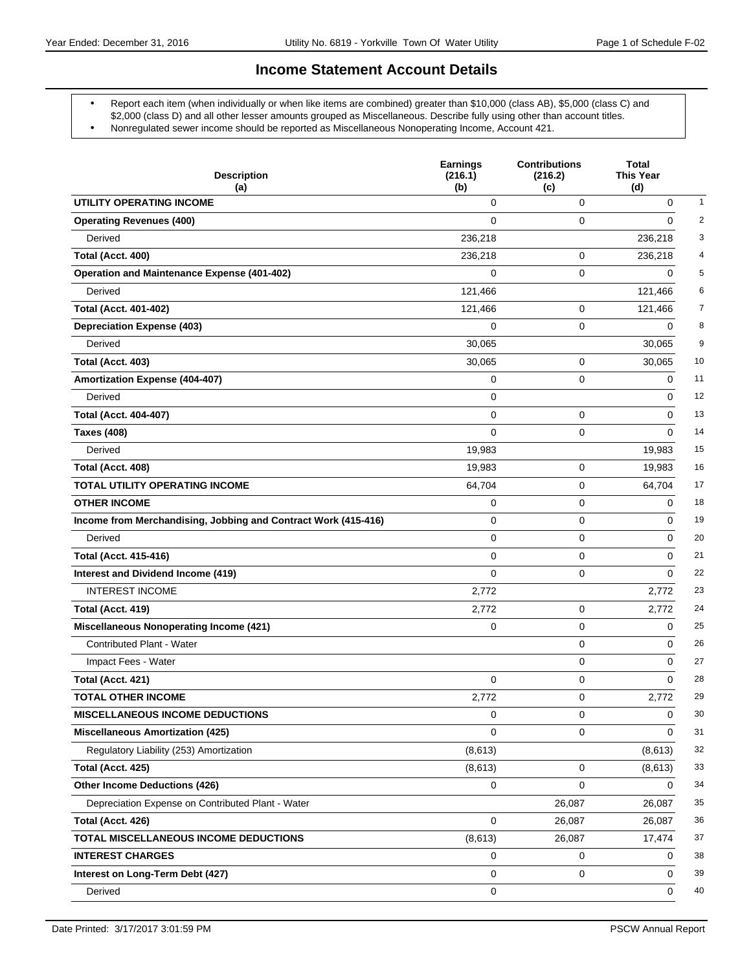### **Income Statement Account Details**

- Report each item (when individually or when like items are combined) greater than \$10,000 (class AB), \$5,000 (class C) and \$2,000 (class D) and all other lesser amounts grouped as Miscellaneous. Describe fully using other than account titles.
- Nonregulated sewer income should be reported as Miscellaneous Nonoperating Income, Account 421.

| <b>Description</b><br>(a)                                      | <b>Earnings</b><br>(216.1)<br>(b) | <b>Contributions</b><br>(216.2)<br>(c) | Total<br><b>This Year</b><br>(d) |                |
|----------------------------------------------------------------|-----------------------------------|----------------------------------------|----------------------------------|----------------|
| UTILITY OPERATING INCOME                                       | 0                                 | 0                                      | 0                                | 1              |
| <b>Operating Revenues (400)</b>                                | $\Omega$                          | 0                                      | 0                                | $\overline{c}$ |
| Derived                                                        | 236,218                           |                                        | 236,218                          | 3              |
| Total (Acct. 400)                                              | 236,218                           | 0                                      | 236,218                          | 4              |
| <b>Operation and Maintenance Expense (401-402)</b>             | 0                                 | 0                                      | 0                                | 5              |
| Derived                                                        | 121,466                           |                                        | 121,466                          | 6              |
| <b>Total (Acct. 401-402)</b>                                   | 121,466                           | 0                                      | 121,466                          | 7              |
| <b>Depreciation Expense (403)</b>                              | 0                                 | 0                                      | 0                                | 8              |
| Derived                                                        | 30,065                            |                                        | 30,065                           | 9              |
| Total (Acct. 403)                                              | 30,065                            | 0                                      | 30,065                           | 10             |
| Amortization Expense (404-407)                                 | 0                                 | 0                                      | 0                                | 11             |
| Derived                                                        | $\mathbf 0$                       |                                        | 0                                | 12             |
| <b>Total (Acct. 404-407)</b>                                   | $\mathbf 0$                       | 0                                      | 0                                | 13             |
| <b>Taxes (408)</b>                                             | $\mathbf 0$                       | 0                                      | $\Omega$                         | 14             |
| Derived                                                        | 19,983                            |                                        | 19,983                           | 15             |
| Total (Acct. 408)                                              | 19,983                            | 0                                      | 19,983                           | 16             |
| TOTAL UTILITY OPERATING INCOME                                 | 64,704                            | 0                                      | 64,704                           | 17             |
| <b>OTHER INCOME</b>                                            | 0                                 | 0                                      | 0                                | 18             |
| Income from Merchandising, Jobbing and Contract Work (415-416) | $\mathbf 0$                       | 0                                      | 0                                | 19             |
| Derived                                                        | $\mathbf 0$                       | 0                                      | 0                                | 20             |
| <b>Total (Acct. 415-416)</b>                                   | $\mathbf 0$                       | 0                                      | 0                                | 21             |
| Interest and Dividend Income (419)                             | $\Omega$                          | 0                                      | 0                                | 22             |
| <b>INTEREST INCOME</b>                                         | 2,772                             |                                        | 2,772                            | 23             |
| Total (Acct. 419)                                              | 2,772                             | 0                                      | 2,772                            | 24             |
| <b>Miscellaneous Nonoperating Income (421)</b>                 | 0                                 | 0                                      | 0                                | 25             |
| Contributed Plant - Water                                      |                                   | 0                                      | 0                                | 26             |
| Impact Fees - Water                                            |                                   | 0                                      | 0                                | 27             |
| Total (Acct. 421)                                              | 0                                 | 0                                      | 0                                | 28             |
| <b>TOTAL OTHER INCOME</b>                                      | 2,772                             | 0                                      | 2,772                            | 29             |
| <b>MISCELLANEOUS INCOME DEDUCTIONS</b>                         | 0                                 | 0                                      | 0                                | 30             |
| <b>Miscellaneous Amortization (425)</b>                        | 0                                 | 0                                      | 0                                | 31             |
| Regulatory Liability (253) Amortization                        | (8,613)                           |                                        | (8,613)                          | 32             |
| Total (Acct. 425)                                              | (8,613)                           | 0                                      | (8,613)                          | 33             |
| <b>Other Income Deductions (426)</b>                           | $\mathbf 0$                       | 0                                      | 0                                | 34             |
| Depreciation Expense on Contributed Plant - Water              |                                   | 26,087                                 | 26,087                           | 35             |
| Total (Acct. 426)                                              | 0                                 | 26,087                                 | 26,087                           | 36             |
| TOTAL MISCELLANEOUS INCOME DEDUCTIONS                          | (8,613)                           | 26,087                                 | 17,474                           | 37             |
| <b>INTEREST CHARGES</b>                                        | 0                                 | 0                                      | 0                                | 38             |
| Interest on Long-Term Debt (427)                               | 0                                 | 0                                      | 0                                | 39             |
| Derived                                                        | 0                                 |                                        | 0                                | 40             |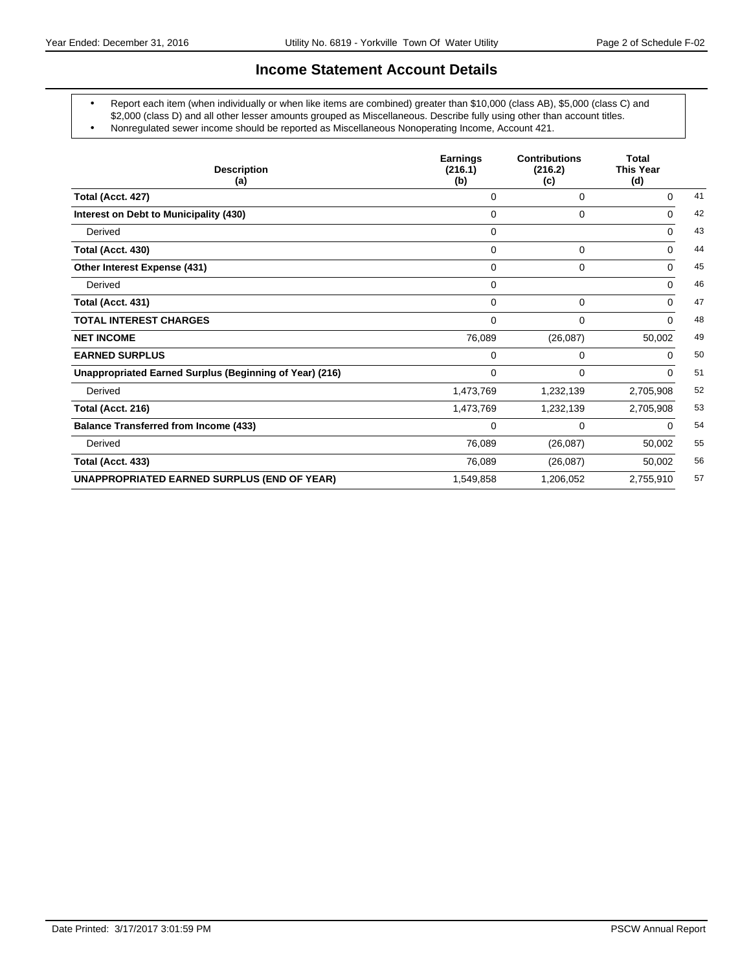### **Income Statement Account Details**

- Report each item (when individually or when like items are combined) greater than \$10,000 (class AB), \$5,000 (class C) and \$2,000 (class D) and all other lesser amounts grouped as Miscellaneous. Describe fully using other than account titles.
- Nonregulated sewer income should be reported as Miscellaneous Nonoperating Income, Account 421.

| <b>Description</b><br>(a)                               | <b>Earnings</b><br>(216.1)<br>(b) | <b>Contributions</b><br>(216.2)<br>(c) | <b>Total</b><br><b>This Year</b><br>(d) |    |
|---------------------------------------------------------|-----------------------------------|----------------------------------------|-----------------------------------------|----|
| Total (Acct. 427)                                       | $\Omega$                          | 0                                      | $\Omega$                                | 41 |
| Interest on Debt to Municipality (430)                  | 0                                 | 0                                      | 0                                       | 42 |
| Derived                                                 | 0                                 |                                        | $\Omega$                                | 43 |
| Total (Acct. 430)                                       | $\Omega$                          | 0                                      | $\Omega$                                | 44 |
| Other Interest Expense (431)                            | $\Omega$                          | 0                                      | $\Omega$                                | 45 |
| Derived                                                 | $\Omega$                          |                                        | $\Omega$                                | 46 |
| Total (Acct. 431)                                       | $\Omega$                          | 0                                      | $\Omega$                                | 47 |
| <b>TOTAL INTEREST CHARGES</b>                           | $\mathbf 0$                       | 0                                      | $\Omega$                                | 48 |
| <b>NET INCOME</b>                                       | 76,089                            | (26,087)                               | 50,002                                  | 49 |
| <b>EARNED SURPLUS</b>                                   | 0                                 | 0                                      | $\Omega$                                | 50 |
| Unappropriated Earned Surplus (Beginning of Year) (216) | 0                                 | 0                                      | $\Omega$                                | 51 |
| Derived                                                 | 1,473,769                         | 1,232,139                              | 2,705,908                               | 52 |
| Total (Acct. 216)                                       | 1,473,769                         | 1,232,139                              | 2,705,908                               | 53 |
| <b>Balance Transferred from Income (433)</b>            | $\mathbf 0$                       | 0                                      | 0                                       | 54 |
| Derived                                                 | 76,089                            | (26,087)                               | 50,002                                  | 55 |
| Total (Acct. 433)                                       | 76,089                            | (26,087)                               | 50,002                                  | 56 |
| <b>UNAPPROPRIATED EARNED SURPLUS (END OF YEAR)</b>      | 1,549,858                         | 1,206,052                              | 2,755,910                               | 57 |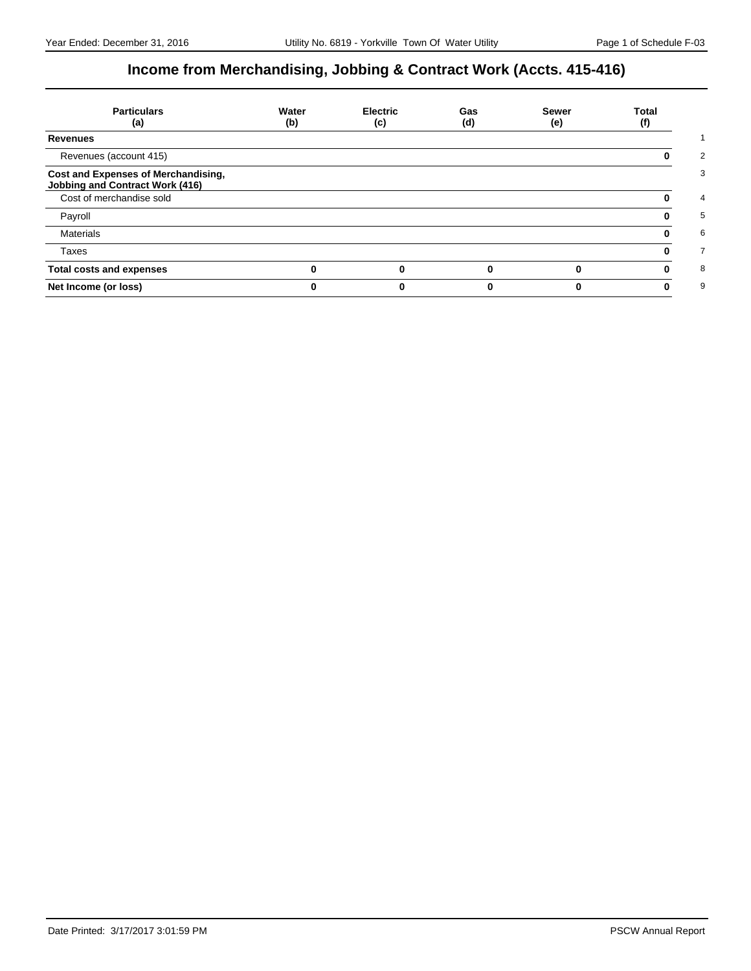# **Income from Merchandising, Jobbing & Contract Work (Accts. 415-416)**

| <b>Particulars</b><br>(a)                                                     | Water<br>(b) | <b>Electric</b><br>(c) | Gas<br>(d) | <b>Sewer</b><br>(e) | Total<br>(f) |
|-------------------------------------------------------------------------------|--------------|------------------------|------------|---------------------|--------------|
| <b>Revenues</b>                                                               |              |                        |            |                     |              |
| Revenues (account 415)                                                        |              |                        |            |                     |              |
| Cost and Expenses of Merchandising,<br><b>Jobbing and Contract Work (416)</b> |              |                        |            |                     |              |
| Cost of merchandise sold                                                      |              |                        |            |                     |              |
| Payroll                                                                       |              |                        |            |                     |              |
| <b>Materials</b>                                                              |              |                        |            |                     |              |
| Taxes                                                                         |              |                        |            |                     |              |
| <b>Total costs and expenses</b>                                               |              |                        |            |                     |              |
| Net Income (or loss)                                                          |              |                        |            |                     |              |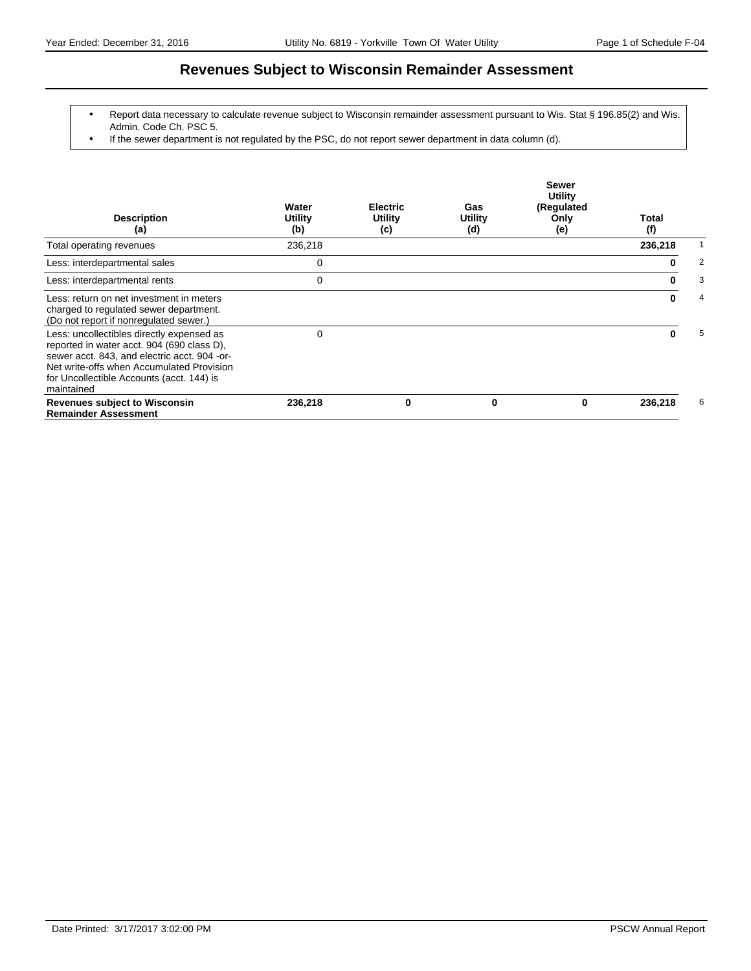# **Revenues Subject to Wisconsin Remainder Assessment**

- Report data necessary to calculate revenue subject to Wisconsin remainder assessment pursuant to Wis. Stat § 196.85(2) and Wis. Admin. Code Ch. PSC 5.
- If the sewer department is not regulated by the PSC, do not report sewer department in data column (d).

| <b>Description</b><br>(a)                                                                                                                                                                                                                       | Water<br>Utility<br>(b) | <b>Electric</b><br>Utility<br>(c) | Gas<br><b>Utility</b><br>(d) | <b>Sewer</b><br>Utility<br>(Regulated<br>Only<br>(e) | Total<br>(f) |   |
|-------------------------------------------------------------------------------------------------------------------------------------------------------------------------------------------------------------------------------------------------|-------------------------|-----------------------------------|------------------------------|------------------------------------------------------|--------------|---|
| Total operating revenues                                                                                                                                                                                                                        | 236,218                 |                                   |                              |                                                      | 236,218      |   |
| Less: interdepartmental sales                                                                                                                                                                                                                   | 0                       |                                   |                              |                                                      | 0            | 2 |
| Less: interdepartmental rents                                                                                                                                                                                                                   | 0                       |                                   |                              |                                                      |              | 3 |
| Less: return on net investment in meters<br>charged to regulated sewer department.<br>(Do not report if nonregulated sewer.)                                                                                                                    |                         |                                   |                              |                                                      | 0            | 4 |
| Less: uncollectibles directly expensed as<br>reported in water acct. 904 (690 class D),<br>sewer acct. 843, and electric acct. 904 -or-<br>Net write-offs when Accumulated Provision<br>for Uncollectible Accounts (acct. 144) is<br>maintained | 0                       |                                   |                              |                                                      | ŋ            | 5 |
| <b>Revenues subject to Wisconsin</b><br><b>Remainder Assessment</b>                                                                                                                                                                             | 236,218                 | 0                                 | 0                            | 0                                                    | 236,218      | 6 |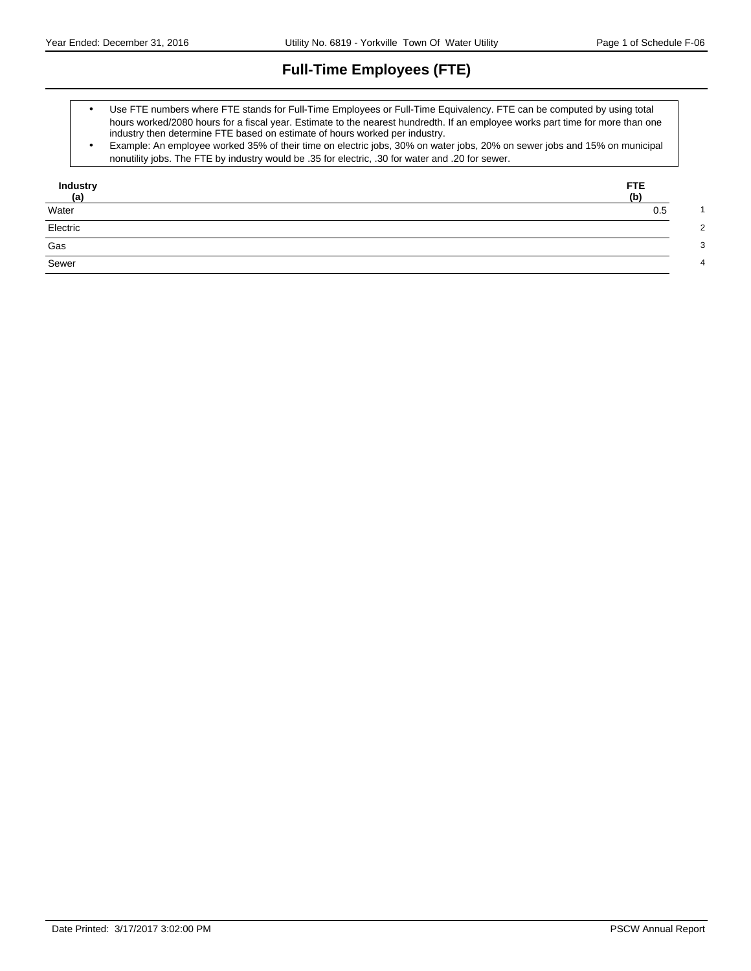# **Full-Time Employees (FTE)**

- Use FTE numbers where FTE stands for Full-Time Employees or Full-Time Equivalency. FTE can be computed by using total hours worked/2080 hours for a fiscal year. Estimate to the nearest hundredth. If an employee works part time for more than one industry then determine FTE based on estimate of hours worked per industry.
- Example: An employee worked 35% of their time on electric jobs, 30% on water jobs, 20% on sewer jobs and 15% on municipal nonutility jobs. The FTE by industry would be .35 for electric, .30 for water and .20 for sewer.

| Industry<br><u>(a)</u><br>Water | FTE.<br>(b) |
|---------------------------------|-------------|
|                                 | 0.5         |
| Electric                        |             |
| Gas                             |             |
| Sewer                           |             |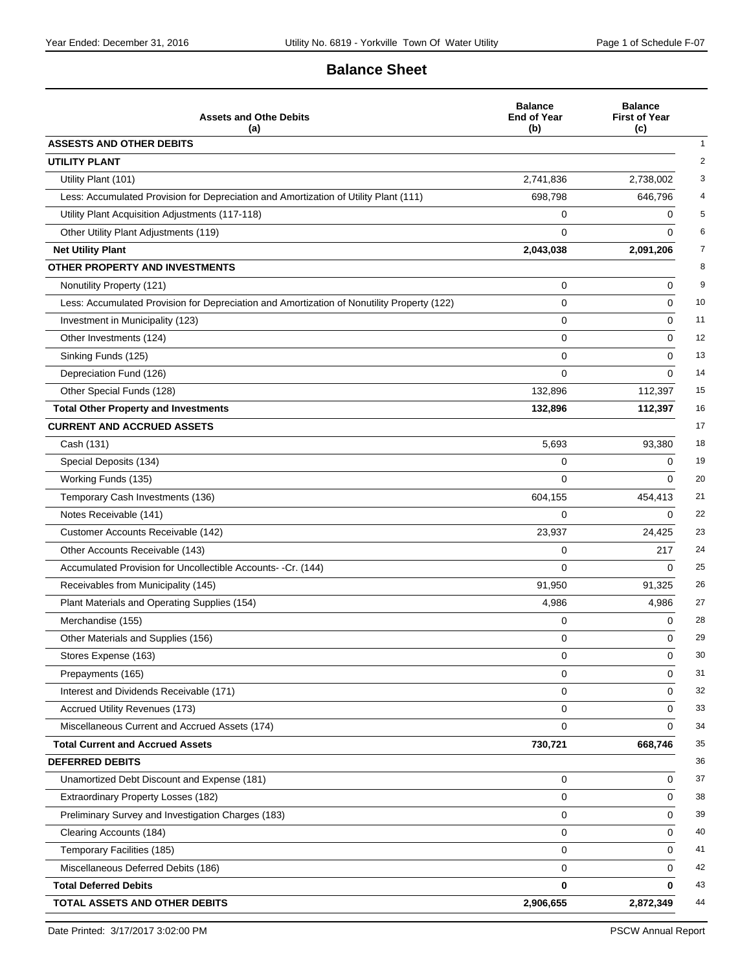# **Balance Sheet**

| <b>Assets and Othe Debits</b><br>(a)                                                       | <b>Balance</b><br><b>End of Year</b><br>(b) | <b>Balance</b><br><b>First of Year</b><br>(c) |
|--------------------------------------------------------------------------------------------|---------------------------------------------|-----------------------------------------------|
| <b>ASSESTS AND OTHER DEBITS</b>                                                            |                                             |                                               |
| <b>UTILITY PLANT</b>                                                                       |                                             |                                               |
| Utility Plant (101)                                                                        | 2,741,836                                   | 2,738,002                                     |
| Less: Accumulated Provision for Depreciation and Amortization of Utility Plant (111)       | 698,798                                     | 646,796                                       |
| Utility Plant Acquisition Adjustments (117-118)                                            | 0                                           | 0                                             |
| Other Utility Plant Adjustments (119)                                                      | $\Omega$                                    | $\Omega$                                      |
| <b>Net Utility Plant</b>                                                                   | 2,043,038                                   | 2,091,206                                     |
| OTHER PROPERTY AND INVESTMENTS                                                             |                                             |                                               |
| Nonutility Property (121)                                                                  | 0                                           | 0                                             |
| Less: Accumulated Provision for Depreciation and Amortization of Nonutility Property (122) | 0                                           | 0                                             |
| Investment in Municipality (123)                                                           | 0                                           | $\Omega$                                      |
| Other Investments (124)                                                                    | 0                                           | 0                                             |
| Sinking Funds (125)                                                                        | 0                                           | 0                                             |
| Depreciation Fund (126)                                                                    | $\Omega$                                    | $\Omega$                                      |
| Other Special Funds (128)                                                                  | 132,896                                     | 112,397                                       |
| <b>Total Other Property and Investments</b>                                                | 132,896                                     | 112,397                                       |
| <b>CURRENT AND ACCRUED ASSETS</b>                                                          |                                             |                                               |
| Cash (131)                                                                                 | 5,693                                       | 93.380                                        |
| Special Deposits (134)                                                                     | 0                                           | $\Omega$                                      |
| Working Funds (135)                                                                        | 0                                           | $\Omega$                                      |
| Temporary Cash Investments (136)                                                           | 604,155                                     | 454,413                                       |
| Notes Receivable (141)                                                                     | 0                                           | $\Omega$                                      |
| Customer Accounts Receivable (142)                                                         | 23,937                                      | 24,425                                        |
| Other Accounts Receivable (143)                                                            | 0                                           | 217                                           |
| Accumulated Provision for Uncollectible Accounts- -Cr. (144)                               | 0                                           | $\Omega$                                      |
| Receivables from Municipality (145)                                                        | 91,950                                      | 91,325                                        |
| Plant Materials and Operating Supplies (154)                                               | 4,986                                       | 4,986                                         |
| Merchandise (155)                                                                          | 0                                           | 0                                             |
| Other Materials and Supplies (156)                                                         | 0                                           | $\Omega$                                      |
| Stores Expense (163)                                                                       | 0                                           | 0                                             |
| Prepayments (165)                                                                          | 0                                           | 0                                             |
| Interest and Dividends Receivable (171)                                                    | 0                                           | 0                                             |
| Accrued Utility Revenues (173)                                                             | 0                                           | 0                                             |
| Miscellaneous Current and Accrued Assets (174)                                             | $\Omega$                                    | $\Omega$                                      |
| <b>Total Current and Accrued Assets</b>                                                    | 730,721                                     | 668,746                                       |
| <b>DEFERRED DEBITS</b>                                                                     |                                             |                                               |
| Unamortized Debt Discount and Expense (181)                                                | 0                                           | 0                                             |
| Extraordinary Property Losses (182)                                                        | 0                                           | 0                                             |
| Preliminary Survey and Investigation Charges (183)                                         | 0                                           | 0                                             |
| Clearing Accounts (184)                                                                    | 0                                           | $\Omega$                                      |
| Temporary Facilities (185)                                                                 | 0                                           | $\Omega$                                      |
| Miscellaneous Deferred Debits (186)                                                        | 0                                           | 0                                             |
| <b>Total Deferred Debits</b>                                                               | 0                                           | $\bf{0}$                                      |
| TOTAL ASSETS AND OTHER DEBITS                                                              | 2,906,655                                   | 2,872,349                                     |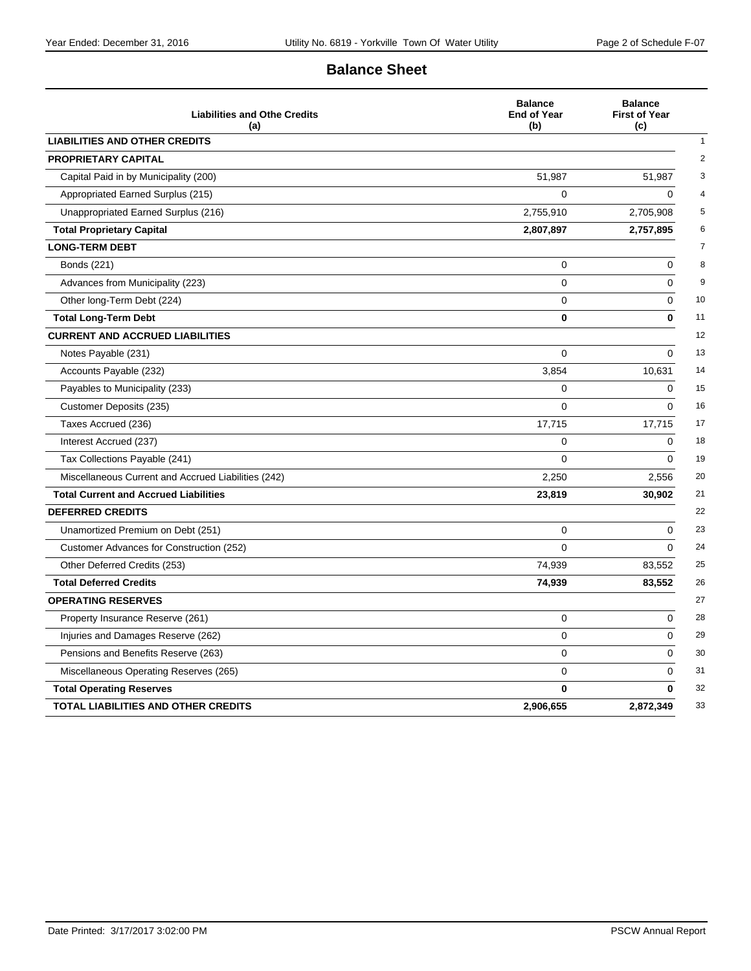# **Balance Sheet**

| <b>Liabilities and Othe Credits</b><br>(a)          | <b>Balance</b><br><b>End of Year</b><br>(b) | <b>Balance</b><br><b>First of Year</b><br>(c) |
|-----------------------------------------------------|---------------------------------------------|-----------------------------------------------|
| <b>LIABILITIES AND OTHER CREDITS</b>                |                                             |                                               |
| <b>PROPRIETARY CAPITAL</b>                          |                                             |                                               |
| Capital Paid in by Municipality (200)               | 51,987                                      | 51,987                                        |
| Appropriated Earned Surplus (215)                   | 0                                           | $\mathbf 0$                                   |
| Unappropriated Earned Surplus (216)                 | 2,755,910                                   | 2,705,908                                     |
| <b>Total Proprietary Capital</b>                    | 2,807,897                                   | 2,757,895                                     |
| <b>LONG-TERM DEBT</b>                               |                                             |                                               |
| Bonds (221)                                         | 0                                           | $\Omega$                                      |
| Advances from Municipality (223)                    | 0                                           | 0                                             |
| Other long-Term Debt (224)                          | 0                                           | $\Omega$                                      |
| <b>Total Long-Term Debt</b>                         | 0                                           | $\bf{0}$                                      |
| <b>CURRENT AND ACCRUED LIABILITIES</b>              |                                             |                                               |
| Notes Payable (231)                                 | 0                                           | 0                                             |
| Accounts Payable (232)                              | 3,854                                       | 10,631                                        |
| Payables to Municipality (233)                      | 0                                           | $\Omega$                                      |
| Customer Deposits (235)                             | $\Omega$                                    | $\Omega$                                      |
| Taxes Accrued (236)                                 | 17,715                                      | 17,715                                        |
| Interest Accrued (237)                              | 0                                           | $\mathbf 0$                                   |
| Tax Collections Payable (241)                       | 0                                           | $\Omega$                                      |
| Miscellaneous Current and Accrued Liabilities (242) | 2,250                                       | 2,556                                         |
| <b>Total Current and Accrued Liabilities</b>        | 23,819                                      | 30,902                                        |
| <b>DEFERRED CREDITS</b>                             |                                             |                                               |
| Unamortized Premium on Debt (251)                   | 0                                           | $\Omega$                                      |
| Customer Advances for Construction (252)            | $\Omega$                                    | $\Omega$                                      |
| Other Deferred Credits (253)                        | 74,939                                      | 83,552                                        |
| <b>Total Deferred Credits</b>                       | 74,939                                      | 83,552                                        |
| <b>OPERATING RESERVES</b>                           |                                             |                                               |
| Property Insurance Reserve (261)                    | 0                                           | $\Omega$                                      |
| Injuries and Damages Reserve (262)                  | 0                                           | $\Omega$                                      |
| Pensions and Benefits Reserve (263)                 | 0                                           | 0                                             |
| Miscellaneous Operating Reserves (265)              | 0                                           | $\Omega$                                      |
| <b>Total Operating Reserves</b>                     | $\mathbf{0}$                                | 0                                             |
| TOTAL LIABILITIES AND OTHER CREDITS                 | 2,906,655                                   | 2,872,349                                     |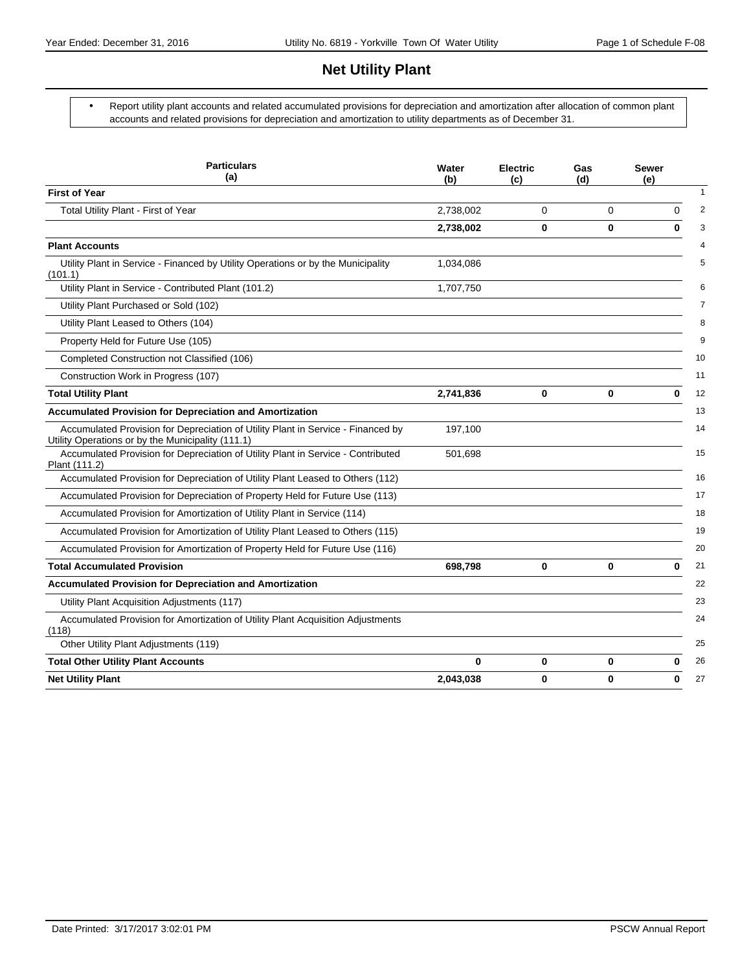# **Net Utility Plant**

 Report utility plant accounts and related accumulated provisions for depreciation and amortization after allocation of common plant accounts and related provisions for depreciation and amortization to utility departments as of December 31.

| <b>Particulars</b><br>(a)                                                                                                             | Water<br>(b) | <b>Electric</b><br>(c) | Gas<br>(d) | <b>Sewer</b><br>(e) |
|---------------------------------------------------------------------------------------------------------------------------------------|--------------|------------------------|------------|---------------------|
| <b>First of Year</b>                                                                                                                  |              |                        |            |                     |
| Total Utility Plant - First of Year                                                                                                   | 2,738,002    | 0                      | 0          | 0                   |
|                                                                                                                                       | 2,738,002    | 0                      | 0          | 0                   |
| <b>Plant Accounts</b>                                                                                                                 |              |                        |            |                     |
| Utility Plant in Service - Financed by Utility Operations or by the Municipality<br>(101.1)                                           | 1,034,086    |                        |            |                     |
| Utility Plant in Service - Contributed Plant (101.2)                                                                                  | 1,707,750    |                        |            |                     |
| Utility Plant Purchased or Sold (102)                                                                                                 |              |                        |            |                     |
| Utility Plant Leased to Others (104)                                                                                                  |              |                        |            |                     |
| Property Held for Future Use (105)                                                                                                    |              |                        |            |                     |
| Completed Construction not Classified (106)                                                                                           |              |                        |            |                     |
| Construction Work in Progress (107)                                                                                                   |              |                        |            |                     |
| <b>Total Utility Plant</b>                                                                                                            | 2,741,836    | 0                      | 0          | 0                   |
| <b>Accumulated Provision for Depreciation and Amortization</b>                                                                        |              |                        |            |                     |
| Accumulated Provision for Depreciation of Utility Plant in Service - Financed by<br>Utility Operations or by the Municipality (111.1) | 197,100      |                        |            |                     |
| Accumulated Provision for Depreciation of Utility Plant in Service - Contributed<br>Plant (111.2)                                     | 501,698      |                        |            |                     |
| Accumulated Provision for Depreciation of Utility Plant Leased to Others (112)                                                        |              |                        |            |                     |
| Accumulated Provision for Depreciation of Property Held for Future Use (113)                                                          |              |                        |            |                     |
| Accumulated Provision for Amortization of Utility Plant in Service (114)                                                              |              |                        |            |                     |
| Accumulated Provision for Amortization of Utility Plant Leased to Others (115)                                                        |              |                        |            |                     |
| Accumulated Provision for Amortization of Property Held for Future Use (116)                                                          |              |                        |            |                     |
| <b>Total Accumulated Provision</b>                                                                                                    | 698,798      | 0                      | 0          | $\bf{0}$            |
| <b>Accumulated Provision for Depreciation and Amortization</b>                                                                        |              |                        |            |                     |
| Utility Plant Acquisition Adjustments (117)                                                                                           |              |                        |            |                     |
| Accumulated Provision for Amortization of Utility Plant Acquisition Adjustments<br>(118)                                              |              |                        |            |                     |
| Other Utility Plant Adjustments (119)                                                                                                 |              |                        |            |                     |
| <b>Total Other Utility Plant Accounts</b>                                                                                             | 0            | 0                      | 0          | 0                   |
| <b>Net Utility Plant</b>                                                                                                              | 2,043,038    | 0                      | 0          | 0                   |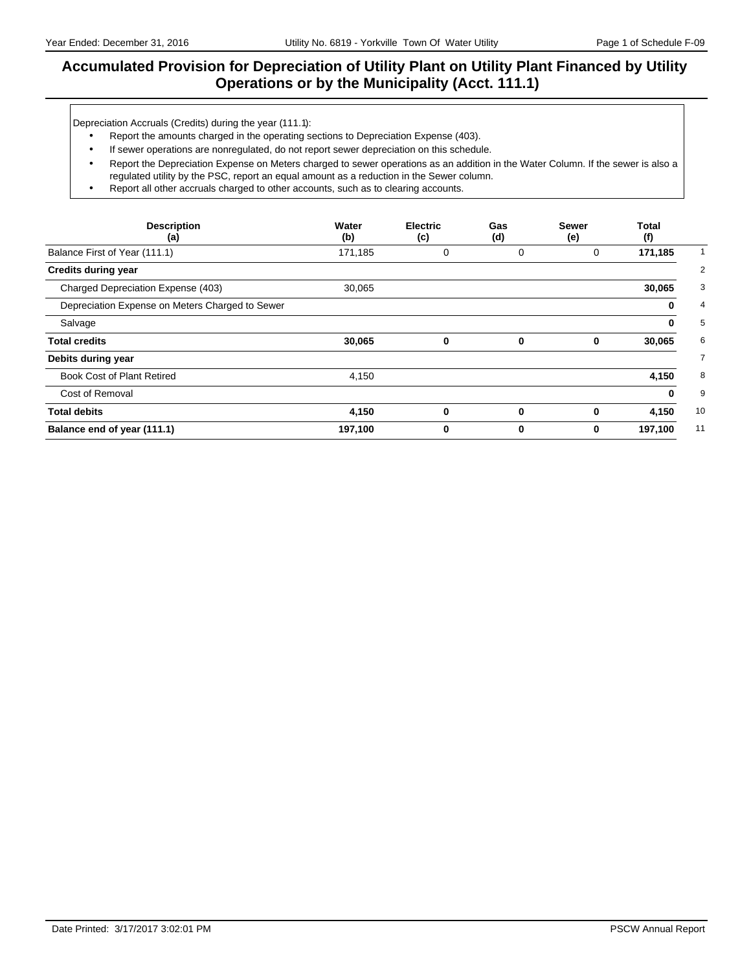# **Accumulated Provision for Depreciation of Utility Plant on Utility Plant Financed by Utility Operations or by the Municipality (Acct. 111.1)**

Depreciation Accruals (Credits) during the year (111.1):

- Report the amounts charged in the operating sections to Depreciation Expense (403).
- If sewer operations are nonregulated, do not report sewer depreciation on this schedule.
- Report the Depreciation Expense on Meters charged to sewer operations as an addition in the Water Column. If the sewer is also a regulated utility by the PSC, report an equal amount as a reduction in the Sewer column.
- Report all other accruals charged to other accounts, such as to clearing accounts.

| <b>Description</b><br>(a)                       | Water<br>(b) | <b>Electric</b><br>(c) | Gas<br>(d)  | <b>Sewer</b><br>(e) | Total<br>(f) |
|-------------------------------------------------|--------------|------------------------|-------------|---------------------|--------------|
| Balance First of Year (111.1)                   | 171,185      | 0                      | 0           | 0                   | 171,185      |
| <b>Credits during year</b>                      |              |                        |             |                     |              |
| Charged Depreciation Expense (403)              | 30,065       |                        |             |                     | 30,065       |
| Depreciation Expense on Meters Charged to Sewer |              |                        |             |                     | 0            |
| Salvage                                         |              |                        |             |                     | 0            |
| <b>Total credits</b>                            | 30,065       | 0                      | 0           | 0                   | 30,065       |
| Debits during year                              |              |                        |             |                     |              |
| <b>Book Cost of Plant Retired</b>               | 4,150        |                        |             |                     | 4,150        |
| Cost of Removal                                 |              |                        |             |                     | 0            |
| <b>Total debits</b>                             | 4,150        | 0                      | $\mathbf 0$ | 0                   | 4,150        |
| Balance end of year (111.1)                     | 197,100      | 0                      | 0           | 0                   | 197,100      |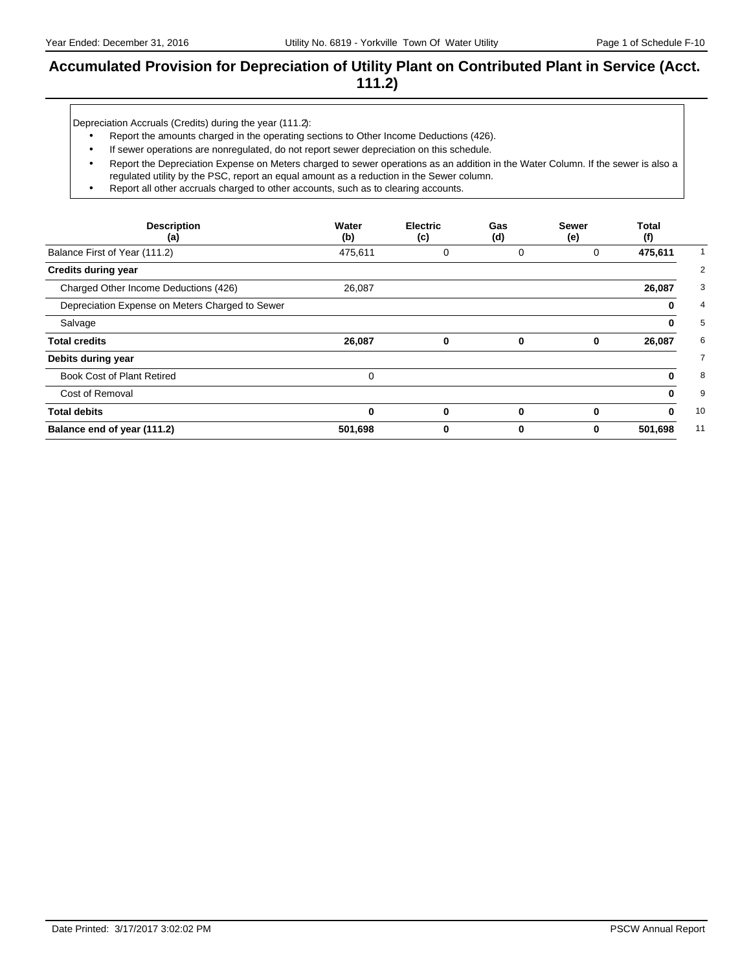# **Accumulated Provision for Depreciation of Utility Plant on Contributed Plant in Service (Acct. 111.2)**

Depreciation Accruals (Credits) during the year (111.2):

- Report the amounts charged in the operating sections to Other Income Deductions (426).
- If sewer operations are nonregulated, do not report sewer depreciation on this schedule.
- Report the Depreciation Expense on Meters charged to sewer operations as an addition in the Water Column. If the sewer is also a regulated utility by the PSC, report an equal amount as a reduction in the Sewer column.
- Report all other accruals charged to other accounts, such as to clearing accounts.

| <b>Description</b><br>(a)                       | Water<br>(b) | <b>Electric</b><br>(c) | Gas<br>(d)  | <b>Sewer</b><br>(e) | Total<br>(f) |                |
|-------------------------------------------------|--------------|------------------------|-------------|---------------------|--------------|----------------|
| Balance First of Year (111.2)                   | 475,611      | 0                      | 0           | 0                   | 475,611      |                |
| <b>Credits during year</b>                      |              |                        |             |                     |              | $\overline{2}$ |
| Charged Other Income Deductions (426)           | 26,087       |                        |             |                     | 26,087       | 3              |
| Depreciation Expense on Meters Charged to Sewer |              |                        |             |                     | 0            | 4              |
| Salvage                                         |              |                        |             |                     | 0            | 5              |
| <b>Total credits</b>                            | 26,087       | 0                      | 0           | 0                   | 26,087       | 6              |
| Debits during year                              |              |                        |             |                     |              | $\overline{7}$ |
| Book Cost of Plant Retired                      | $\Omega$     |                        |             |                     | 0            | 8              |
| Cost of Removal                                 |              |                        |             |                     | 0            | 9              |
| <b>Total debits</b>                             | $\bf{0}$     | $\bf{0}$               | $\mathbf 0$ | 0                   | 0            | 10             |
| Balance end of year (111.2)                     | 501,698      | 0                      | 0           | 0                   | 501,698      | 11             |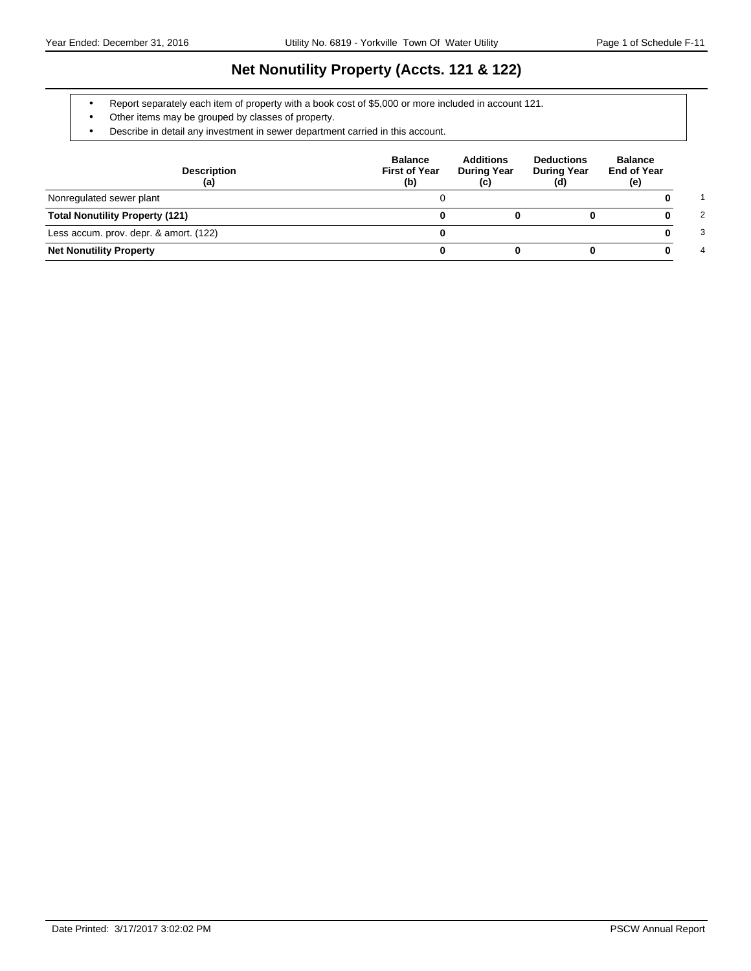# **Net Nonutility Property (Accts. 121 & 122)**

- Report separately each item of property with a book cost of \$5,000 or more included in account 121.
- Other items may be grouped by classes of property.
- Describe in detail any investment in sewer department carried in this account.

| <b>Description</b><br>(a)              | <b>Balance</b><br><b>First of Year</b><br>(b) | <b>Additions</b><br><b>During Year</b><br>(c) | <b>Deductions</b><br><b>During Year</b><br>(d) | <b>Balance</b><br><b>End of Year</b><br>(e) |
|----------------------------------------|-----------------------------------------------|-----------------------------------------------|------------------------------------------------|---------------------------------------------|
| Nonregulated sewer plant               |                                               |                                               |                                                |                                             |
| <b>Total Nonutility Property (121)</b> |                                               |                                               |                                                | 2                                           |
| Less accum. prov. depr. & amort. (122) |                                               |                                               |                                                | 3                                           |
| <b>Net Nonutility Property</b>         |                                               |                                               |                                                | 4                                           |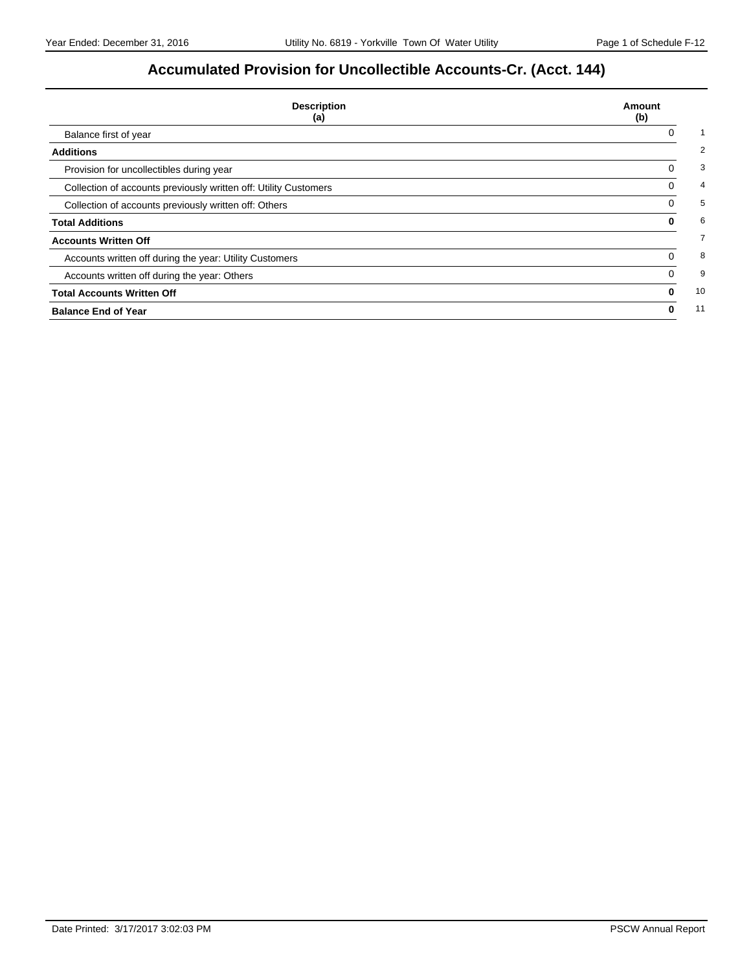# **Accumulated Provision for Uncollectible Accounts-Cr. (Acct. 144)**

| <b>Description</b><br>(a)                                        | Amount<br>(b) |
|------------------------------------------------------------------|---------------|
| Balance first of year                                            | 0             |
| <b>Additions</b>                                                 |               |
| Provision for uncollectibles during year                         | 0             |
| Collection of accounts previously written off: Utility Customers | 0             |
| Collection of accounts previously written off: Others            |               |
| <b>Total Additions</b>                                           | 0             |
| <b>Accounts Written Off</b>                                      |               |
| Accounts written off during the year: Utility Customers          | 0             |
| Accounts written off during the year: Others                     | 0             |
| <b>Total Accounts Written Off</b>                                | $\bf{0}$      |
| <b>Balance End of Year</b>                                       | 0             |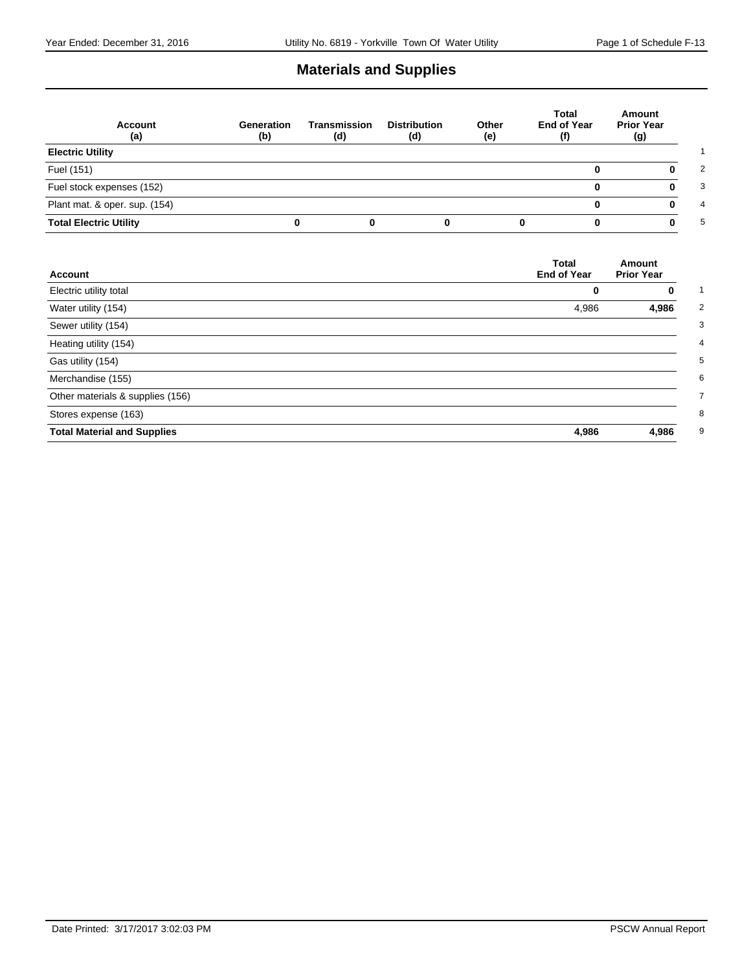# **Materials and Supplies**

| <b>Account</b><br>(a)         | Generation<br>(b) | Transmission<br>(d) | <b>Distribution</b><br>(d) | Other<br>(e) | Total<br>End of Year<br>(f) | Amount<br><b>Prior Year</b><br>(g) |
|-------------------------------|-------------------|---------------------|----------------------------|--------------|-----------------------------|------------------------------------|
| <b>Electric Utility</b>       |                   |                     |                            |              |                             |                                    |
| Fuel (151)                    |                   |                     |                            |              |                             |                                    |
| Fuel stock expenses (152)     |                   |                     |                            |              |                             |                                    |
| Plant mat. & oper. sup. (154) |                   |                     |                            |              |                             |                                    |
| <b>Total Electric Utility</b> |                   | 0                   |                            |              | 0                           | n                                  |

| Account                            | <b>Total</b><br><b>End of Year</b> | Amount<br><b>Prior Year</b> |
|------------------------------------|------------------------------------|-----------------------------|
| Electric utility total             | 0                                  | 0                           |
| Water utility (154)                | 4,986                              | 4,986                       |
| Sewer utility (154)                |                                    |                             |
| Heating utility (154)              |                                    |                             |
| Gas utility (154)                  |                                    |                             |
| Merchandise (155)                  |                                    |                             |
| Other materials & supplies (156)   |                                    |                             |
| Stores expense (163)               |                                    |                             |
| <b>Total Material and Supplies</b> | 4,986                              | 4,986                       |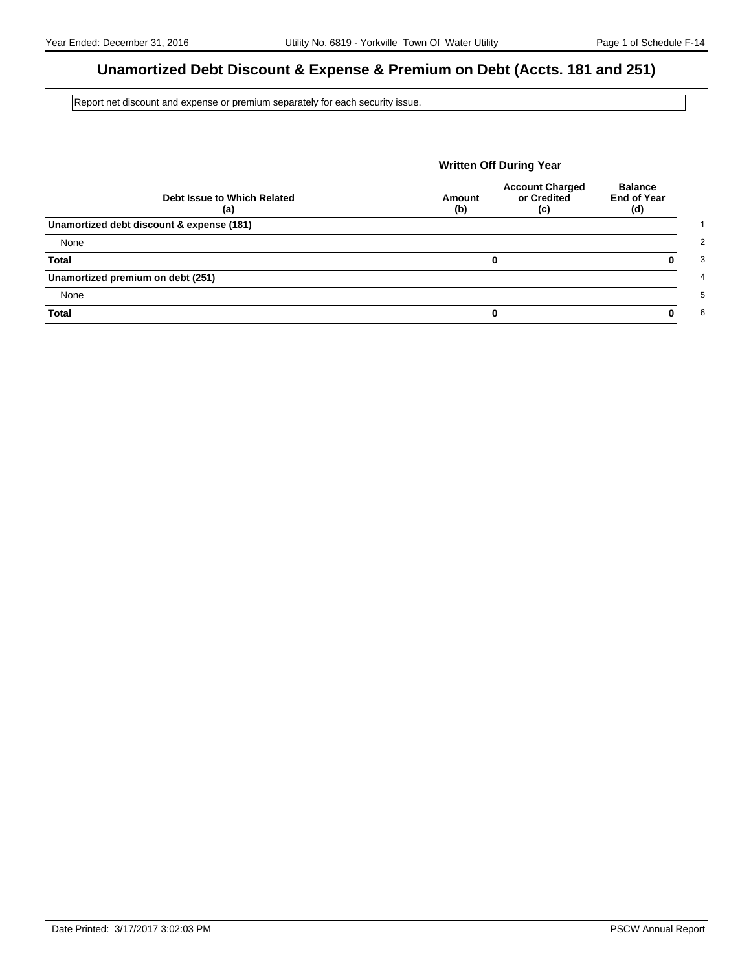# **Unamortized Debt Discount & Expense & Premium on Debt (Accts. 181 and 251)**

Report net discount and expense or premium separately for each security issue.

|                                           | <b>Written Off During Year</b> |                                              |                                             |
|-------------------------------------------|--------------------------------|----------------------------------------------|---------------------------------------------|
| Debt Issue to Which Related<br>(a)        | Amount<br>(b)                  | <b>Account Charged</b><br>or Credited<br>(c) | <b>Balance</b><br><b>End of Year</b><br>(d) |
| Unamortized debt discount & expense (181) |                                |                                              |                                             |
| None                                      |                                |                                              |                                             |
| <b>Total</b>                              |                                | 0                                            | 0                                           |
| Unamortized premium on debt (251)         |                                |                                              |                                             |
| None                                      |                                |                                              |                                             |
| <b>Total</b>                              |                                | 0                                            | ŋ                                           |

Date Printed: 3/17/2017 3:02:03 PM PSCW Annual Report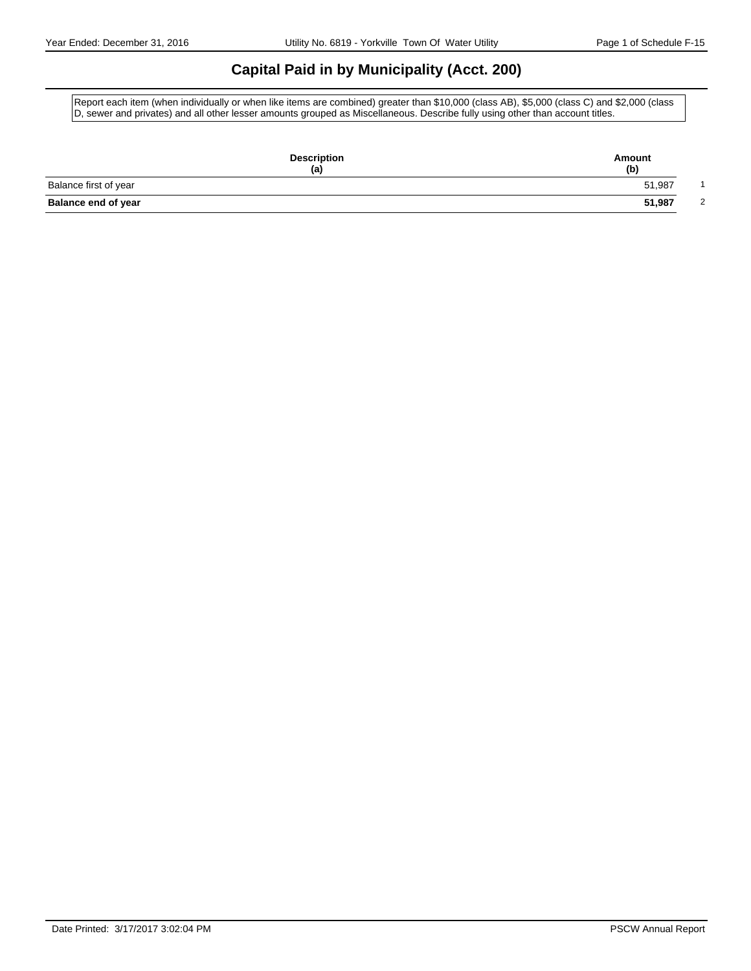# **Capital Paid in by Municipality (Acct. 200)**

Report each item (when individually or when like items are combined) greater than \$10,000 (class AB), \$5,000 (class C) and \$2,000 (class D, sewer and privates) and all other lesser amounts grouped as Miscellaneous. Describe fully using other than account titles.

| <b>Description</b><br>(a)  | Amount<br>(b) |
|----------------------------|---------------|
| Balance first of year      | 51,987        |
| <b>Balance end of year</b> | 51,987<br>2   |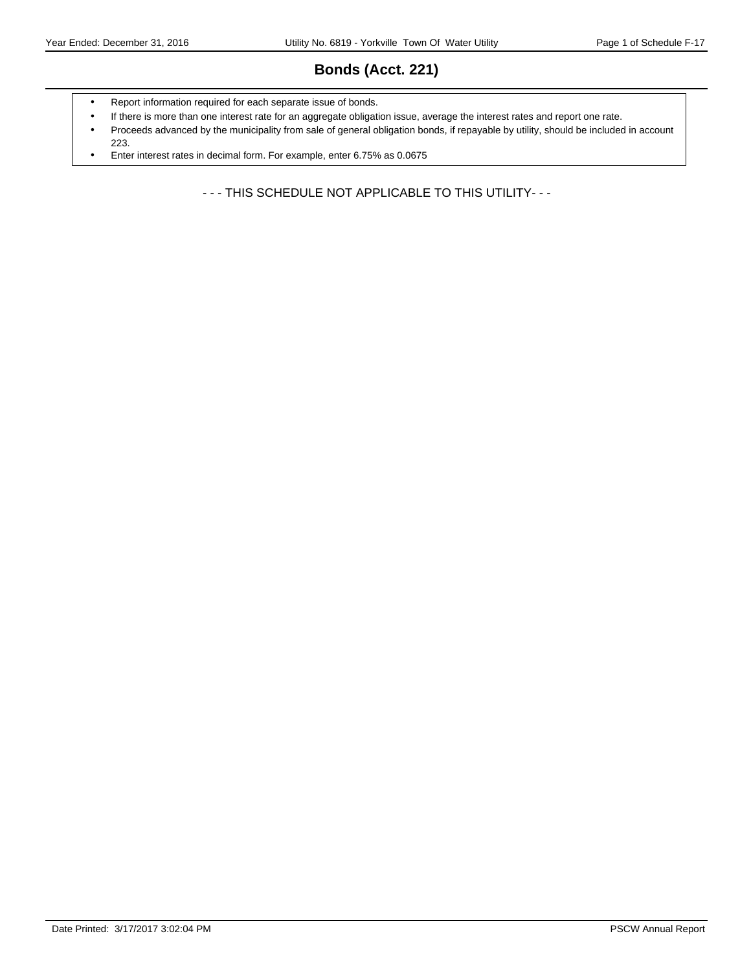# **Bonds (Acct. 221)**

- Report information required for each separate issue of bonds.
- If there is more than one interest rate for an aggregate obligation issue, average the interest rates and report one rate.
- Proceeds advanced by the municipality from sale of general obligation bonds, if repayable by utility, should be included in account 223.
- Enter interest rates in decimal form. For example, enter 6.75% as 0.0675

- - - THIS SCHEDULE NOT APPLICABLE TO THIS UTILITY- - -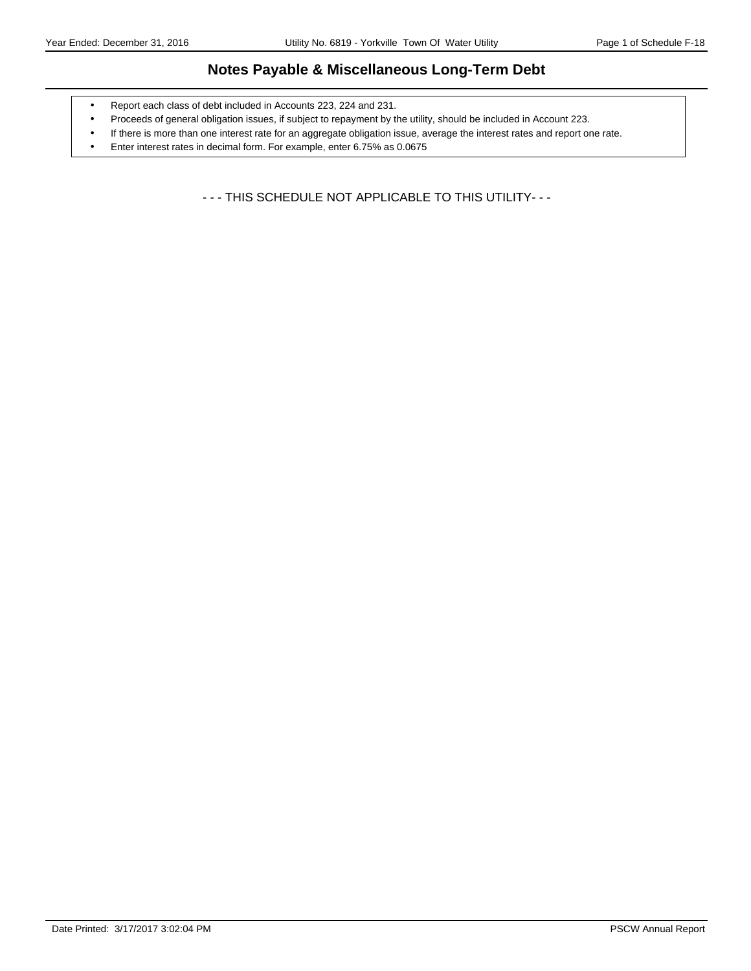# **Notes Payable & Miscellaneous Long-Term Debt**

- Report each class of debt included in Accounts 223, 224 and 231.
- Proceeds of general obligation issues, if subject to repayment by the utility, should be included in Account 223.
- If there is more than one interest rate for an aggregate obligation issue, average the interest rates and report one rate.
- Enter interest rates in decimal form. For example, enter 6.75% as 0.0675

- - - THIS SCHEDULE NOT APPLICABLE TO THIS UTILITY- - -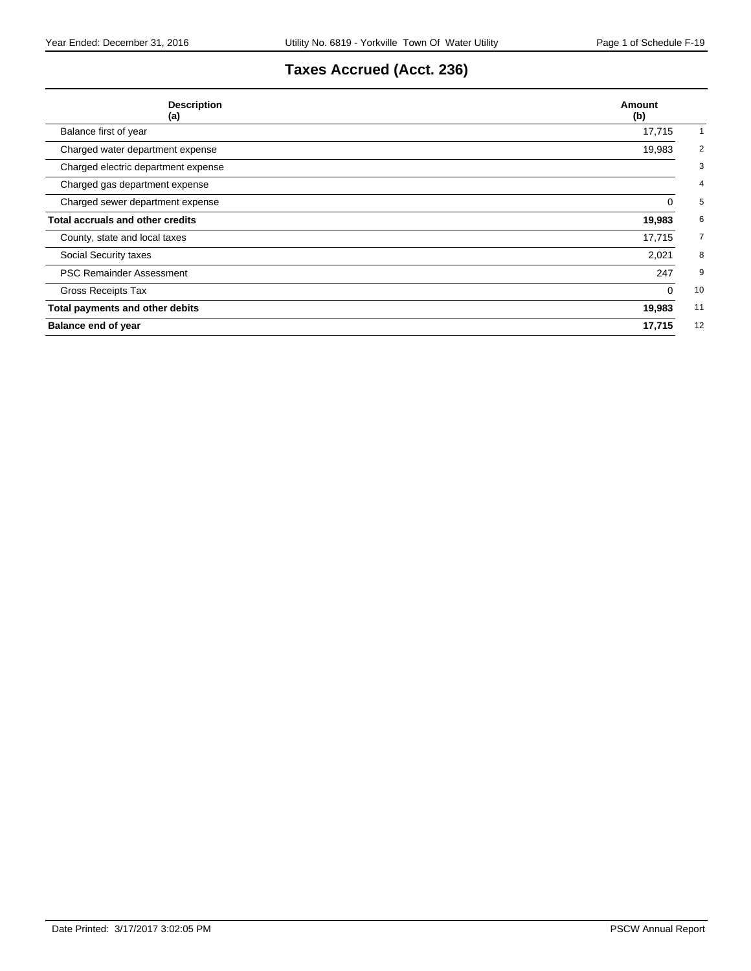# **Taxes Accrued (Acct. 236)**

| <b>Description</b><br>(a)               | Amount<br>(b)            |
|-----------------------------------------|--------------------------|
| Balance first of year                   | 17,715                   |
| Charged water department expense        | $\overline{2}$<br>19,983 |
| Charged electric department expense     | 3                        |
| Charged gas department expense          | 4                        |
| Charged sewer department expense        | 5<br>0                   |
| <b>Total accruals and other credits</b> | 6<br>19,983              |
| County, state and local taxes           | 17,715<br>7              |
| Social Security taxes                   | 8<br>2,021               |
| <b>PSC Remainder Assessment</b>         | 247<br>9                 |
| <b>Gross Receipts Tax</b>               | 10<br>$\mathbf 0$        |
| Total payments and other debits         | 19,983<br>11             |
| <b>Balance end of year</b>              | 12<br>17,715             |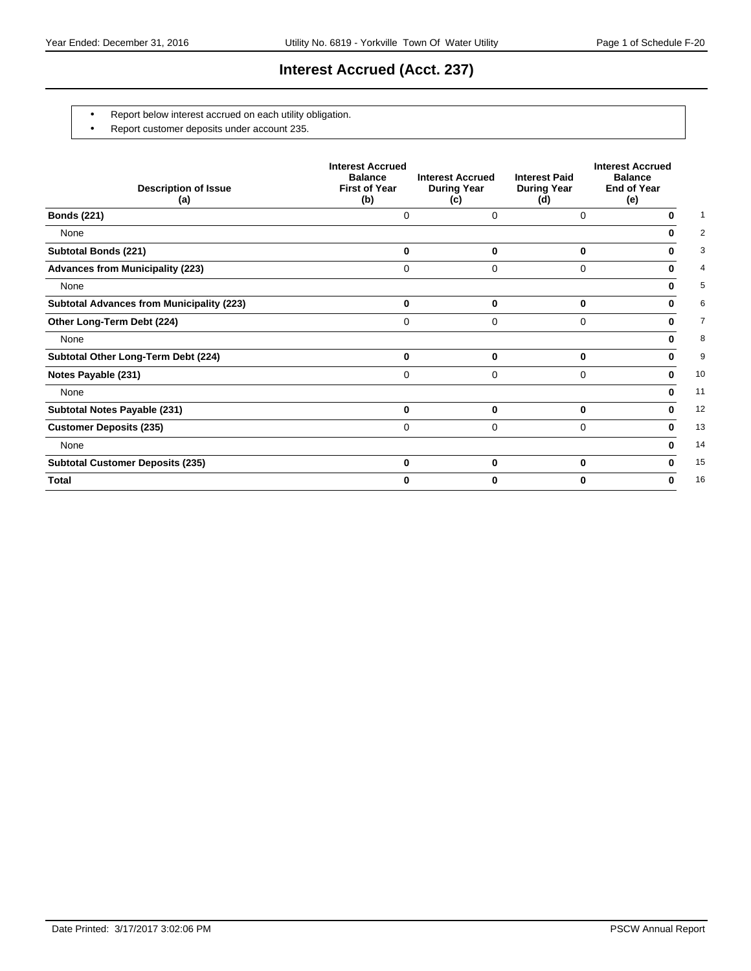# **Interest Accrued (Acct. 237)**

- Report below interest accrued on each utility obligation.
- Report customer deposits under account 235.

| <b>Description of Issue</b><br>(a)               | <b>Interest Accrued</b><br><b>Balance</b><br><b>First of Year</b><br>(b) | <b>Interest Accrued</b><br><b>During Year</b><br>(c) | <b>Interest Paid</b><br><b>During Year</b><br>(d) | <b>Interest Accrued</b><br><b>Balance</b><br><b>End of Year</b><br>(e) |
|--------------------------------------------------|--------------------------------------------------------------------------|------------------------------------------------------|---------------------------------------------------|------------------------------------------------------------------------|
| <b>Bonds (221)</b>                               | 0                                                                        | 0                                                    | 0                                                 | 0                                                                      |
| None                                             |                                                                          |                                                      |                                                   | 0                                                                      |
| <b>Subtotal Bonds (221)</b>                      | 0                                                                        | 0                                                    | 0                                                 | 0                                                                      |
| <b>Advances from Municipality (223)</b>          | 0                                                                        | 0                                                    | 0                                                 | 0                                                                      |
| None                                             |                                                                          |                                                      |                                                   | 0                                                                      |
| <b>Subtotal Advances from Municipality (223)</b> | $\bf{0}$                                                                 | 0                                                    | $\bf{0}$                                          | 0                                                                      |
| Other Long-Term Debt (224)                       | 0                                                                        | 0                                                    | $\Omega$                                          | 0                                                                      |
| None                                             |                                                                          |                                                      |                                                   | 0                                                                      |
| Subtotal Other Long-Term Debt (224)              | $\bf{0}$                                                                 | 0                                                    | 0                                                 | 0                                                                      |
| Notes Payable (231)                              | 0                                                                        | 0                                                    | $\Omega$                                          | 0                                                                      |
| None                                             |                                                                          |                                                      |                                                   | 0                                                                      |
| Subtotal Notes Payable (231)                     | $\bf{0}$                                                                 | 0                                                    | 0                                                 | 0                                                                      |
| <b>Customer Deposits (235)</b>                   | $\Omega$                                                                 | 0                                                    | $\Omega$                                          | 0                                                                      |
| None                                             |                                                                          |                                                      |                                                   | 0                                                                      |
| <b>Subtotal Customer Deposits (235)</b>          | $\bf{0}$                                                                 | $\bf{0}$                                             | 0                                                 | 0                                                                      |
| <b>Total</b>                                     | U                                                                        | 0                                                    | 0                                                 | 0                                                                      |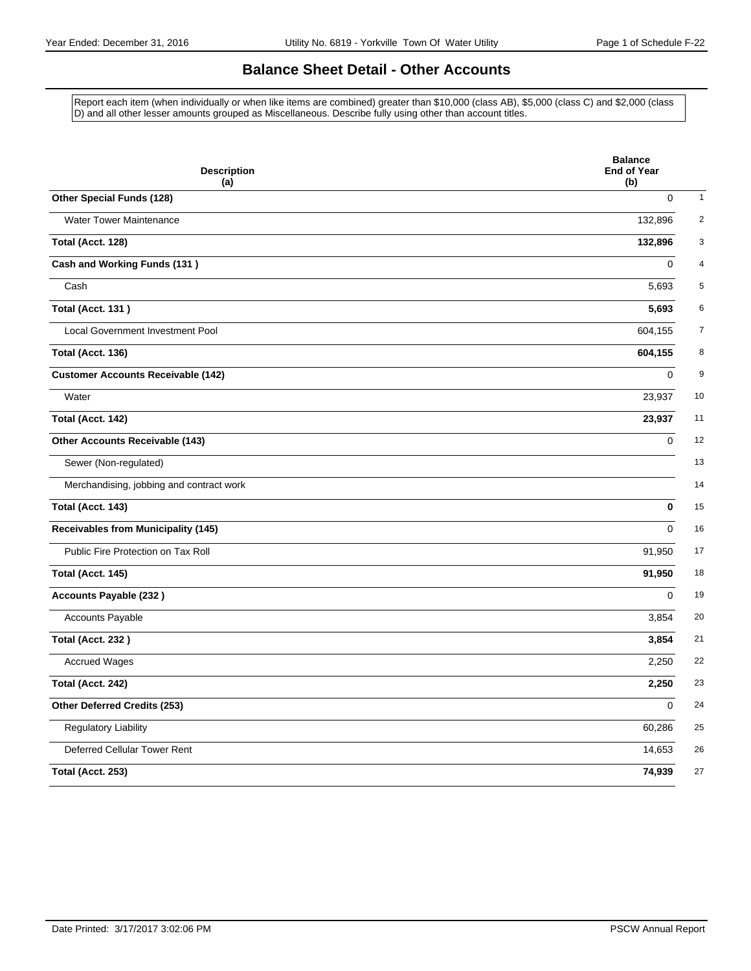# **Balance Sheet Detail - Other Accounts**

Report each item (when individually or when like items are combined) greater than \$10,000 (class AB), \$5,000 (class C) and \$2,000 (class D) and all other lesser amounts grouped as Miscellaneous. Describe fully using other than account titles.

| <b>Description</b><br>(a)                  | <b>Balance</b><br><b>End of Year</b><br>(b) |
|--------------------------------------------|---------------------------------------------|
| Other Special Funds (128)                  | $\mathbf 0$                                 |
| <b>Water Tower Maintenance</b>             | 132,896                                     |
| Total (Acct. 128)                          | 132,896                                     |
| Cash and Working Funds (131)               | $\mathbf 0$                                 |
| Cash                                       | 5,693                                       |
| <b>Total (Acct. 131)</b>                   | 5,693                                       |
| Local Government Investment Pool           | 604,155                                     |
| Total (Acct. 136)                          | 604,155                                     |
| <b>Customer Accounts Receivable (142)</b>  | $\mathbf 0$                                 |
| Water                                      | 23,937                                      |
| Total (Acct. 142)                          | 23,937                                      |
| Other Accounts Receivable (143)            | $\mathbf 0$                                 |
| Sewer (Non-regulated)                      |                                             |
| Merchandising, jobbing and contract work   |                                             |
| Total (Acct. 143)                          | $\bf{0}$                                    |
| <b>Receivables from Municipality (145)</b> | $\Omega$                                    |
| Public Fire Protection on Tax Roll         | 91,950                                      |
| Total (Acct. 145)                          | 91,950                                      |
| <b>Accounts Payable (232)</b>              | $\Omega$                                    |
| Accounts Payable                           | 3,854                                       |
| <b>Total (Acct. 232)</b>                   | 3,854                                       |
| <b>Accrued Wages</b>                       | 2,250                                       |
| Total (Acct. 242)                          | 2,250                                       |
| Other Deferred Credits (253)               | $\mathbf 0$                                 |
| <b>Regulatory Liability</b>                | 60,286                                      |
| Deferred Cellular Tower Rent               | 14,653                                      |
| Total (Acct. 253)                          | 74,939                                      |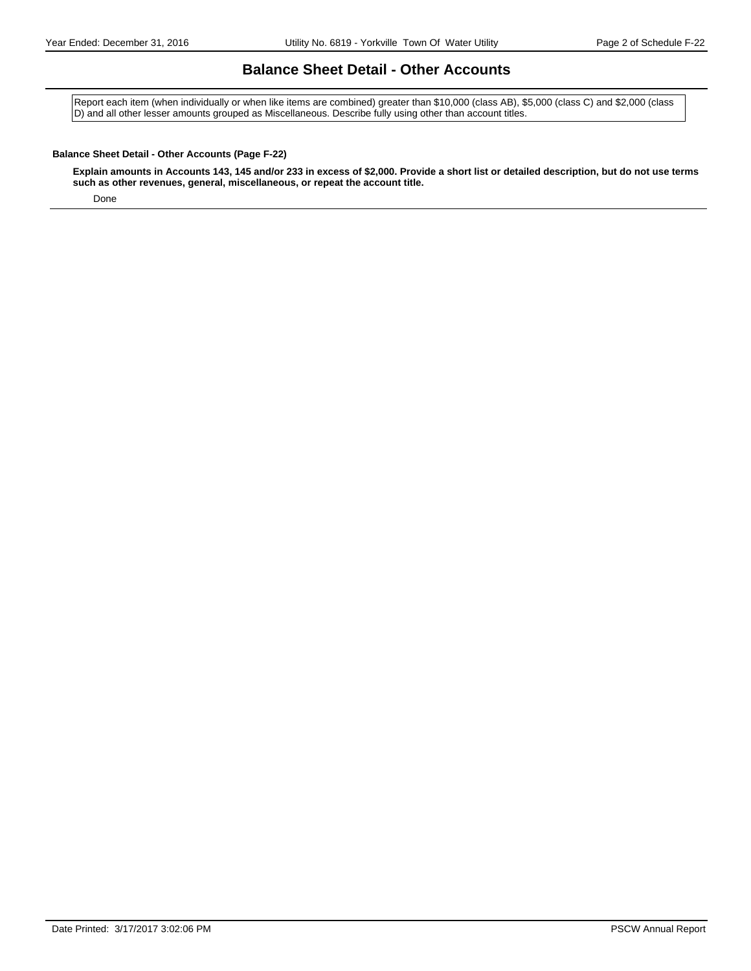### **Balance Sheet Detail - Other Accounts**

Report each item (when individually or when like items are combined) greater than \$10,000 (class AB), \$5,000 (class C) and \$2,000 (class D) and all other lesser amounts grouped as Miscellaneous. Describe fully using other than account titles.

#### **Balance Sheet Detail - Other Accounts (Page F-22)**

**Explain amounts in Accounts 143, 145 and/or 233 in excess of \$2,000. Provide a short list or detailed description, but do not use terms such as other revenues, general, miscellaneous, or repeat the account title.**

Done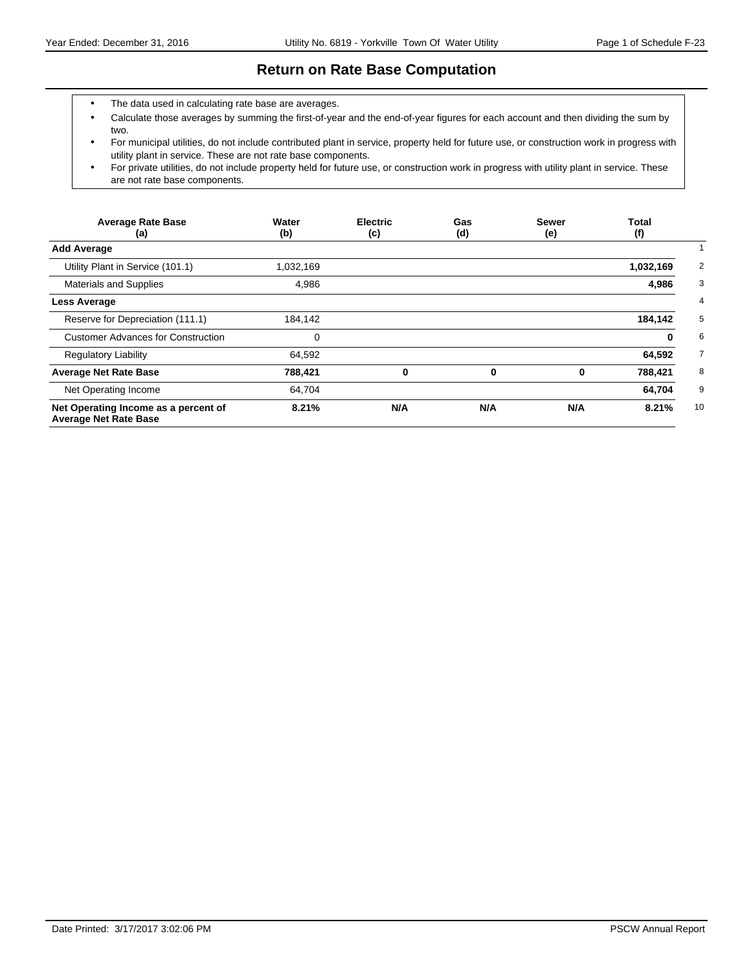### **Return on Rate Base Computation**

- The data used in calculating rate base are averages.
- Calculate those averages by summing the first-of-year and the end-of-year figures for each account and then dividing the sum by two.
- For municipal utilities, do not include contributed plant in service, property held for future use, or construction work in progress with utility plant in service. These are not rate base components.
- For private utilities, do not include property held for future use, or construction work in progress with utility plant in service. These are not rate base components.

| <b>Average Rate Base</b><br>(a)                                      | Water<br>(b) | <b>Electric</b><br>(c) | Gas<br>(d) | <b>Sewer</b><br>(e) | <b>Total</b><br>(f) |
|----------------------------------------------------------------------|--------------|------------------------|------------|---------------------|---------------------|
| <b>Add Average</b>                                                   |              |                        |            |                     |                     |
| Utility Plant in Service (101.1)                                     | 1,032,169    |                        |            |                     | 1,032,169           |
| <b>Materials and Supplies</b>                                        | 4,986        |                        |            |                     | 4,986               |
| <b>Less Average</b>                                                  |              |                        |            |                     |                     |
| Reserve for Depreciation (111.1)                                     | 184,142      |                        |            |                     | 184,142             |
| <b>Customer Advances for Construction</b>                            | 0            |                        |            |                     | 0                   |
| <b>Regulatory Liability</b>                                          | 64,592       |                        |            |                     | 64,592              |
| <b>Average Net Rate Base</b>                                         | 788,421      | 0                      | 0          | 0                   | 788,421             |
| Net Operating Income                                                 | 64,704       |                        |            |                     | 64,704              |
| Net Operating Income as a percent of<br><b>Average Net Rate Base</b> | 8.21%        | N/A                    | N/A        | N/A                 | 10<br>8.21%         |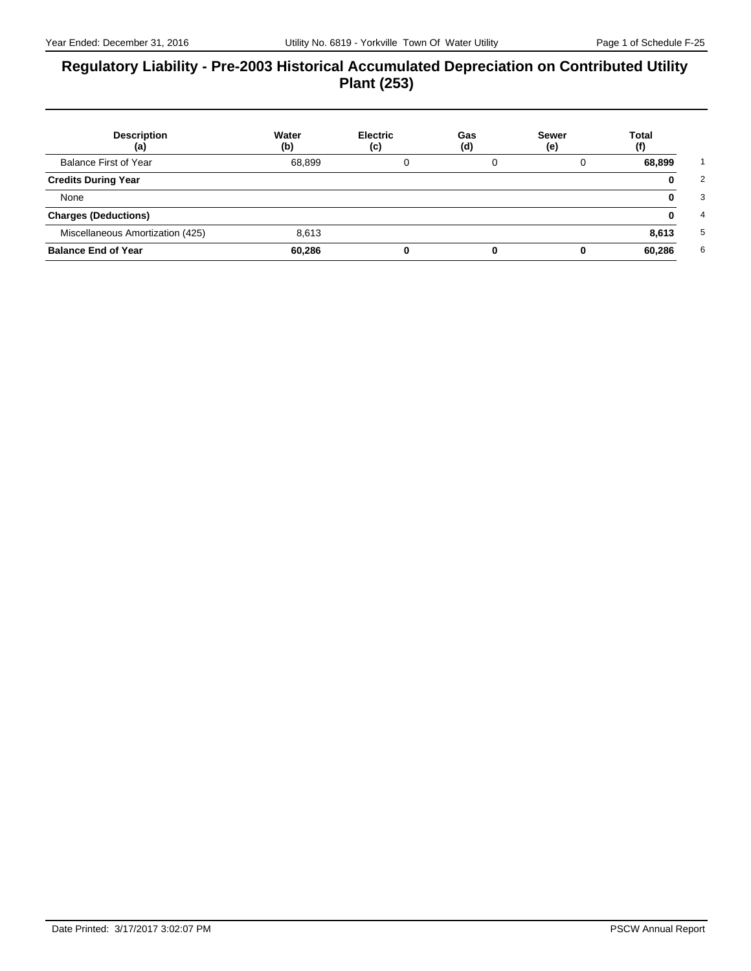# **Regulatory Liability - Pre-2003 Historical Accumulated Depreciation on Contributed Utility Plant (253)**

| <b>Description</b><br>(a)        | Water<br>(b) | <b>Electric</b><br>(c) | Gas<br>(d) | <b>Sewer</b><br>(e) | <b>Total</b><br>(f) |
|----------------------------------|--------------|------------------------|------------|---------------------|---------------------|
| <b>Balance First of Year</b>     | 68,899       |                        | 0          | 0                   | 68,899              |
| <b>Credits During Year</b>       |              |                        |            |                     | 0                   |
| None                             |              |                        |            |                     | 0                   |
| <b>Charges (Deductions)</b>      |              |                        |            |                     | 0                   |
| Miscellaneous Amortization (425) | 8,613        |                        |            |                     | 8,613               |
| <b>Balance End of Year</b>       | 60.286       |                        |            | 0                   | 60,286              |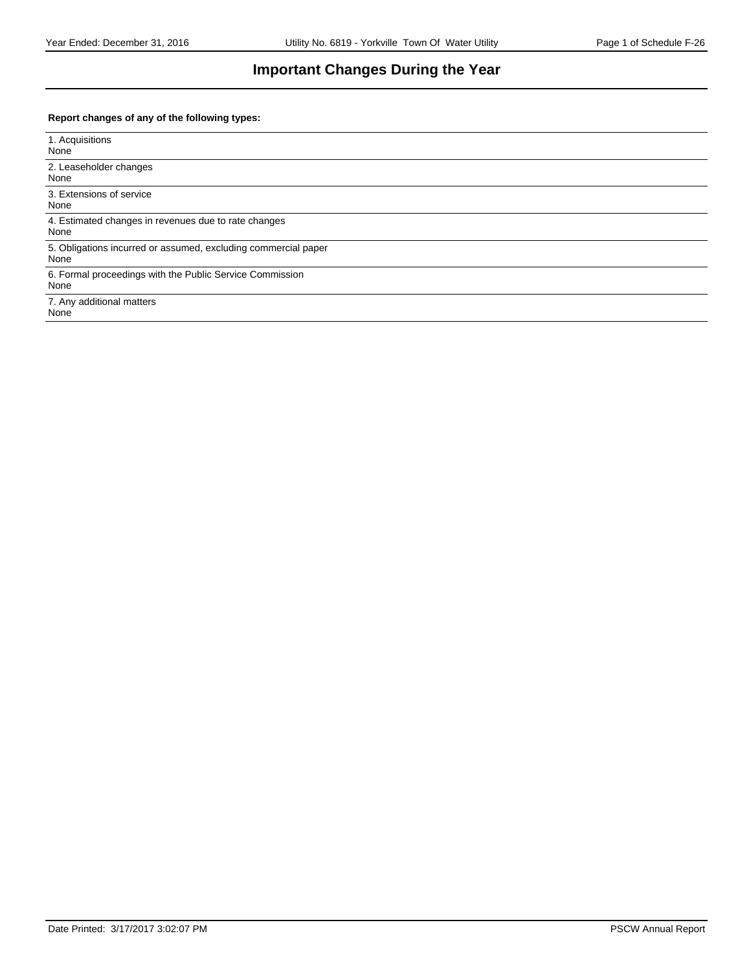# **Important Changes During the Year**

#### **Report changes of any of the following types:**

| 1. Acquisitions<br>None                                                |
|------------------------------------------------------------------------|
| 2. Leaseholder changes<br>None                                         |
| 3. Extensions of service<br>None                                       |
| 4. Estimated changes in revenues due to rate changes<br>None           |
| 5. Obligations incurred or assumed, excluding commercial paper<br>None |
| 6. Formal proceedings with the Public Service Commission<br>None       |
| 7. Any additional matters<br>None                                      |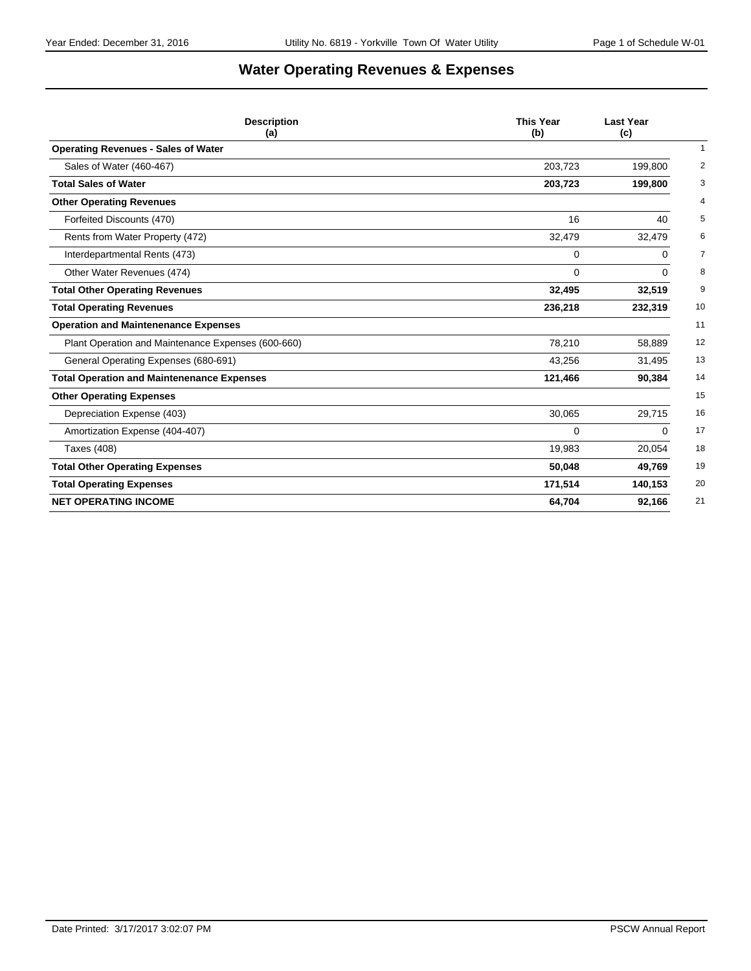# **Water Operating Revenues & Expenses**

| <b>Description</b><br>(a)                          | <b>This Year</b><br>(b) | <b>Last Year</b><br>(c) |
|----------------------------------------------------|-------------------------|-------------------------|
| <b>Operating Revenues - Sales of Water</b>         |                         | $\mathbf{1}$            |
| Sales of Water (460-467)                           | 203,723                 | 2<br>199,800            |
| <b>Total Sales of Water</b>                        | 203,723                 | 3<br>199,800            |
| <b>Other Operating Revenues</b>                    |                         | $\overline{4}$          |
| Forfeited Discounts (470)                          | 16                      | 5<br>40                 |
| Rents from Water Property (472)                    | 32,479                  | 6<br>32,479             |
| Interdepartmental Rents (473)                      | 0                       | 7<br>0                  |
| Other Water Revenues (474)                         | 0                       | 8<br>0                  |
| <b>Total Other Operating Revenues</b>              | 32,495                  | 32,519<br>9             |
| <b>Total Operating Revenues</b>                    | 236,218                 | 10<br>232,319           |
| <b>Operation and Maintenenance Expenses</b>        |                         | 11                      |
| Plant Operation and Maintenance Expenses (600-660) | 78,210                  | 12<br>58,889            |
| General Operating Expenses (680-691)               | 43,256                  | 13<br>31,495            |
| <b>Total Operation and Maintenenance Expenses</b>  | 121,466                 | 90,384<br>14            |
| <b>Other Operating Expenses</b>                    |                         | 15                      |
| Depreciation Expense (403)                         | 30,065                  | 29,715<br>16            |
| Amortization Expense (404-407)                     | 0                       | 17<br>0                 |
| Taxes (408)                                        | 19,983                  | 18<br>20,054            |
| <b>Total Other Operating Expenses</b>              | 50,048                  | 19<br>49,769            |
| <b>Total Operating Expenses</b>                    | 171,514                 | 20<br>140,153           |
| <b>NET OPERATING INCOME</b>                        | 64,704                  | 92,166<br>21            |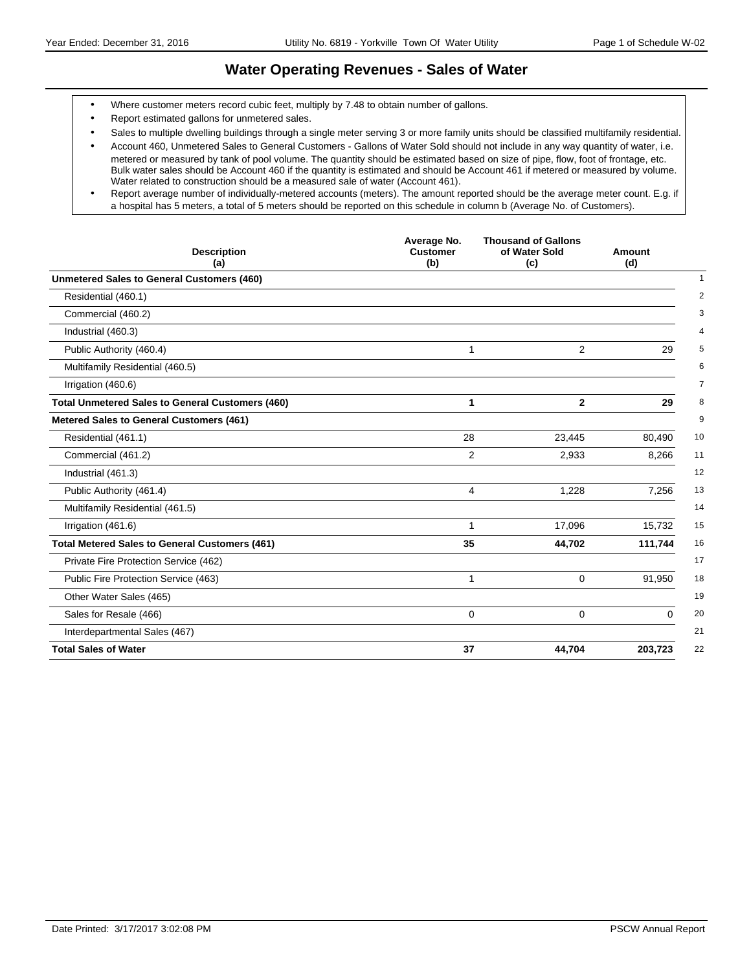### **Water Operating Revenues - Sales of Water**

- Where customer meters record cubic feet, multiply by 7.48 to obtain number of gallons.
- Report estimated gallons for unmetered sales.
- Sales to multiple dwelling buildings through a single meter serving 3 or more family units should be classified multifamily residential.

 Report average number of individually-metered accounts (meters). The amount reported should be the average meter count. E.g. if a hospital has 5 meters, a total of 5 meters should be reported on this schedule in column b (Average No. of Customers).

| <b>Description</b><br>(a)                               | Average No.<br><b>Customer</b><br>(b) | <b>Thousand of Gallons</b><br>of Water Sold<br>(c) | Amount<br>(d) |
|---------------------------------------------------------|---------------------------------------|----------------------------------------------------|---------------|
| <b>Unmetered Sales to General Customers (460)</b>       |                                       |                                                    |               |
| Residential (460.1)                                     |                                       |                                                    |               |
| Commercial (460.2)                                      |                                       |                                                    |               |
| Industrial (460.3)                                      |                                       |                                                    |               |
| Public Authority (460.4)                                | 1                                     | 2                                                  | 29            |
| Multifamily Residential (460.5)                         |                                       |                                                    |               |
| Irrigation (460.6)                                      |                                       |                                                    |               |
| <b>Total Unmetered Sales to General Customers (460)</b> | 1                                     | $\mathbf{2}$                                       | 29            |
| <b>Metered Sales to General Customers (461)</b>         |                                       |                                                    |               |
| Residential (461.1)                                     | 28                                    | 23,445                                             | 80,490        |
| Commercial (461.2)                                      | $\overline{2}$                        | 2,933                                              | 8,266         |
| Industrial (461.3)                                      |                                       |                                                    |               |
| Public Authority (461.4)                                | 4                                     | 1,228                                              | 7,256         |
| Multifamily Residential (461.5)                         |                                       |                                                    |               |
| Irrigation (461.6)                                      | 1                                     | 17,096                                             | 15,732        |
| <b>Total Metered Sales to General Customers (461)</b>   | 35                                    | 44,702                                             | 111,744       |
| Private Fire Protection Service (462)                   |                                       |                                                    |               |
| Public Fire Protection Service (463)                    | 1                                     | $\Omega$                                           | 91,950        |
| Other Water Sales (465)                                 |                                       |                                                    |               |
| Sales for Resale (466)                                  | 0                                     | $\mathbf 0$                                        | $\Omega$      |
| Interdepartmental Sales (467)                           |                                       |                                                    |               |
| <b>Total Sales of Water</b>                             | 37                                    | 44,704                                             | 203,723       |

Account 460, Unmetered Sales to General Customers - Gallons of Water Sold should not include in any way quantity of water, i.e. metered or measured by tank of pool volume. The quantity should be estimated based on size of pipe, flow, foot of frontage, etc. Bulk water sales should be Account 460 if the quantity is estimated and should be Account 461 if metered or measured by volume. Water related to construction should be a measured sale of water (Account 461).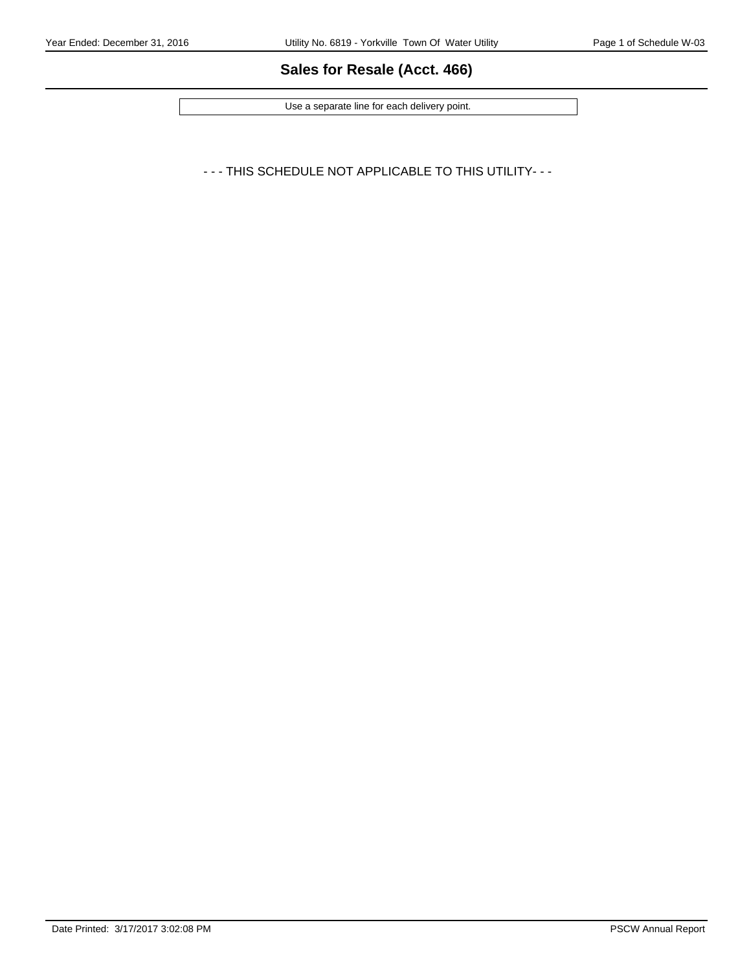# **Sales for Resale (Acct. 466)**

Use a separate line for each delivery point.

- - - THIS SCHEDULE NOT APPLICABLE TO THIS UTILITY- - -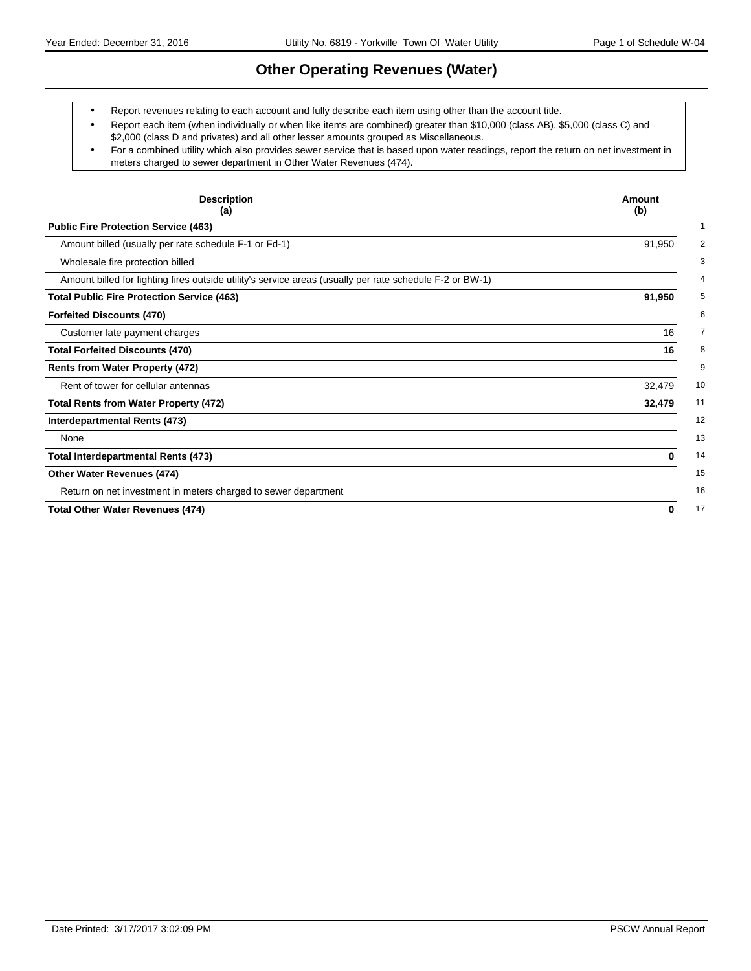# **Other Operating Revenues (Water)**

Report revenues relating to each account and fully describe each item using other than the account title.

- Report each item (when individually or when like items are combined) greater than \$10,000 (class AB), \$5,000 (class C) and \$2,000 (class D and privates) and all other lesser amounts grouped as Miscellaneous.
- For a combined utility which also provides sewer service that is based upon water readings, report the return on net investment in meters charged to sewer department in Other Water Revenues (474).

| <b>Description</b><br>(a)                                                                                | Amount<br>(b) |
|----------------------------------------------------------------------------------------------------------|---------------|
| <b>Public Fire Protection Service (463)</b>                                                              |               |
| Amount billed (usually per rate schedule F-1 or Fd-1)                                                    | 91,950        |
| Wholesale fire protection billed                                                                         |               |
| Amount billed for fighting fires outside utility's service areas (usually per rate schedule F-2 or BW-1) |               |
| <b>Total Public Fire Protection Service (463)</b>                                                        | 91,950        |
| <b>Forfeited Discounts (470)</b>                                                                         |               |
| Customer late payment charges                                                                            | 16            |
| <b>Total Forfeited Discounts (470)</b>                                                                   | 16            |
| <b>Rents from Water Property (472)</b>                                                                   |               |
| Rent of tower for cellular antennas                                                                      | 32,479        |
| <b>Total Rents from Water Property (472)</b>                                                             | 32,479        |
| Interdepartmental Rents (473)                                                                            |               |
| None                                                                                                     |               |
| <b>Total Interdepartmental Rents (473)</b>                                                               | 0             |
| Other Water Revenues (474)                                                                               |               |
| Return on net investment in meters charged to sewer department                                           |               |
| <b>Total Other Water Revenues (474)</b>                                                                  | 0             |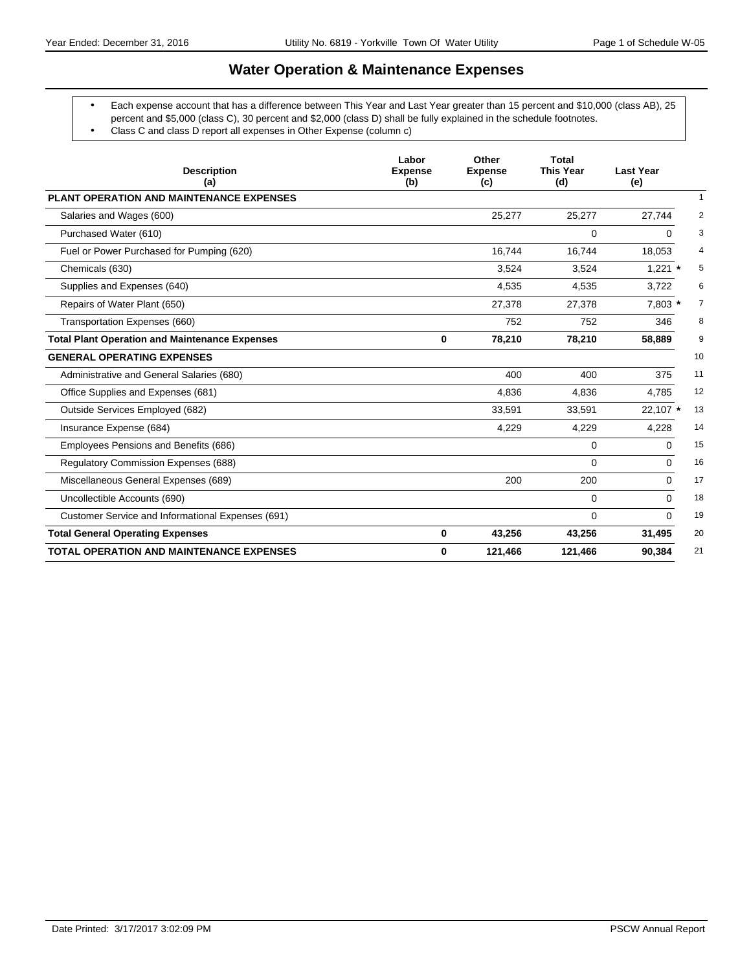# **Water Operation & Maintenance Expenses**

- Each expense account that has a difference between This Year and Last Year greater than 15 percent and \$10,000 (class AB), 25 percent and \$5,000 (class C), 30 percent and \$2,000 (class D) shall be fully explained in the schedule footnotes.
	- Class C and class D report all expenses in Other Expense (column c)

| <b>Description</b><br>(a)                             | Labor<br><b>Expense</b><br>(b) | Other<br><b>Expense</b><br>(c) | <b>Total</b><br><b>This Year</b><br>(d) | <b>Last Year</b><br>(e)   |
|-------------------------------------------------------|--------------------------------|--------------------------------|-----------------------------------------|---------------------------|
| <b>PLANT OPERATION AND MAINTENANCE EXPENSES</b>       |                                |                                |                                         | $\mathbf{1}$              |
| Salaries and Wages (600)                              |                                | 25,277                         | 25,277                                  | $\overline{2}$<br>27,744  |
| Purchased Water (610)                                 |                                |                                | $\Omega$                                | 3<br>0                    |
| Fuel or Power Purchased for Pumping (620)             |                                | 16.744                         | 16,744                                  | 18,053<br>4               |
| Chemicals (630)                                       |                                | 3,524                          | 3,524                                   | $1,221$ *<br>5            |
| Supplies and Expenses (640)                           |                                | 4,535                          | 4,535                                   | 6<br>3,722                |
| Repairs of Water Plant (650)                          |                                | 27,378                         | 27,378                                  | 7,803 *<br>$\overline{7}$ |
| Transportation Expenses (660)                         |                                | 752                            | 752                                     | 8<br>346                  |
| <b>Total Plant Operation and Maintenance Expenses</b> | 0                              | 78,210                         | 78,210                                  | 9<br>58,889               |
| <b>GENERAL OPERATING EXPENSES</b>                     |                                |                                |                                         | 10                        |
| Administrative and General Salaries (680)             |                                | 400                            | 400                                     | 11<br>375                 |
| Office Supplies and Expenses (681)                    |                                | 4,836                          | 4,836                                   | 12<br>4,785               |
| Outside Services Employed (682)                       |                                | 33,591                         | 33,591                                  | 13<br>22,107 *            |
| Insurance Expense (684)                               |                                | 4,229                          | 4,229                                   | 14<br>4,228               |
| Employees Pensions and Benefits (686)                 |                                |                                | 0                                       | 15<br>0                   |
| Regulatory Commission Expenses (688)                  |                                |                                | $\Omega$                                | 16<br>$\Omega$            |
| Miscellaneous General Expenses (689)                  |                                | 200                            | 200                                     | 17<br>0                   |
| Uncollectible Accounts (690)                          |                                |                                | $\Omega$                                | 18<br>$\Omega$            |
| Customer Service and Informational Expenses (691)     |                                |                                | $\Omega$                                | 19<br>$\Omega$            |
| <b>Total General Operating Expenses</b>               | $\mathbf 0$                    | 43,256                         | 43,256                                  | 31,495<br>20              |
| <b>TOTAL OPERATION AND MAINTENANCE EXPENSES</b>       | 0                              | 121,466                        | 121,466                                 | 21<br>90,384              |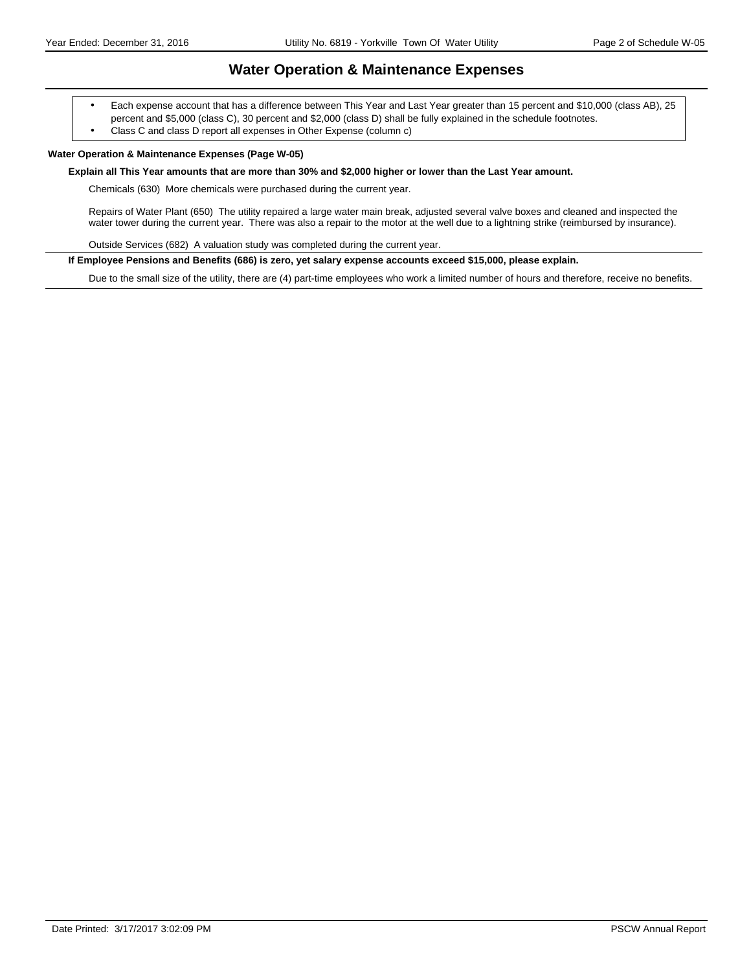### **Water Operation & Maintenance Expenses**

 Each expense account that has a difference between This Year and Last Year greater than 15 percent and \$10,000 (class AB), 25 percent and \$5,000 (class C), 30 percent and \$2,000 (class D) shall be fully explained in the schedule footnotes.

Class C and class D report all expenses in Other Expense (column c)

#### **Water Operation & Maintenance Expenses (Page W-05)**

#### **Explain all This Year amounts that are more than 30% and \$2,000 higher or lower than the Last Year amount.**

Chemicals (630) More chemicals were purchased during the current year.

Repairs of Water Plant (650) The utility repaired a large water main break, adjusted several valve boxes and cleaned and inspected the water tower during the current year. There was also a repair to the motor at the well due to a lightning strike (reimbursed by insurance).

Outside Services (682) A valuation study was completed during the current year.

**If Employee Pensions and Benefits (686) is zero, yet salary expense accounts exceed \$15,000, please explain.**

Due to the small size of the utility, there are (4) part-time employees who work a limited number of hours and therefore, receive no benefits.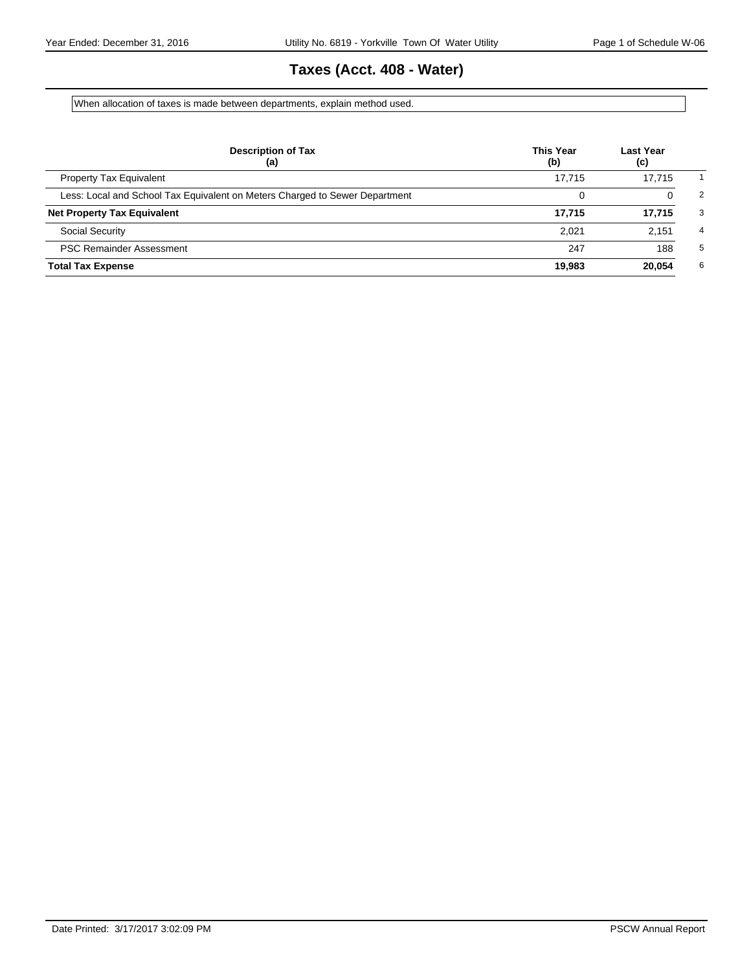# **Taxes (Acct. 408 - Water)**

When allocation of taxes is made between departments, explain method used.

| <b>Description of Tax</b><br>(a)                                            | <b>This Year</b><br>(b) | <b>Last Year</b><br>(c) |   |
|-----------------------------------------------------------------------------|-------------------------|-------------------------|---|
| <b>Property Tax Equivalent</b>                                              | 17.715                  | 17.715                  |   |
| Less: Local and School Tax Equivalent on Meters Charged to Sewer Department |                         | 0                       | 2 |
| <b>Net Property Tax Equivalent</b>                                          | 17.715                  | 17.715                  | 3 |
| <b>Social Security</b>                                                      | 2.021                   | 2.151                   | 4 |
| <b>PSC Remainder Assessment</b>                                             | 247                     | 188                     | 5 |
| <b>Total Tax Expense</b>                                                    | 19.983                  | 20.054                  | 6 |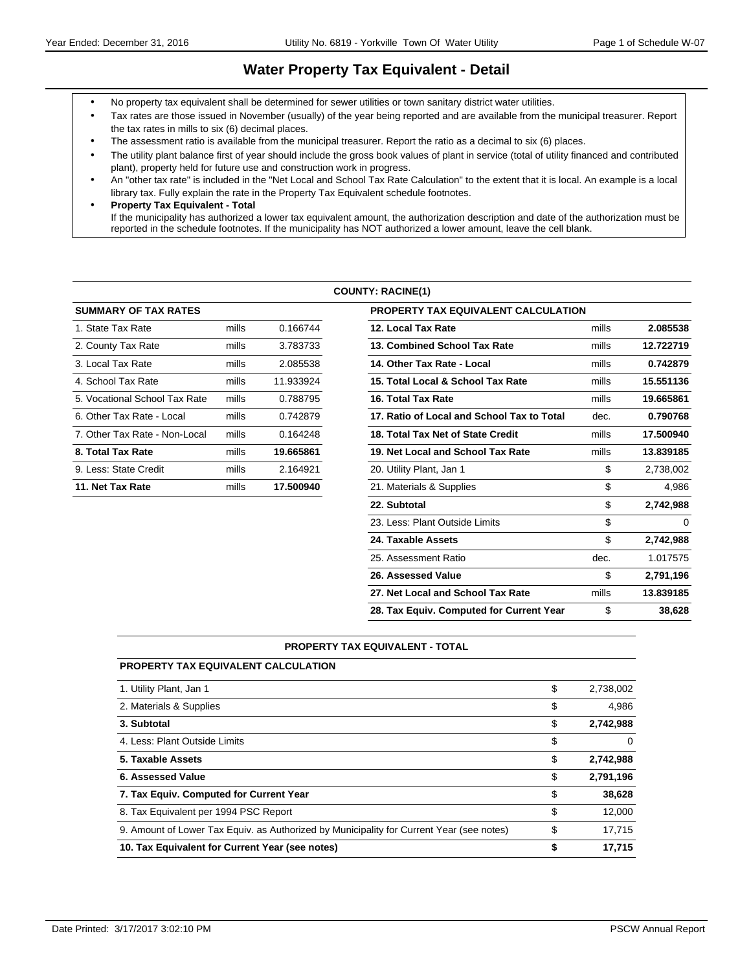# **Water Property Tax Equivalent - Detail**

- No property tax equivalent shall be determined for sewer utilities or town sanitary district water utilities.
- Tax rates are those issued in November (usually) of the year being reported and are available from the municipal treasurer. Report the tax rates in mills to six (6) decimal places.
- The assessment ratio is available from the municipal treasurer. Report the ratio as a decimal to six (6) places.
- The utility plant balance first of year should include the gross book values of plant in service (total of utility financed and contributed plant), property held for future use and construction work in progress.
- An "other tax rate" is included in the "Net Local and School Tax Rate Calculation" to the extent that it is local. An example is a local library tax. Fully explain the rate in the Property Tax Equivalent schedule footnotes.
- **Property Tax Equivalent Total** If the municipality has authorized a lower tax equivalent amount, the authorization description and date of the authorization must be reported in the schedule footnotes. If the municipality has NOT authorized a lower amount, leave the cell blank.

#### **COUNTY: RACINE(1)**

| <b>SUMMARY OF TAX RATES</b>   |       |           | PROPERTY TAX EQUIVALENT CALCULATION        |
|-------------------------------|-------|-----------|--------------------------------------------|
| 1. State Tax Rate             | mills | 0.166744  | 12. Local Tax Rate                         |
| 2. County Tax Rate            | mills | 3.783733  | 13. Combined School Tax Rate               |
| 3. Local Tax Rate             | mills | 2.085538  | 14. Other Tax Rate - Local                 |
| 4. School Tax Rate            | mills | 11.933924 | 15. Total Local & School Tax Rate          |
| 5. Vocational School Tax Rate | mills | 0.788795  | 16. Total Tax Rate                         |
| 6. Other Tax Rate - Local     | mills | 0.742879  | 17. Ratio of Local and School Tax to Total |
| 7. Other Tax Rate - Non-Local | mills | 0.164248  | 18. Total Tax Net of State Credit          |
| 8. Total Tax Rate             | mills | 19.665861 | 19. Net Local and School Tax Rate          |
| 9. Less: State Credit         | mills | 2.164921  | 20. Utility Plant, Jan 1                   |
| 11. Net Tax Rate              | mills | 17.500940 | 21. Materials & Supplies                   |
|                               |       |           |                                            |

| <b>SUMMARY OF TAX RATES</b>   |       |           | <b>PROPERTY TAX EQUIVALENT CALCULATION</b> |       |           |
|-------------------------------|-------|-----------|--------------------------------------------|-------|-----------|
| 1. State Tax Rate             | mills | 0.166744  | 12. Local Tax Rate                         | mills | 2.085538  |
| 2. County Tax Rate            | mills | 3.783733  | 13. Combined School Tax Rate               | mills | 12.722719 |
| 3. Local Tax Rate             | mills | 2.085538  | 14. Other Tax Rate - Local                 | mills | 0.742879  |
| 4. School Tax Rate            | mills | 11.933924 | 15. Total Local & School Tax Rate          | mills | 15.551136 |
| 5. Vocational School Tax Rate | mills | 0.788795  | 16. Total Tax Rate                         | mills | 19.665861 |
| 6. Other Tax Rate - Local     | mills | 0.742879  | 17. Ratio of Local and School Tax to Total | dec.  | 0.790768  |
| 7. Other Tax Rate - Non-Local | mills | 0.164248  | 18. Total Tax Net of State Credit          | mills | 17.500940 |
| 8. Total Tax Rate             | mills | 19.665861 | 19. Net Local and School Tax Rate          | mills | 13.839185 |
| 9. Less: State Credit         | mills | 2.164921  | 20. Utility Plant, Jan 1                   | \$    | 2,738,002 |
| 11. Net Tax Rate              | mills | 17.500940 | 21. Materials & Supplies                   | \$    | 4,986     |
|                               |       |           | 22. Subtotal                               | \$    | 2,742,988 |
|                               |       |           | 23. Less: Plant Outside Limits             | \$    | $\Omega$  |
|                               |       |           | 24. Taxable Assets                         | \$    | 2,742,988 |
|                               |       |           | 25. Assessment Ratio                       | dec.  | 1.017575  |
|                               |       |           | 26. Assessed Value                         | \$    | 2,791,196 |
|                               |       |           | 27. Net Local and School Tax Rate          | mills | 13.839185 |
|                               |       |           | 28. Tax Equiv. Computed for Current Year   | \$    | 38,628    |

#### **PROPERTY TAX EQUIVALENT - TOTAL**

| <b>PROPERTY TAX EQUIVALENT CALCULATION</b>                                               |                 |
|------------------------------------------------------------------------------------------|-----------------|
| 1. Utility Plant, Jan 1                                                                  | \$<br>2,738,002 |
| 2. Materials & Supplies                                                                  | \$<br>4.986     |
| 3. Subtotal                                                                              | \$<br>2,742,988 |
| 4. Less: Plant Outside Limits                                                            | \$<br>0         |
| 5. Taxable Assets                                                                        | \$<br>2,742,988 |
| 6. Assessed Value                                                                        | \$<br>2,791,196 |
| 7. Tax Equiv. Computed for Current Year                                                  | \$<br>38,628    |
| 8. Tax Equivalent per 1994 PSC Report                                                    | \$<br>12,000    |
| 9. Amount of Lower Tax Equiv. as Authorized by Municipality for Current Year (see notes) | \$<br>17,715    |
| 10. Tax Equivalent for Current Year (see notes)                                          | \$<br>17.715    |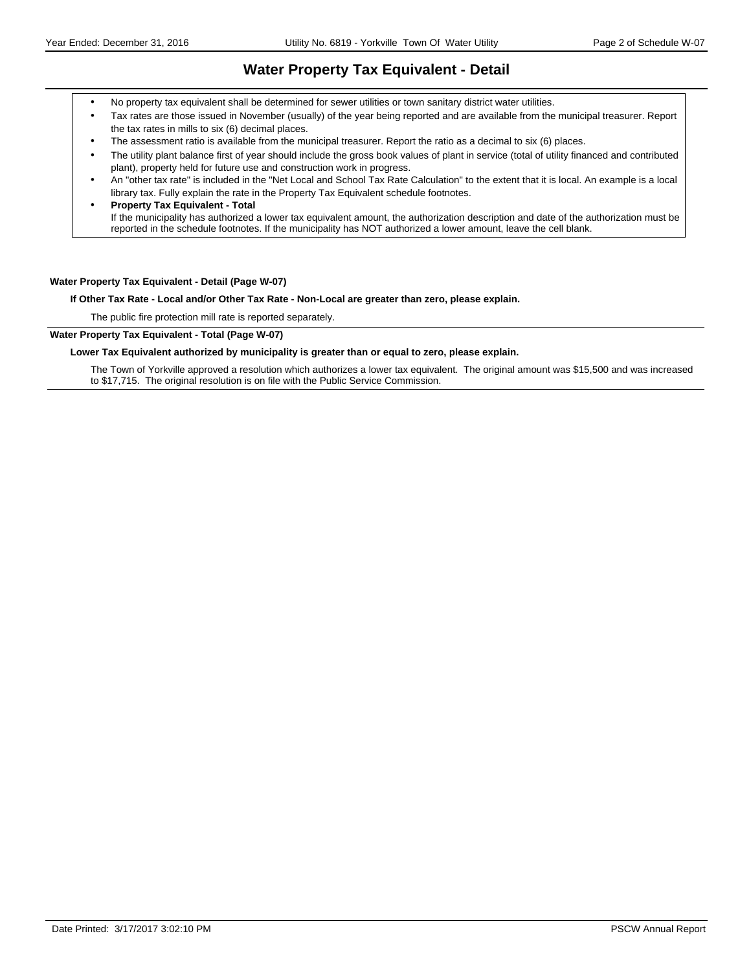### **Water Property Tax Equivalent - Detail**

- No property tax equivalent shall be determined for sewer utilities or town sanitary district water utilities.
- Tax rates are those issued in November (usually) of the year being reported and are available from the municipal treasurer. Report the tax rates in mills to six (6) decimal places.
- The assessment ratio is available from the municipal treasurer. Report the ratio as a decimal to six (6) places.
- The utility plant balance first of year should include the gross book values of plant in service (total of utility financed and contributed plant), property held for future use and construction work in progress.
- An "other tax rate" is included in the "Net Local and School Tax Rate Calculation" to the extent that it is local. An example is a local library tax. Fully explain the rate in the Property Tax Equivalent schedule footnotes.
- **Property Tax Equivalent Total** If the municipality has authorized a lower tax equivalent amount, the authorization description and date of the authorization must be reported in the schedule footnotes. If the municipality has NOT authorized a lower amount, leave the cell blank.

#### **Water Property Tax Equivalent - Detail (Page W-07)**

**If Other Tax Rate - Local and/or Other Tax Rate - Non-Local are greater than zero, please explain.**

The public fire protection mill rate is reported separately.

#### **Water Property Tax Equivalent - Total (Page W-07)**

#### **Lower Tax Equivalent authorized by municipality is greater than or equal to zero, please explain.**

The Town of Yorkville approved a resolution which authorizes a lower tax equivalent. The original amount was \$15,500 and was increased to \$17,715. The original resolution is on file with the Public Service Commission.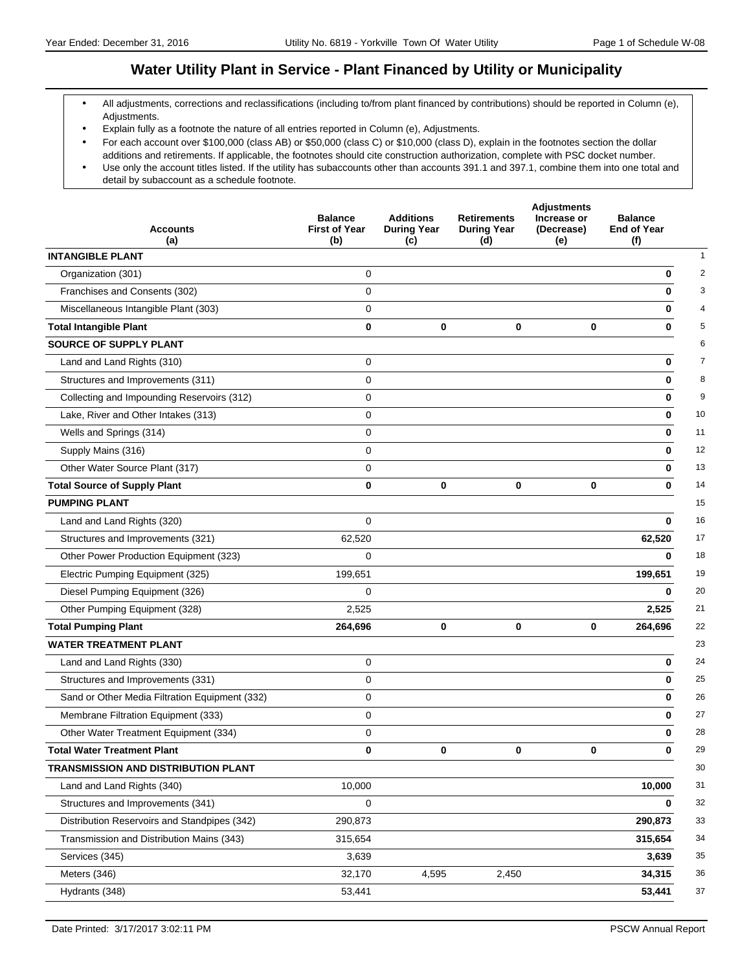# **Water Utility Plant in Service - Plant Financed by Utility or Municipality**

- All adjustments, corrections and reclassifications (including to/from plant financed by contributions) should be reported in Column (e), Adjustments.
- Explain fully as a footnote the nature of all entries reported in Column (e), Adjustments.
- For each account over \$100,000 (class AB) or \$50,000 (class C) or \$10,000 (class D), explain in the footnotes section the dollar additions and retirements. If applicable, the footnotes should cite construction authorization, complete with PSC docket number. Use only the account titles listed. If the utility has subaccounts other than accounts 391.1 and 397.1, combine them into one total and
- detail by subaccount as a schedule footnote.

|                                                | <b>Balance</b>              | <b>Additions</b>          | <b>Retirements</b>        | <b>Adjustments</b><br>Increase or | <b>Balance</b>            |
|------------------------------------------------|-----------------------------|---------------------------|---------------------------|-----------------------------------|---------------------------|
| <b>Accounts</b><br>(a)                         | <b>First of Year</b><br>(b) | <b>During Year</b><br>(c) | <b>During Year</b><br>(d) | (Decrease)<br>(e)                 | <b>End of Year</b><br>(f) |
| <b>INTANGIBLE PLANT</b>                        |                             |                           |                           |                                   |                           |
| Organization (301)                             | 0                           |                           |                           |                                   | 0                         |
| Franchises and Consents (302)                  | $\mathbf 0$                 |                           |                           |                                   | 0                         |
| Miscellaneous Intangible Plant (303)           | $\mathbf 0$                 |                           |                           |                                   | 0                         |
| <b>Total Intangible Plant</b>                  | $\bf{0}$                    | $\mathbf 0$               | 0                         | 0                                 | 0                         |
| <b>SOURCE OF SUPPLY PLANT</b>                  |                             |                           |                           |                                   |                           |
| Land and Land Rights (310)                     | 0                           |                           |                           |                                   | 0                         |
| Structures and Improvements (311)              | $\mathbf 0$                 |                           |                           |                                   | 0                         |
| Collecting and Impounding Reservoirs (312)     | $\mathbf 0$                 |                           |                           |                                   | 0                         |
| Lake, River and Other Intakes (313)            | $\mathbf 0$                 |                           |                           |                                   | 0                         |
| Wells and Springs (314)                        | 0                           |                           |                           |                                   | 0                         |
| Supply Mains (316)                             | $\mathbf 0$                 |                           |                           |                                   | 0                         |
| Other Water Source Plant (317)                 | $\mathbf 0$                 |                           |                           |                                   | 0                         |
| <b>Total Source of Supply Plant</b>            | $\bf{0}$                    | $\bf{0}$                  | $\mathbf 0$               | 0                                 | 0                         |
| <b>PUMPING PLANT</b>                           |                             |                           |                           |                                   |                           |
| Land and Land Rights (320)                     | $\mathbf 0$                 |                           |                           |                                   | 0                         |
| Structures and Improvements (321)              | 62,520                      |                           |                           |                                   | 62,520                    |
| Other Power Production Equipment (323)         | $\mathbf 0$                 |                           |                           |                                   | 0                         |
| Electric Pumping Equipment (325)               | 199,651                     |                           |                           |                                   | 199,651                   |
| Diesel Pumping Equipment (326)                 | $\Omega$                    |                           |                           |                                   | 0                         |
| Other Pumping Equipment (328)                  | 2,525                       |                           |                           |                                   | 2,525                     |
| <b>Total Pumping Plant</b>                     | 264,696                     | $\mathbf 0$               | $\mathbf 0$               | 0                                 | 264,696                   |
| <b>WATER TREATMENT PLANT</b>                   |                             |                           |                           |                                   |                           |
| Land and Land Rights (330)                     | $\mathbf 0$                 |                           |                           |                                   | 0                         |
| Structures and Improvements (331)              | $\mathbf 0$                 |                           |                           |                                   | 0                         |
| Sand or Other Media Filtration Equipment (332) | 0                           |                           |                           |                                   | 0                         |
| Membrane Filtration Equipment (333)            | $\mathbf 0$                 |                           |                           |                                   | 0                         |
| Other Water Treatment Equipment (334)          | 0                           |                           |                           |                                   | 0                         |
| <b>Total Water Treatment Plant</b>             | 0                           | 0                         | 0                         | $\mathbf{0}$                      | 0                         |
| TRANSMISSION AND DISTRIBUTION PLANT            |                             |                           |                           |                                   |                           |
| Land and Land Rights (340)                     | 10,000                      |                           |                           |                                   | 10,000                    |
| Structures and Improvements (341)              | $\mathbf 0$                 |                           |                           |                                   | 0                         |
| Distribution Reservoirs and Standpipes (342)   | 290,873                     |                           |                           |                                   | 290,873                   |
| Transmission and Distribution Mains (343)      | 315,654                     |                           |                           |                                   | 315,654                   |
| Services (345)                                 | 3,639                       |                           |                           |                                   | 3,639                     |
| Meters (346)                                   | 32,170                      | 4,595                     | 2,450                     |                                   | 34,315                    |
| Hydrants (348)                                 | 53,441                      |                           |                           |                                   | 53,441                    |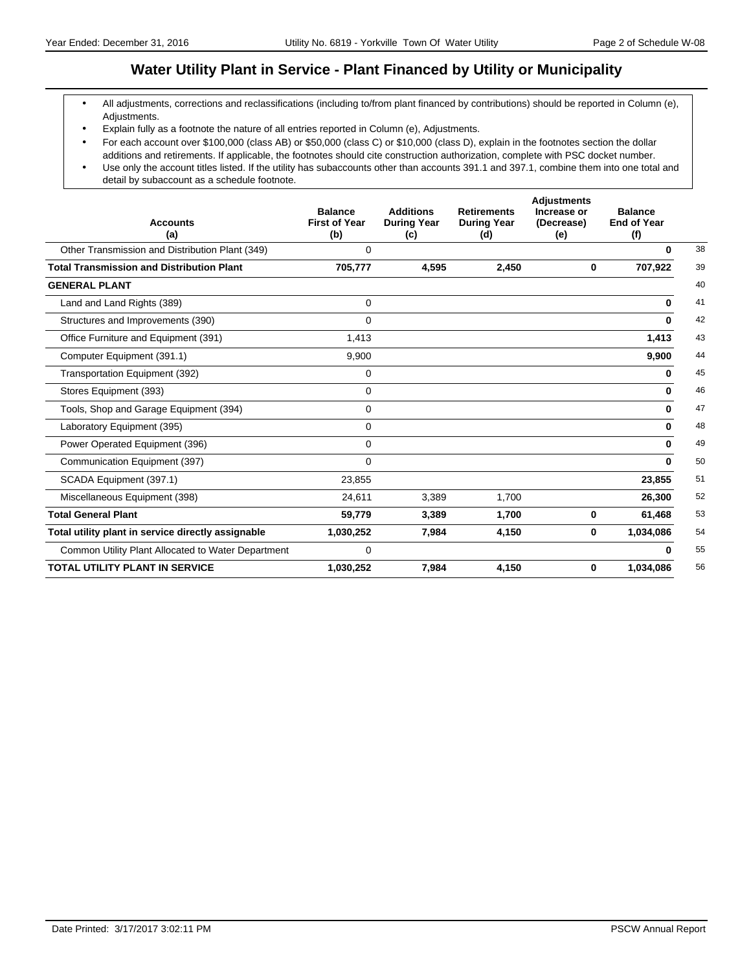# **Water Utility Plant in Service - Plant Financed by Utility or Municipality**

- All adjustments, corrections and reclassifications (including to/from plant financed by contributions) should be reported in Column (e), Adjustments.
- Explain fully as a footnote the nature of all entries reported in Column (e), Adjustments.
- For each account over \$100,000 (class AB) or \$50,000 (class C) or \$10,000 (class D), explain in the footnotes section the dollar additions and retirements. If applicable, the footnotes should cite construction authorization, complete with PSC docket number.
- Use only the account titles listed. If the utility has subaccounts other than accounts 391.1 and 397.1, combine them into one total and detail by subaccount as a schedule footnote.

| <b>Accounts</b><br>(a)                             | <b>Balance</b><br><b>First of Year</b><br>(b) | <b>Additions</b><br><b>During Year</b><br>(c) | <b>Retirements</b><br><b>During Year</b><br>(d) | <b>Adjustments</b><br>Increase or<br>(Decrease)<br>(e) | <b>Balance</b><br><b>End of Year</b><br>(f) |
|----------------------------------------------------|-----------------------------------------------|-----------------------------------------------|-------------------------------------------------|--------------------------------------------------------|---------------------------------------------|
| Other Transmission and Distribution Plant (349)    | $\Omega$                                      |                                               |                                                 |                                                        | $\bf{0}$                                    |
| <b>Total Transmission and Distribution Plant</b>   | 705,777                                       | 4.595                                         | 2,450                                           | 0                                                      | 707,922                                     |
| <b>GENERAL PLANT</b>                               |                                               |                                               |                                                 |                                                        |                                             |
| Land and Land Rights (389)                         | 0                                             |                                               |                                                 |                                                        | $\bf{0}$                                    |
| Structures and Improvements (390)                  | 0                                             |                                               |                                                 |                                                        | $\bf{0}$                                    |
| Office Furniture and Equipment (391)               | 1.413                                         |                                               |                                                 |                                                        | 1,413                                       |
| Computer Equipment (391.1)                         | 9,900                                         |                                               |                                                 |                                                        | 9,900                                       |
| Transportation Equipment (392)                     | 0                                             |                                               |                                                 |                                                        | 0                                           |
| Stores Equipment (393)                             | 0                                             |                                               |                                                 |                                                        | 0                                           |
| Tools, Shop and Garage Equipment (394)             | $\mathbf 0$                                   |                                               |                                                 |                                                        | 0                                           |
| Laboratory Equipment (395)                         | $\Omega$                                      |                                               |                                                 |                                                        | 0                                           |
| Power Operated Equipment (396)                     | 0                                             |                                               |                                                 |                                                        | $\bf{0}$                                    |
| Communication Equipment (397)                      | $\Omega$                                      |                                               |                                                 |                                                        | 0                                           |
| SCADA Equipment (397.1)                            | 23,855                                        |                                               |                                                 |                                                        | 23,855                                      |
| Miscellaneous Equipment (398)                      | 24,611                                        | 3.389                                         | 1,700                                           |                                                        | 26,300                                      |
| <b>Total General Plant</b>                         | 59,779                                        | 3.389                                         | 1,700                                           | 0                                                      | 61,468                                      |
| Total utility plant in service directly assignable | 1,030,252                                     | 7,984                                         | 4,150                                           | 0                                                      | 1,034,086                                   |
| Common Utility Plant Allocated to Water Department | $\mathbf 0$                                   |                                               |                                                 |                                                        | ŋ                                           |
| <b>TOTAL UTILITY PLANT IN SERVICE</b>              | 1,030,252                                     | 7,984                                         | 4,150                                           | 0                                                      | 1,034,086                                   |
|                                                    |                                               |                                               |                                                 |                                                        |                                             |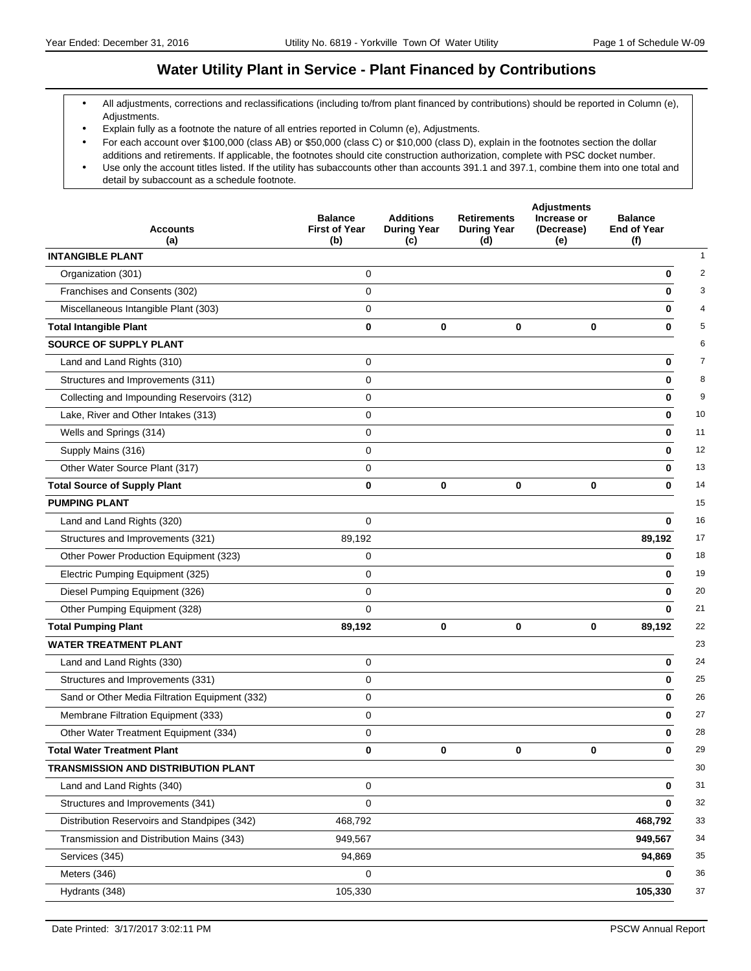# **Water Utility Plant in Service - Plant Financed by Contributions**

- All adjustments, corrections and reclassifications (including to/from plant financed by contributions) should be reported in Column (e), Adjustments.
- Explain fully as a footnote the nature of all entries reported in Column (e), Adjustments.
- For each account over \$100,000 (class AB) or \$50,000 (class C) or \$10,000 (class D), explain in the footnotes section the dollar additions and retirements. If applicable, the footnotes should cite construction authorization, complete with PSC docket number. Use only the account titles listed. If the utility has subaccounts other than accounts 391.1 and 397.1, combine them into one total and
- detail by subaccount as a schedule footnote.

| (a)<br>(f)<br>(b)<br>(c)<br>(d)<br>(e)<br><b>INTANGIBLE PLANT</b><br>Organization (301)<br>0<br>0<br>Franchises and Consents (302)<br>$\mathbf 0$<br>0<br>Miscellaneous Intangible Plant (303)<br>$\mathbf 0$<br>0<br>$\bf{0}$<br>$\mathbf 0$<br>$\bf{0}$<br><b>Total Intangible Plant</b><br>0<br>0 |
|------------------------------------------------------------------------------------------------------------------------------------------------------------------------------------------------------------------------------------------------------------------------------------------------------|
|                                                                                                                                                                                                                                                                                                      |
|                                                                                                                                                                                                                                                                                                      |
|                                                                                                                                                                                                                                                                                                      |
|                                                                                                                                                                                                                                                                                                      |
|                                                                                                                                                                                                                                                                                                      |
|                                                                                                                                                                                                                                                                                                      |
| SOURCE OF SUPPLY PLANT                                                                                                                                                                                                                                                                               |
| Land and Land Rights (310)<br>0<br>0                                                                                                                                                                                                                                                                 |
| $\mathbf 0$<br>Structures and Improvements (311)<br>0                                                                                                                                                                                                                                                |
| Collecting and Impounding Reservoirs (312)<br>$\mathbf 0$<br>0                                                                                                                                                                                                                                       |
| $\mathbf 0$<br>Lake, River and Other Intakes (313)<br>0                                                                                                                                                                                                                                              |
| Wells and Springs (314)<br>0<br>0                                                                                                                                                                                                                                                                    |
| $\mathbf 0$<br>Supply Mains (316)<br>0                                                                                                                                                                                                                                                               |
| Other Water Source Plant (317)<br>$\mathbf 0$<br>0                                                                                                                                                                                                                                                   |
| $\bf{0}$<br>$\bf{0}$<br>$\mathbf 0$<br>0<br><b>Total Source of Supply Plant</b><br>0                                                                                                                                                                                                                 |
| <b>PUMPING PLANT</b>                                                                                                                                                                                                                                                                                 |
| $\mathbf 0$<br>Land and Land Rights (320)<br>0                                                                                                                                                                                                                                                       |
| Structures and Improvements (321)<br>89,192<br>89,192                                                                                                                                                                                                                                                |
| Other Power Production Equipment (323)<br>0<br>0                                                                                                                                                                                                                                                     |
| $\mathbf 0$<br>Electric Pumping Equipment (325)<br>0                                                                                                                                                                                                                                                 |
| $\mathbf 0$<br>Diesel Pumping Equipment (326)<br>0                                                                                                                                                                                                                                                   |
| $\mathbf 0$<br>Other Pumping Equipment (328)<br>$\bf{0}$                                                                                                                                                                                                                                             |
| $\mathbf 0$<br>$\mathbf 0$<br><b>Total Pumping Plant</b><br>89,192<br>0<br>89,192                                                                                                                                                                                                                    |
| <b>WATER TREATMENT PLANT</b>                                                                                                                                                                                                                                                                         |
| Land and Land Rights (330)<br>$\mathbf 0$<br>0                                                                                                                                                                                                                                                       |
| $\mathbf 0$<br>Structures and Improvements (331)<br>0                                                                                                                                                                                                                                                |
| Sand or Other Media Filtration Equipment (332)<br>0<br>0                                                                                                                                                                                                                                             |
| $\mathbf 0$<br>Membrane Filtration Equipment (333)<br>0                                                                                                                                                                                                                                              |
| Other Water Treatment Equipment (334)<br>0<br>0                                                                                                                                                                                                                                                      |
| <b>Total Water Treatment Plant</b><br>$\mathbf 0$<br>0<br>0<br>0<br>0                                                                                                                                                                                                                                |
| TRANSMISSION AND DISTRIBUTION PLANT                                                                                                                                                                                                                                                                  |
| Land and Land Rights (340)<br>0<br>0                                                                                                                                                                                                                                                                 |
| Structures and Improvements (341)<br>$\mathbf 0$<br>0                                                                                                                                                                                                                                                |
| Distribution Reservoirs and Standpipes (342)<br>468,792<br>468,792                                                                                                                                                                                                                                   |
| Transmission and Distribution Mains (343)<br>949,567<br>949,567                                                                                                                                                                                                                                      |
| Services (345)<br>94,869<br>94,869                                                                                                                                                                                                                                                                   |
| Meters (346)<br>0<br>0                                                                                                                                                                                                                                                                               |
| Hydrants (348)<br>105,330<br>105,330                                                                                                                                                                                                                                                                 |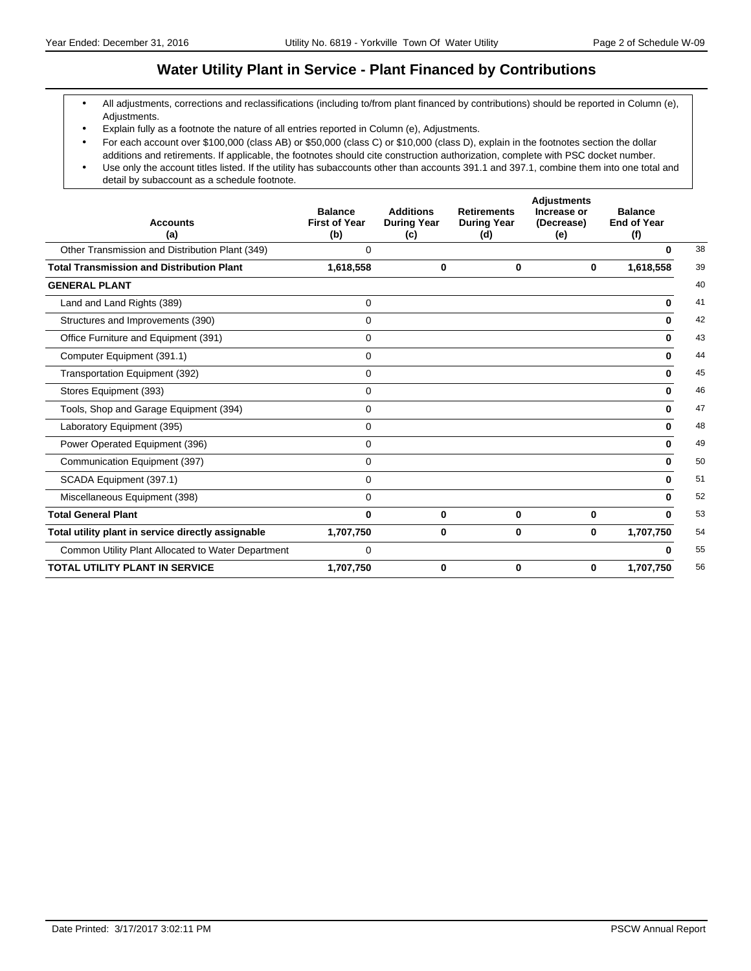### **Water Utility Plant in Service - Plant Financed by Contributions**

- All adjustments, corrections and reclassifications (including to/from plant financed by contributions) should be reported in Column (e), Adjustments.
- Explain fully as a footnote the nature of all entries reported in Column (e), Adjustments.
- For each account over \$100,000 (class AB) or \$50,000 (class C) or \$10,000 (class D), explain in the footnotes section the dollar additions and retirements. If applicable, the footnotes should cite construction authorization, complete with PSC docket number.
- Use only the account titles listed. If the utility has subaccounts other than accounts 391.1 and 397.1, combine them into one total and detail by subaccount as a schedule footnote.

| <b>Accounts</b><br>(a)                             | <b>Balance</b><br><b>First of Year</b><br>(b) | <b>Additions</b><br><b>During Year</b><br>(c) | <b>Retirements</b><br><b>During Year</b><br>(d) | <b>Adjustments</b><br>Increase or<br>(Decrease)<br>(e) | <b>Balance</b><br><b>End of Year</b><br>(f) |    |
|----------------------------------------------------|-----------------------------------------------|-----------------------------------------------|-------------------------------------------------|--------------------------------------------------------|---------------------------------------------|----|
| Other Transmission and Distribution Plant (349)    | 0                                             |                                               |                                                 |                                                        | <sup>0</sup>                                | 38 |
| <b>Total Transmission and Distribution Plant</b>   | 1,618,558                                     | 0                                             | 0                                               | 0                                                      | 1,618,558                                   | 39 |
| <b>GENERAL PLANT</b>                               |                                               |                                               |                                                 |                                                        |                                             | 40 |
| Land and Land Rights (389)                         | $\Omega$                                      |                                               |                                                 |                                                        | 0                                           | 41 |
| Structures and Improvements (390)                  | 0                                             |                                               |                                                 |                                                        | $\bf{0}$                                    | 42 |
| Office Furniture and Equipment (391)               | $\mathbf 0$                                   |                                               |                                                 |                                                        | 0                                           | 43 |
| Computer Equipment (391.1)                         | 0                                             |                                               |                                                 |                                                        | 0                                           | 44 |
| Transportation Equipment (392)                     | 0                                             |                                               |                                                 |                                                        | 0                                           | 45 |
| Stores Equipment (393)                             | $\mathbf 0$                                   |                                               |                                                 |                                                        | $\bf{0}$                                    | 46 |
| Tools, Shop and Garage Equipment (394)             | $\mathbf 0$                                   |                                               |                                                 |                                                        | $\bf{0}$                                    | 47 |
| Laboratory Equipment (395)                         | 0                                             |                                               |                                                 |                                                        | 0                                           | 48 |
| Power Operated Equipment (396)                     | 0                                             |                                               |                                                 |                                                        | 0                                           | 49 |
| Communication Equipment (397)                      | 0                                             |                                               |                                                 |                                                        | 0                                           | 50 |
| SCADA Equipment (397.1)                            | 0                                             |                                               |                                                 |                                                        | 0                                           | 51 |
| Miscellaneous Equipment (398)                      | 0                                             |                                               |                                                 |                                                        | 0                                           | 52 |
| <b>Total General Plant</b>                         | $\bf{0}$                                      | $\bf{0}$                                      | 0                                               | $\bf{0}$                                               | ŋ                                           | 53 |
| Total utility plant in service directly assignable | 1,707,750                                     | 0                                             | 0                                               | 0                                                      | 1,707,750                                   | 54 |
| Common Utility Plant Allocated to Water Department | $\mathbf 0$                                   |                                               |                                                 |                                                        |                                             | 55 |
| <b>TOTAL UTILITY PLANT IN SERVICE</b>              | 1,707,750                                     | $\bf{0}$                                      | 0                                               | 0                                                      | 1,707,750                                   | 56 |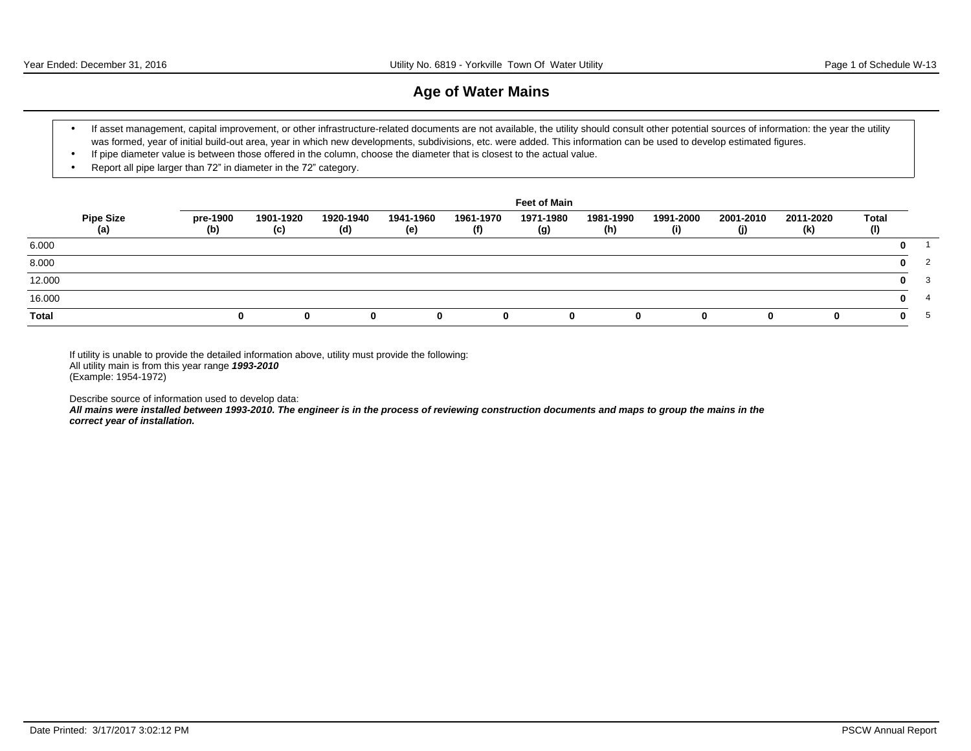# **Age of Water Mains**

- If asset management, capital improvement, or other infrastructure-related documents are not available, the utility should consult other potential sources of information: the year the utility was formed, year of initial build-out area, year in which new developments, subdivisions, etc. were added. This information can be used to develop estimated figures.
- If pipe diameter value is between those offered in the column, choose the diameter that is closest to the actual value.
- Report all pipe larger than 72" in diameter in the 72" category.

|              |                         |                 |                  |                  |                  |                  | <b>Feet of Main</b> |                  |                  |                  |                  |                     |              |     |
|--------------|-------------------------|-----------------|------------------|------------------|------------------|------------------|---------------------|------------------|------------------|------------------|------------------|---------------------|--------------|-----|
|              | <b>Pipe Size</b><br>(a) | pre-1900<br>(b) | 1901-1920<br>(c) | 1920-1940<br>(d) | 1941-1960<br>(e) | 1961-1970<br>(f) | 1971-1980<br>(g)    | 1981-1990<br>(h) | 1991-2000<br>(i) | 2001-2010<br>(j) | 2011-2020<br>(k) | <b>Total</b><br>(1) |              |     |
| 6.000        |                         |                 |                  |                  |                  |                  |                     |                  |                  |                  |                  |                     |              |     |
| 8.000        |                         |                 |                  |                  |                  |                  |                     |                  |                  |                  |                  |                     | 0            |     |
| 12.000       |                         |                 |                  |                  |                  |                  |                     |                  |                  |                  |                  |                     | $\mathbf{0}$ | - 3 |
| 16.000       |                         |                 |                  |                  |                  |                  |                     |                  |                  |                  |                  |                     | n.           |     |
| <b>Total</b> |                         |                 | n.               | $\bf{0}$         |                  | <sup>0</sup>     | $\mathbf{0}$        | 0                | <sup>0</sup>     |                  | 0                |                     | n.           |     |

If utility is unable to provide the detailed information above, utility must provide the following: All utility main is from this year range **1993-2010** (Example: 1954-1972)

Describe source of information used to develop data:

**All mains were installed between 1993-2010. The engineer is in the process of reviewing construction documents and maps to group the mains in the correct year of installation.**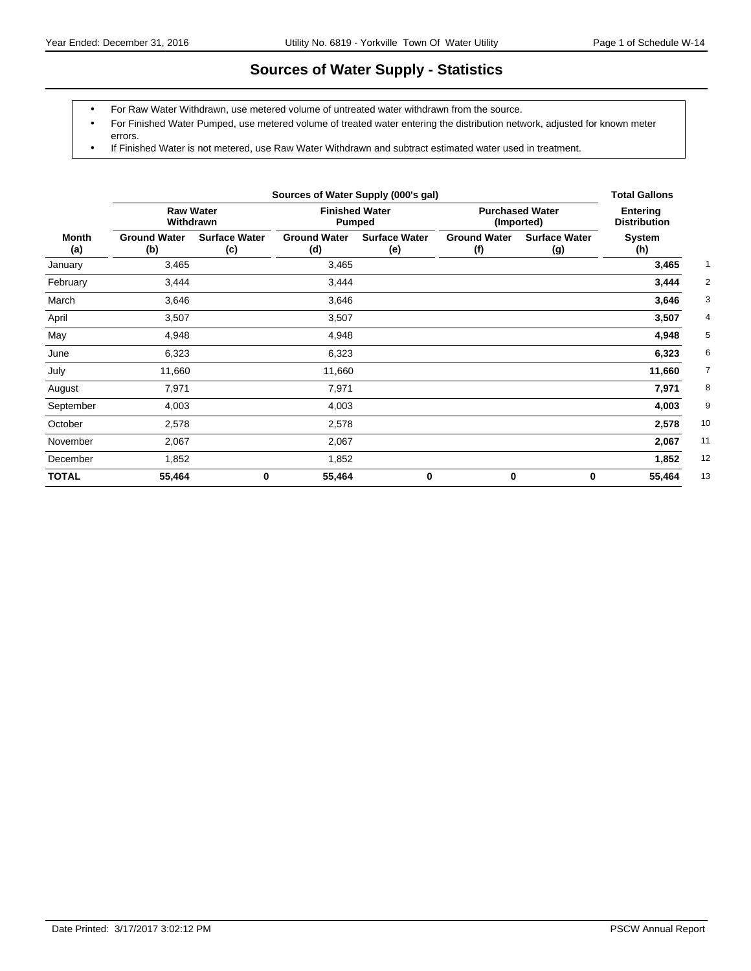# **Sources of Water Supply - Statistics**

- For Raw Water Withdrawn, use metered volume of untreated water withdrawn from the source.
- For Finished Water Pumped, use metered volume of treated water entering the distribution network, adjusted for known meter errors.
- If Finished Water is not metered, use Raw Water Withdrawn and subtract estimated water used in treatment.

|              |                               |                             | <b>Total Gallons</b>       |                             |                                      |                                        |               |
|--------------|-------------------------------|-----------------------------|----------------------------|-----------------------------|--------------------------------------|----------------------------------------|---------------|
|              | <b>Raw Water</b><br>Withdrawn |                             | <b>Pumped</b>              | <b>Finished Water</b>       | <b>Purchased Water</b><br>(Imported) | <b>Entering</b><br><b>Distribution</b> |               |
| Month<br>(a) | <b>Ground Water</b><br>(b)    | <b>Surface Water</b><br>(c) | <b>Ground Water</b><br>(d) | <b>Surface Water</b><br>(e) | <b>Ground Water</b><br>(f)           | <b>Surface Water</b><br>(g)            | System<br>(h) |
| January      | 3,465                         |                             | 3,465                      |                             |                                      |                                        | 3,465         |
| February     | 3,444                         |                             | 3,444                      |                             |                                      |                                        | 3,444         |
| March        | 3,646                         |                             | 3,646                      |                             |                                      |                                        | 3,646         |
| April        | 3,507                         |                             | 3,507                      |                             |                                      |                                        | 3,507         |
| May          | 4,948                         |                             | 4,948                      |                             |                                      |                                        | 4,948         |
| June         | 6,323                         |                             | 6,323                      |                             |                                      |                                        | 6,323         |
| July         | 11,660                        |                             | 11,660                     |                             |                                      |                                        | 11,660        |
| August       | 7,971                         |                             | 7,971                      |                             |                                      |                                        | 7,971         |
| September    | 4,003                         |                             | 4,003                      |                             |                                      |                                        | 4,003         |
| October      | 2,578                         |                             | 2,578                      |                             |                                      |                                        | 10<br>2,578   |
| November     | 2,067                         |                             | 2,067                      |                             |                                      |                                        | 11<br>2,067   |
| December     | 1,852                         |                             | 1,852                      |                             |                                      |                                        | 12<br>1,852   |
| <b>TOTAL</b> | 55,464                        | 0                           | 55,464                     | $\bf{0}$                    | 0                                    | 0                                      | 13<br>55,464  |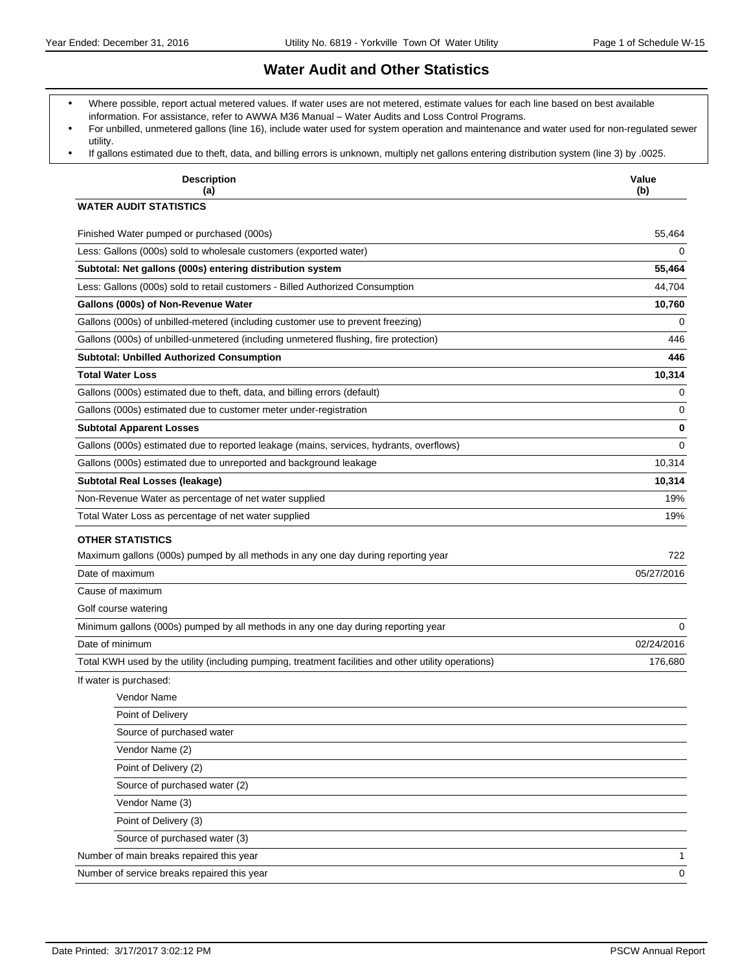# **Water Audit and Other Statistics**

- Where possible, report actual metered values. If water uses are not metered, estimate values for each line based on best available information. For assistance, refer to AWWA M36 Manual - Water Audits and Loss Control Programs.
- For unbilled, unmetered gallons (line 16), include water used for system operation and maintenance and water used for non-regulated sewer utility.
- If gallons estimated due to theft, data, and billing errors is unknown, multiply net gallons entering distribution system (line 3) by .0025.

| <b>Description</b><br>(a)                                                                            | Value<br>(b) |
|------------------------------------------------------------------------------------------------------|--------------|
| <b>WATER AUDIT STATISTICS</b>                                                                        |              |
| Finished Water pumped or purchased (000s)                                                            | 55,464       |
| Less: Gallons (000s) sold to wholesale customers (exported water)                                    | 0            |
| Subtotal: Net gallons (000s) entering distribution system                                            | 55,464       |
| Less: Gallons (000s) sold to retail customers - Billed Authorized Consumption                        | 44,704       |
| Gallons (000s) of Non-Revenue Water                                                                  | 10,760       |
| Gallons (000s) of unbilled-metered (including customer use to prevent freezing)                      | 0            |
| Gallons (000s) of unbilled-unmetered (including unmetered flushing, fire protection)                 | 446          |
| <b>Subtotal: Unbilled Authorized Consumption</b>                                                     | 446          |
| <b>Total Water Loss</b>                                                                              | 10,314       |
| Gallons (000s) estimated due to theft, data, and billing errors (default)                            | 0            |
| Gallons (000s) estimated due to customer meter under-registration                                    | 0            |
| <b>Subtotal Apparent Losses</b>                                                                      | 0            |
| Gallons (000s) estimated due to reported leakage (mains, services, hydrants, overflows)              | $\Omega$     |
| Gallons (000s) estimated due to unreported and background leakage                                    | 10,314       |
| Subtotal Real Losses (leakage)                                                                       | 10,314       |
| Non-Revenue Water as percentage of net water supplied                                                | 19%          |
| Total Water Loss as percentage of net water supplied                                                 | 19%          |
| <b>OTHER STATISTICS</b>                                                                              |              |
| Maximum gallons (000s) pumped by all methods in any one day during reporting year                    | 722          |
| Date of maximum                                                                                      | 05/27/2016   |
| Cause of maximum                                                                                     |              |
| Golf course watering                                                                                 |              |
| Minimum gallons (000s) pumped by all methods in any one day during reporting year                    | $\Omega$     |
| Date of minimum                                                                                      | 02/24/2016   |
| Total KWH used by the utility (including pumping, treatment facilities and other utility operations) | 176,680      |
| If water is purchased:                                                                               |              |
| Vendor Name                                                                                          |              |
| Point of Delivery                                                                                    |              |
| Source of purchased water                                                                            |              |
| Vendor Name (2)                                                                                      |              |
| Point of Delivery (2)                                                                                |              |
| Source of purchased water (2)                                                                        |              |
| Vendor Name (3)                                                                                      |              |
| Point of Delivery (3)                                                                                |              |
| Source of purchased water (3)                                                                        |              |
| Number of main breaks repaired this year                                                             | 1            |
| Number of service breaks repaired this year                                                          | 0            |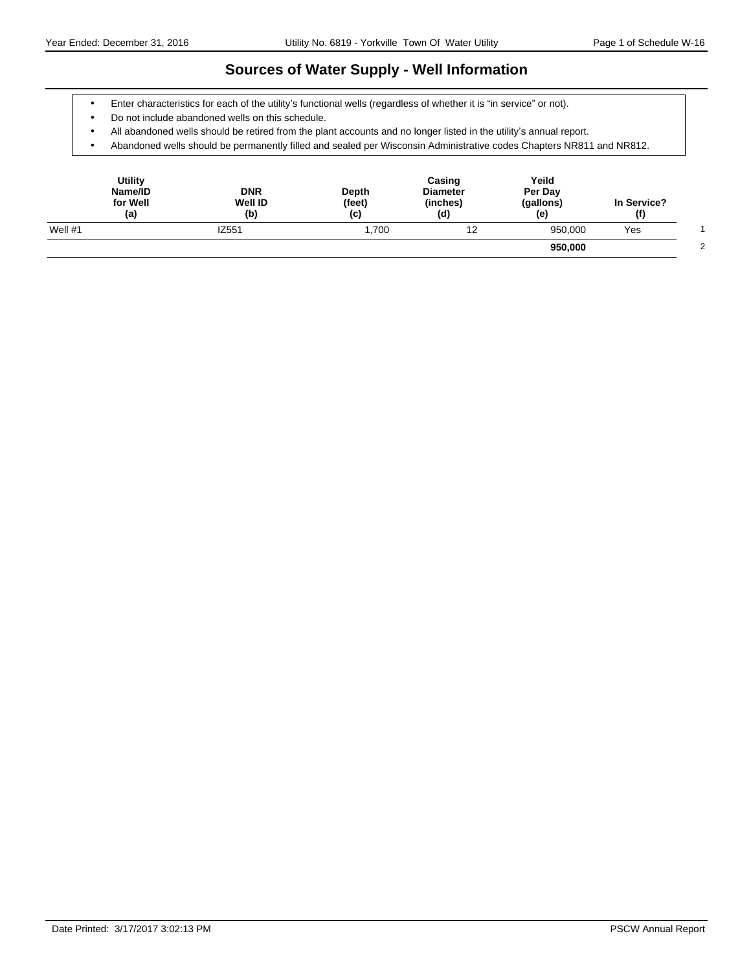# **Sources of Water Supply - Well Information**

- Enter characteristics for each of the utility's functional wells (regardless of whether it is "in service" or not).
- Do not include abandoned wells on this schedule.
- All abandoned wells should be retired from the plant accounts and no longer listed in the utility's annual report.
- Abandoned wells should be permanently filled and sealed per Wisconsin Administrative codes Chapters NR811 and NR812.

| <b>Utility</b><br>Name/ID<br>for Well<br>(a) | <b>DNR</b><br><b>Well ID</b><br>(b) | Depth<br>(feet)<br>(c) | Casing<br><b>Diameter</b><br>(inches)<br>(d) | Yeild<br>Per Day<br>(gallons)<br>(e, | In Service?<br>(f) |  |
|----------------------------------------------|-------------------------------------|------------------------|----------------------------------------------|--------------------------------------|--------------------|--|
| Well $#1$                                    | IZ551                               | 1.700                  | 12                                           | 950.000                              | Yes                |  |
|                                              |                                     |                        |                                              | 950,000                              |                    |  |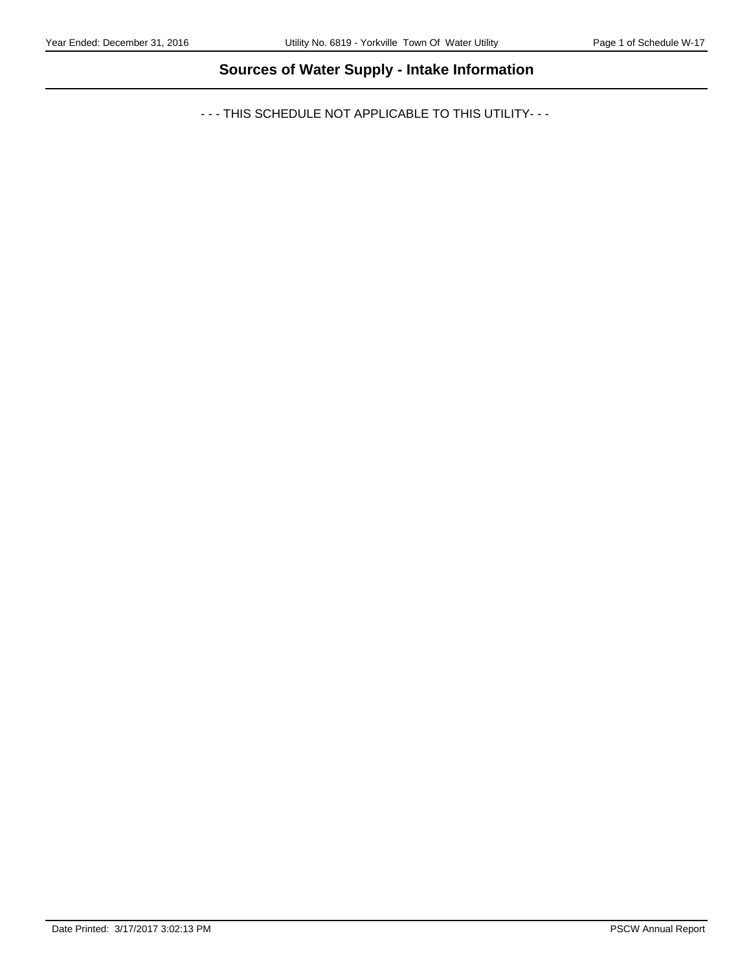# **Sources of Water Supply - Intake Information**

- - - THIS SCHEDULE NOT APPLICABLE TO THIS UTILITY- - -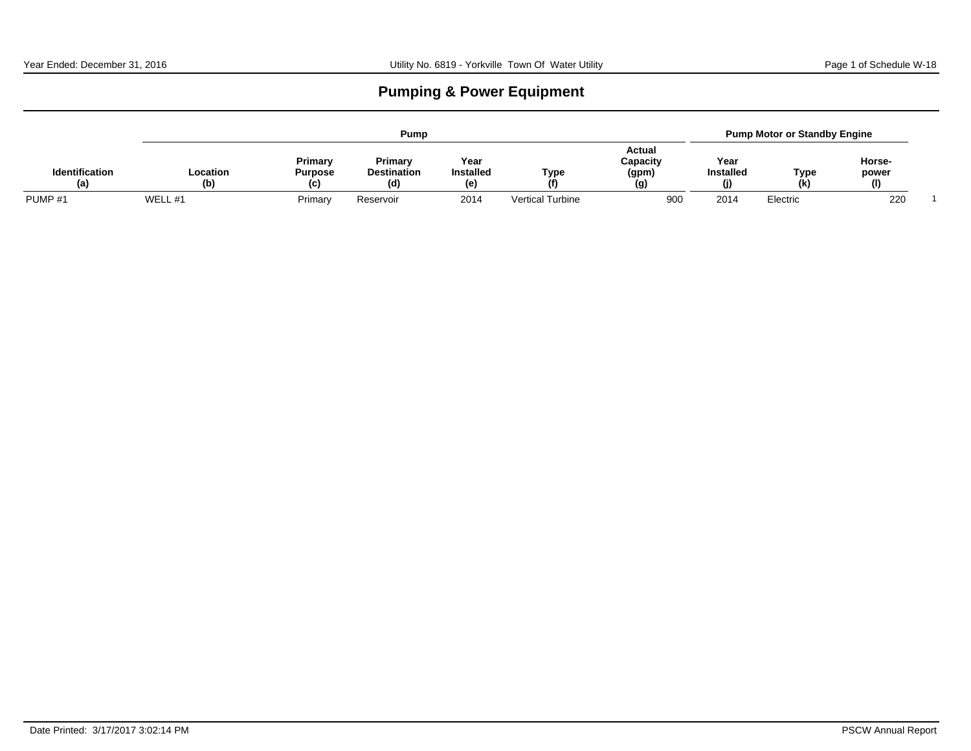# **Pumping & Power Equipment**

|                              |                 | Pump                             |                                      |                                |                         |                                    |                                 |            | <b>Pump Motor or Standby Engine</b> |  |  |  |  |
|------------------------------|-----------------|----------------------------------|--------------------------------------|--------------------------------|-------------------------|------------------------------------|---------------------------------|------------|-------------------------------------|--|--|--|--|
| <b>Identification</b><br>(a) | Location<br>(b) | Primary<br><b>Purpose</b><br>(C) | Primary<br><b>Destination</b><br>(d) | Year<br><b>Installed</b><br>(e | Type<br>(f)             | Actual<br>Capacity<br>(gpm)<br>(g) | Year<br><b>Installed</b><br>(j) | Type<br>(k | Horse-<br>power<br>(1)              |  |  |  |  |
| PUMP <sub>#1</sub>           | WELL #1         | Primary                          | Reservoir                            | 2014                           | <b>Vertical Turbine</b> | 900                                | 2014                            | Electric   | 220                                 |  |  |  |  |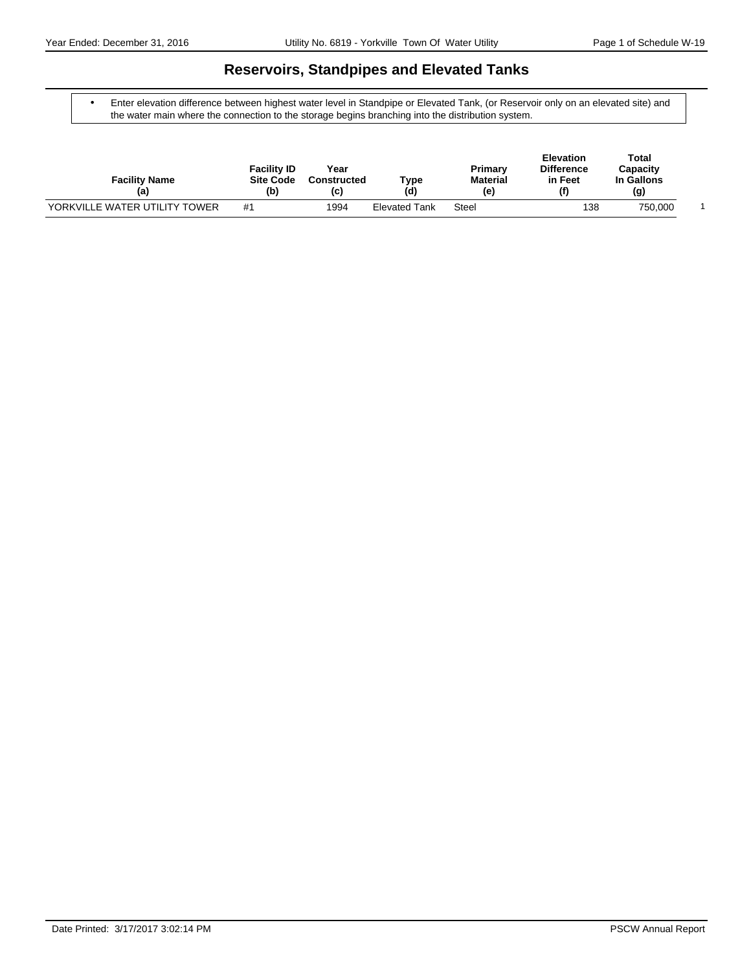# **Reservoirs, Standpipes and Elevated Tanks**

 Enter elevation difference between highest water level in Standpipe or Elevated Tank, (or Reservoir only on an elevated site) and the water main where the connection to the storage begins branching into the distribution system.

| <b>Facility Name</b><br>(a)   | <b>Facility ID</b><br><b>Site Code</b><br>(b) | Year<br><b>Constructed</b><br>(C) | Туре<br>(d)          | Primary<br><b>Material</b><br>(e) | <b>Elevation</b><br><b>Difference</b><br>in Feet<br>$\mathbf{f}$ | Total<br>Capacity<br>In Gallons<br>(g) |  |
|-------------------------------|-----------------------------------------------|-----------------------------------|----------------------|-----------------------------------|------------------------------------------------------------------|----------------------------------------|--|
| YORKVILLE WATER UTILITY TOWER | #1                                            | 1994                              | <b>Elevated Tank</b> | Steel                             | 138                                                              | 750,000                                |  |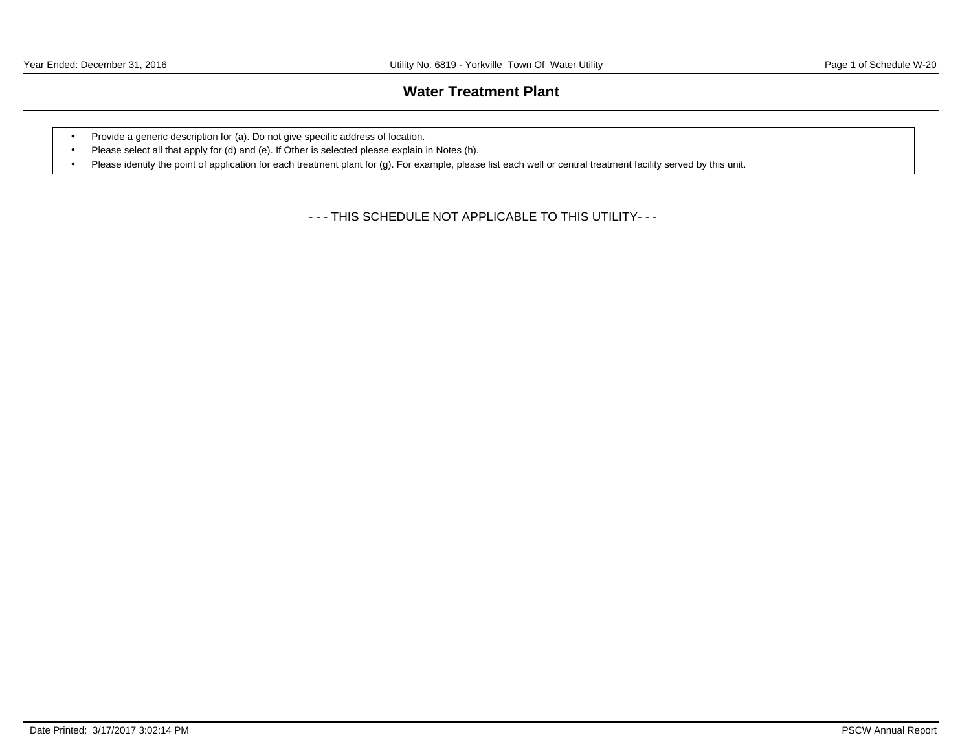# **Water Treatment Plant**

- Provide a generic description for (a). Do not give specific address of location.
- Please select all that apply for (d) and (e). If Other is selected please explain in Notes (h).
- Please identity the point of application for each treatment plant for (g). For example, please list each well or central treatment facility served by this unit.

- - - THIS SCHEDULE NOT APPLICABLE TO THIS UTILITY- - -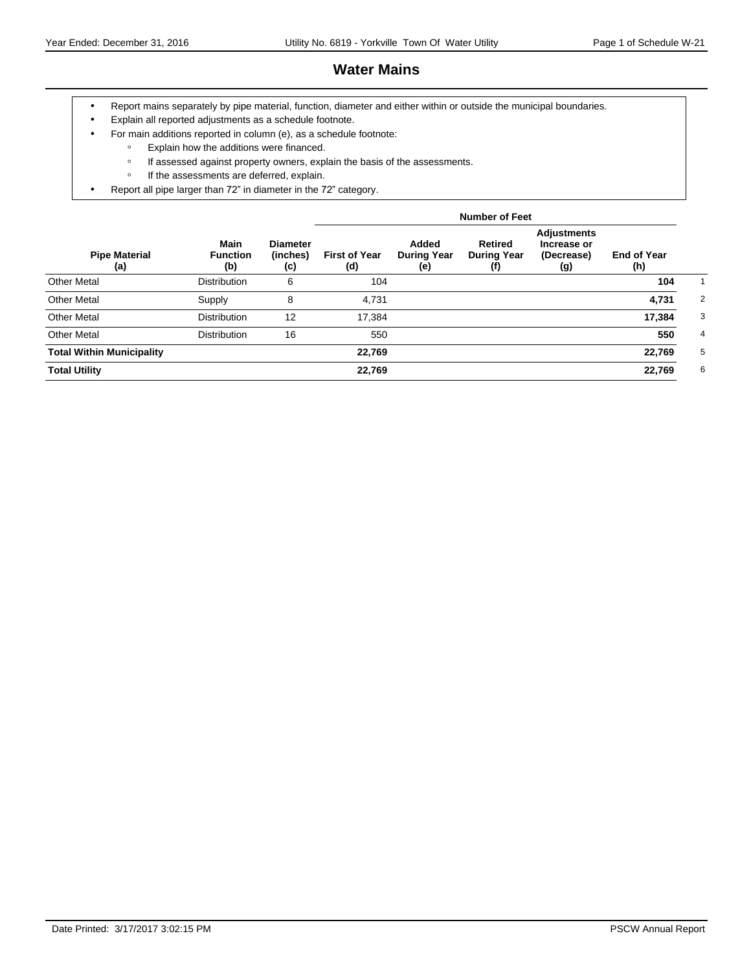# **Water Mains**

- Report mains separately by pipe material, function, diameter and either within or outside the municipal boundaries.
- Explain all reported adjustments as a schedule footnote.
- For main additions reported in column (e), as a schedule footnote:
	- ƕ Explain how the additions were financed.
	- o If assessed against property owners, explain the basis of the assessments.
	- If the assessments are deferred, explain.
- Report all pipe larger than 72" in diameter in the 72" category.

|                                  |                                       |                                    |                             |                                    | <b>Number of Feet</b>                       |                                                 |                           |                |
|----------------------------------|---------------------------------------|------------------------------------|-----------------------------|------------------------------------|---------------------------------------------|-------------------------------------------------|---------------------------|----------------|
| <b>Pipe Material</b><br>(a)      | <b>Main</b><br><b>Function</b><br>(b) | <b>Diameter</b><br>(inches)<br>(c) | <b>First of Year</b><br>(d) | Added<br><b>During Year</b><br>(e) | <b>Retired</b><br><b>During Year</b><br>(f) | Adjustments<br>Increase or<br>(Decrease)<br>(g) | <b>End of Year</b><br>(h) |                |
| <b>Other Metal</b>               | <b>Distribution</b>                   | 6                                  | 104                         |                                    |                                             |                                                 | 104                       |                |
| <b>Other Metal</b>               | Supply                                | 8                                  | 4,731                       |                                    |                                             |                                                 | 4,731                     | 2              |
| <b>Other Metal</b>               | <b>Distribution</b>                   | 12                                 | 17,384                      |                                    |                                             |                                                 | 17,384                    | 3              |
| <b>Other Metal</b>               | <b>Distribution</b>                   | 16                                 | 550                         |                                    |                                             |                                                 | 550                       | $\overline{4}$ |
| <b>Total Within Municipality</b> |                                       |                                    | 22,769                      |                                    |                                             |                                                 | 22,769                    | 5              |
| <b>Total Utility</b>             |                                       |                                    | 22,769                      |                                    |                                             |                                                 | 22,769                    | 6              |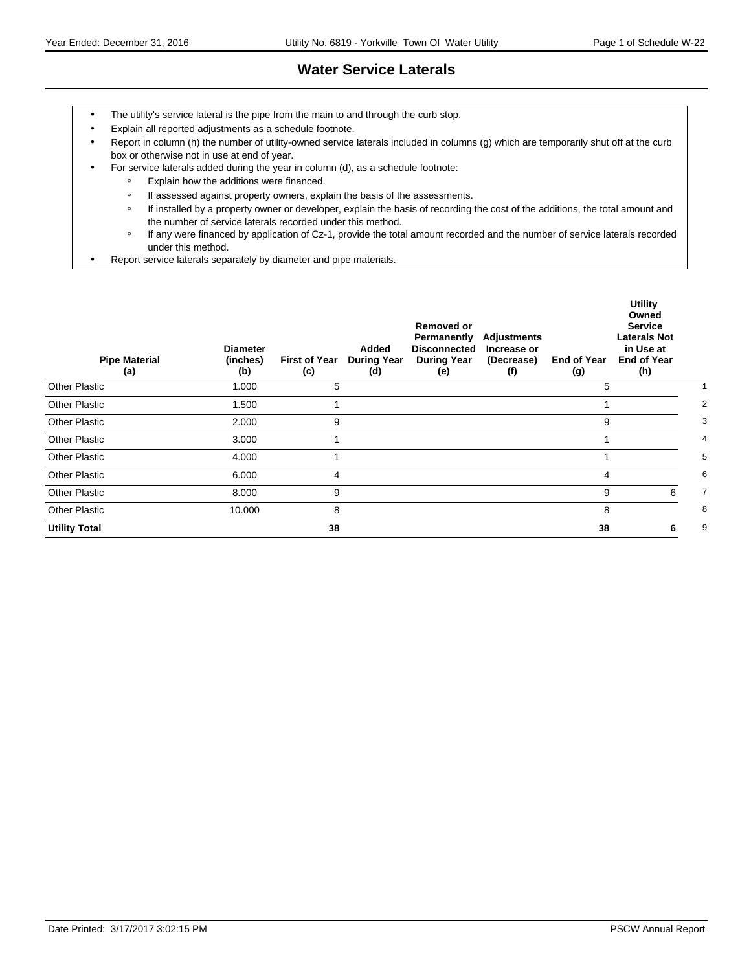# **Water Service Laterals**

- The utility's service lateral is the pipe from the main to and through the curb stop.
- Explain all reported adjustments as a schedule footnote.
- Report in column (h) the number of utility-owned service laterals included in columns (g) which are temporarily shut off at the curb box or otherwise not in use at end of year.
- For service laterals added during the year in column (d), as a schedule footnote:
	- ƕ Explain how the additions were financed.
	- o If assessed against property owners, explain the basis of the assessments.
	- o If installed by a property owner or developer, explain the basis of recording the cost of the additions, the total amount and the number of service laterals recorded under this method.
	- ƕ If any were financed by application of Cz-1, provide the total amount recorded and the number of service laterals recorded under this method.
- Report service laterals separately by diameter and pipe materials.

| <b>Pipe Material</b><br>(a) | <b>Diameter</b><br>(inches)<br>(b) | <b>First of Year</b><br>(c) | Added<br><b>During Year</b><br>(d) | <b>Removed or</b><br>Permanently<br><b>Disconnected</b><br><b>During Year</b><br>(e) | <b>Adjustments</b><br>Increase or<br>(Decrease)<br>(f) | <b>End of Year</b><br>(g) | <b>Utility</b><br>Owned<br><b>Service</b><br><b>Laterals Not</b><br>in Use at<br><b>End of Year</b><br>(h) |                |
|-----------------------------|------------------------------------|-----------------------------|------------------------------------|--------------------------------------------------------------------------------------|--------------------------------------------------------|---------------------------|------------------------------------------------------------------------------------------------------------|----------------|
| Other Plastic               | 1.000                              | 5                           |                                    |                                                                                      |                                                        | 5                         |                                                                                                            |                |
| <b>Other Plastic</b>        | 1.500                              | 1                           |                                    |                                                                                      |                                                        |                           |                                                                                                            | $\overline{2}$ |
| <b>Other Plastic</b>        | 2.000                              | 9                           |                                    |                                                                                      |                                                        | 9                         |                                                                                                            | 3              |
| <b>Other Plastic</b>        | 3.000                              | 1                           |                                    |                                                                                      |                                                        |                           |                                                                                                            |                |
| <b>Other Plastic</b>        | 4.000                              | 1                           |                                    |                                                                                      |                                                        |                           |                                                                                                            | 5              |
| <b>Other Plastic</b>        | 6.000                              | 4                           |                                    |                                                                                      |                                                        | 4                         |                                                                                                            | 6              |
| <b>Other Plastic</b>        | 8.000                              | 9                           |                                    |                                                                                      |                                                        | 9                         | 6                                                                                                          | 7              |
| <b>Other Plastic</b>        | 10.000                             | 8                           |                                    |                                                                                      |                                                        | 8                         |                                                                                                            | 8              |
| <b>Utility Total</b>        |                                    | 38                          |                                    |                                                                                      |                                                        | 38                        | 6                                                                                                          | 9              |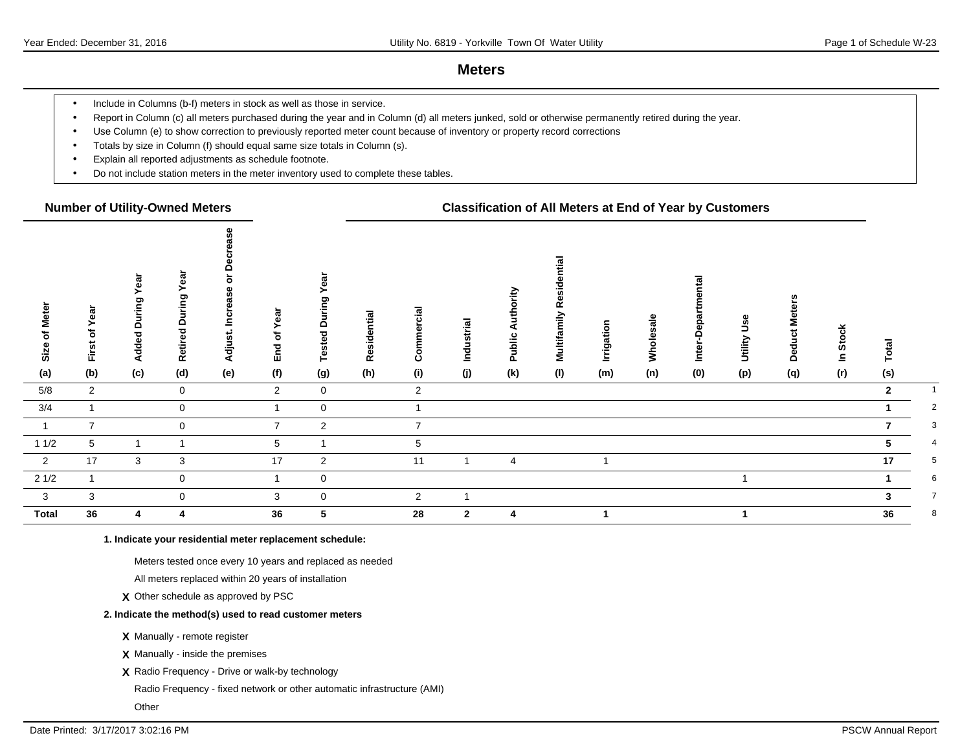### **Meters**

- Include in Columns (b-f) meters in stock as well as those in service.
- Report in Column (c) all meters purchased during the year and in Column (d) all meters junked, sold or otherwise permanently retired during the year.
- Use Column (e) to show correction to previously reported meter count because of inventory or property record corrections
- Totals by size in Column (f) should equal same size totals in Column (s).
- Explain all reported adjustments as schedule footnote.
- Do not include station meters in the meter inventory used to complete these tables.

### **Number of Utility-Owned Meters Classification of All Meters at End of Year by Customers**

| <b>Meter</b><br>৳<br>Size | Year<br>First of | ea<br>≻<br>During<br><b>Added</b> | ear<br>ring<br>$\Omega$<br>Ѣ<br>Retire | $\circ$<br>ω<br>Ø,<br>ပ<br>ڲ<br>Adjust. | ear<br>৳<br><b>End</b> | ඕ<br>ဥ<br>τ<br>≏<br>Tested | Residential | Commercial     | Industrial     | o<br>Public | lial<br>esid<br>Multifamily R | Irrigation | Wholesale | ൦<br>ω<br>≏<br>Inter-l | Jse<br>Utility | Mete<br>پ<br>Deduct | <b>Stock</b><br>Ξ | $\overline{a}$ |                |
|---------------------------|------------------|-----------------------------------|----------------------------------------|-----------------------------------------|------------------------|----------------------------|-------------|----------------|----------------|-------------|-------------------------------|------------|-----------|------------------------|----------------|---------------------|-------------------|----------------|----------------|
| (a)                       | (b)              | (c)                               | (d)                                    | (e)                                     | (f)                    | (g)                        | (h)         | (i)            | (j)            | (k)         | (1)                           | (m)        | (n)       | (0)                    | (p)            | (q)                 | (r)               | (s)            |                |
| 5/8                       | $\overline{2}$   |                                   | $\mathbf 0$                            |                                         | $\overline{2}$         | $\overline{0}$             |             | $\overline{2}$ |                |             |                               |            |           |                        |                |                     |                   | $\overline{2}$ |                |
| 3/4                       |                  |                                   | $\mathbf 0$                            |                                         |                        | $\mathbf 0$                |             | 1              |                |             |                               |            |           |                        |                |                     |                   |                | 2              |
| $\overline{1}$            | $\overline{7}$   |                                   | $\mathbf 0$                            |                                         | $\overline{7}$         | $\overline{2}$             |             | $\overline{7}$ |                |             |                               |            |           |                        |                |                     |                   |                | 3              |
| 11/2                      | 5                |                                   | 1                                      |                                         | 5                      | -1                         |             | 5              |                |             |                               |            |           |                        |                |                     |                   | 5.             | $\overline{4}$ |
| $\overline{\mathbf{2}}$   | 17               | 3                                 | 3                                      |                                         | 17                     | $\overline{2}$             |             | 11             | 1              | 4           |                               |            |           |                        |                |                     |                   | 17             | 5              |
| 21/2                      |                  |                                   | $\mathbf 0$                            |                                         |                        | $\overline{0}$             |             |                |                |             |                               |            |           |                        |                |                     |                   |                | 6              |
| $\overline{\mathbf{3}}$   | 3                |                                   | $\mathbf 0$                            |                                         | 3                      | $\mathbf 0$                |             | $\overline{2}$ | -1             |             |                               |            |           |                        |                |                     |                   | 3              | $\overline{7}$ |
| <b>Total</b>              | 36               | 4                                 | 4                                      |                                         | 36                     | 5                          |             | 28             | $\overline{2}$ | 4           |                               |            |           |                        |                |                     |                   | 36             | 8              |

**1. Indicate your residential meter replacement schedule:**

Meters tested once every 10 years and replaced as needed

All meters replaced within 20 years of installation

**X** Other schedule as approved by PSC

#### **2. Indicate the method(s) used to read customer meters**

**X** Manually - remote register

**X** Manually - inside the premises

**X** Radio Frequency - Drive or walk-by technology

Radio Frequency - fixed network or other automatic infrastructure (AMI)

**Other**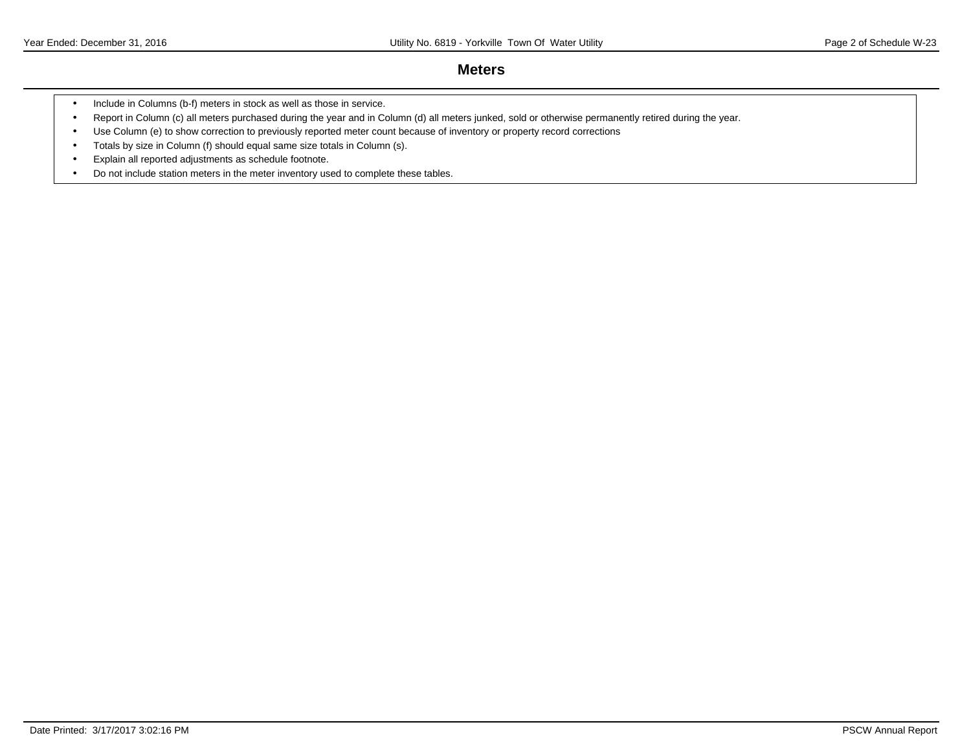### **Meters**

- Include in Columns (b-f) meters in stock as well as those in service.
- Report in Column (c) all meters purchased during the year and in Column (d) all meters junked, sold or otherwise permanently retired during the year.
- Use Column (e) to show correction to previously reported meter count because of inventory or property record corrections
- Totals by size in Column (f) should equal same size totals in Column (s).
- Explain all reported adjustments as schedule footnote.
- Do not include station meters in the meter inventory used to complete these tables.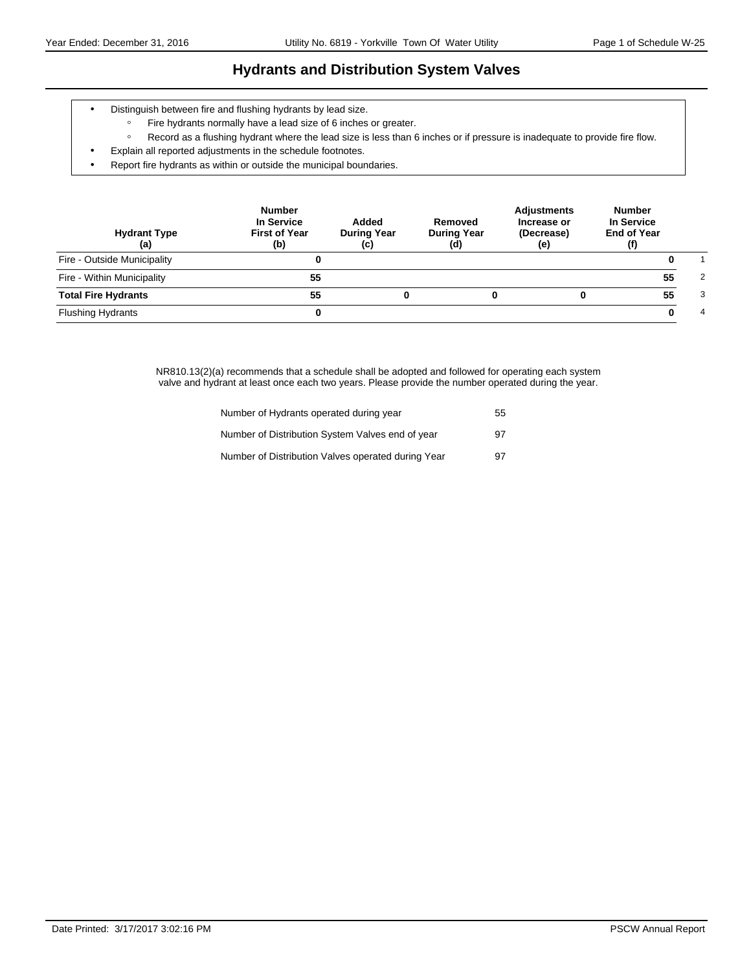# **Hydrants and Distribution System Valves**

- Distinguish between fire and flushing hydrants by lead size.
	- ƕ Fire hydrants normally have a lead size of 6 inches or greater.
	- ƕ Record as a flushing hydrant where the lead size is less than 6 inches or if pressure is inadequate to provide fire flow.
- Explain all reported adjustments in the schedule footnotes.
- Report fire hydrants as within or outside the municipal boundaries.

| <b>Hydrant Type</b><br>(a)  | <b>Number</b><br>In Service<br><b>First of Year</b><br>(b) | Added<br><b>During Year</b><br>(c) | Removed<br><b>During Year</b><br>(d) | <b>Adjustments</b><br>Increase or<br>(Decrease)<br>(e) | <b>Number</b><br>In Service<br><b>End of Year</b><br>(f) |   |
|-----------------------------|------------------------------------------------------------|------------------------------------|--------------------------------------|--------------------------------------------------------|----------------------------------------------------------|---|
| Fire - Outside Municipality |                                                            |                                    |                                      |                                                        |                                                          |   |
| Fire - Within Municipality  | 55                                                         |                                    |                                      |                                                        | 55                                                       | 2 |
| <b>Total Fire Hydrants</b>  | 55                                                         | 0                                  |                                      |                                                        | 55                                                       | 3 |
| <b>Flushing Hydrants</b>    |                                                            |                                    |                                      |                                                        |                                                          | 4 |

NR810.13(2)(a) recommends that a schedule shall be adopted and followed for operating each system valve and hydrant at least once each two years. Please provide the number operated during the year.

| Number of Hydrants operated during year            | 55 |
|----------------------------------------------------|----|
| Number of Distribution System Valves end of year   | 97 |
| Number of Distribution Valves operated during Year | 97 |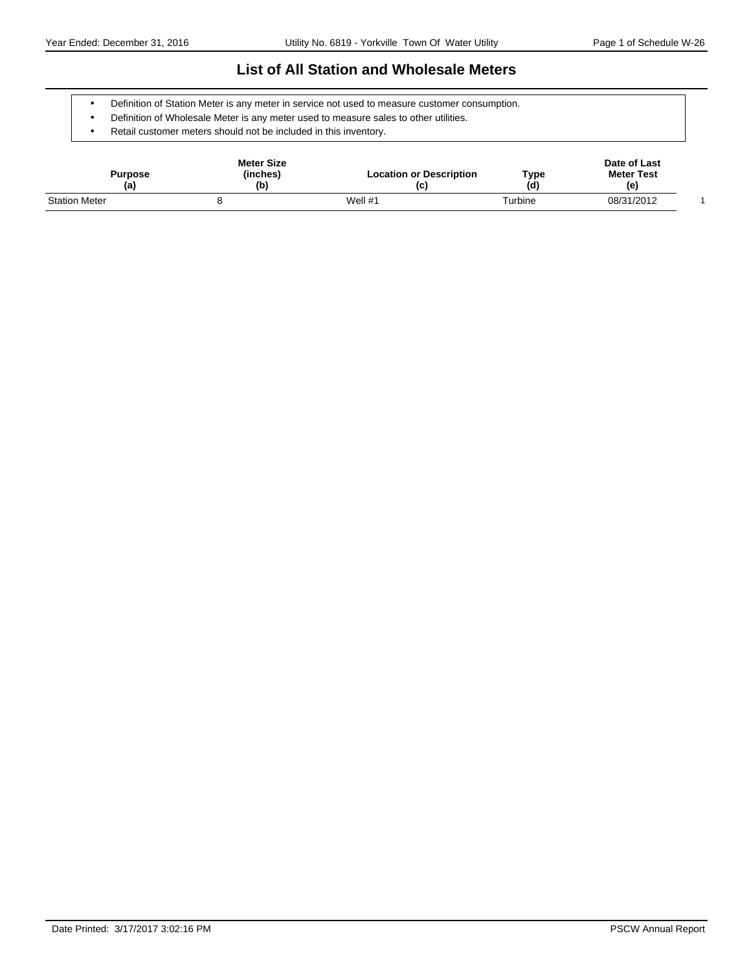### **List of All Station and Wholesale Meters**

- Definition of Station Meter is any meter in service not used to measure customer consumption.
- Definition of Wholesale Meter is any meter used to measure sales to other utilities.
- Retail customer meters should not be included in this inventory.

| Purpose<br>(a)       | <b>Meter Size</b><br>(inches)<br>(b) | <b>Location or Description</b><br>(c) | Type<br>(d) | Date of Last<br><b>Meter Test</b><br>(e) |  |
|----------------------|--------------------------------------|---------------------------------------|-------------|------------------------------------------|--|
| <b>Station Meter</b> |                                      | Well $#1$                             | Turbine     | 08/31/2012                               |  |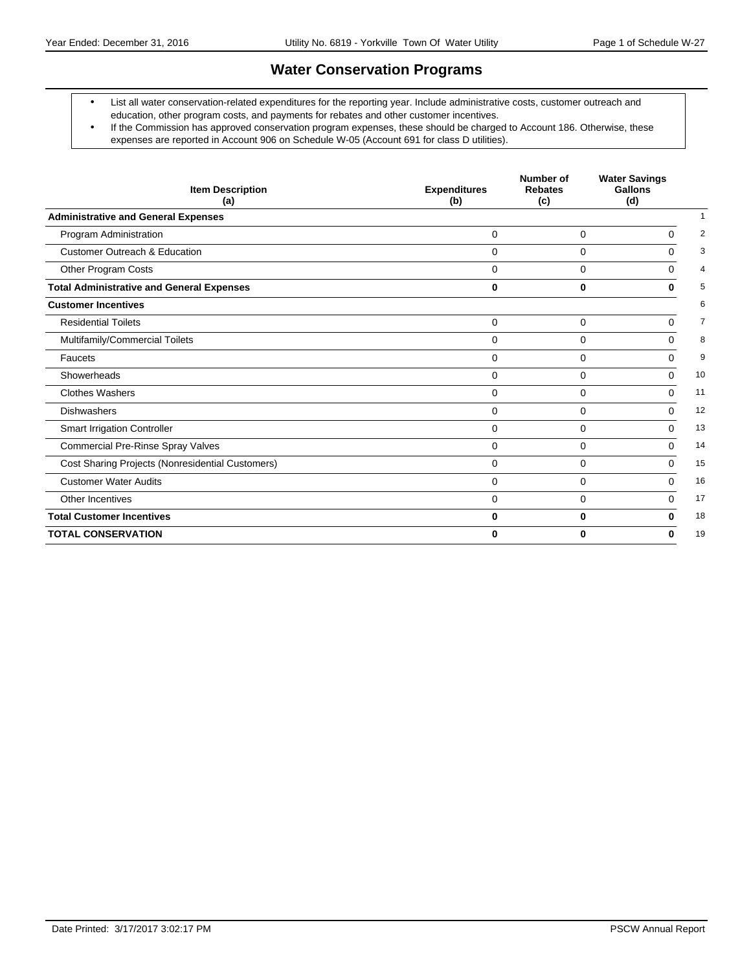# **Water Conservation Programs**

- List all water conservation-related expenditures for the reporting year. Include administrative costs, customer outreach and education, other program costs, and payments for rebates and other customer incentives.
- If the Commission has approved conservation program expenses, these should be charged to Account 186. Otherwise, these expenses are reported in Account 906 on Schedule W-05 (Account 691 for class D utilities).

| <b>Item Description</b><br>(a)                   | <b>Expenditures</b><br>(b) | Number of<br><b>Rebates</b><br>(c) | <b>Water Savings</b><br>Gallons<br>(d) |                |
|--------------------------------------------------|----------------------------|------------------------------------|----------------------------------------|----------------|
| <b>Administrative and General Expenses</b>       |                            |                                    |                                        |                |
| Program Administration                           | $\Omega$                   | 0                                  | 0                                      | 2              |
| <b>Customer Outreach &amp; Education</b>         | $\Omega$                   | $\mathbf 0$                        | 0                                      | 3              |
| Other Program Costs                              | $\Omega$                   | $\Omega$                           | $\Omega$                               | 4              |
| <b>Total Administrative and General Expenses</b> | $\bf{0}$                   | $\bf{0}$                           | 0                                      | 5              |
| <b>Customer Incentives</b>                       |                            |                                    |                                        | 6              |
| <b>Residential Toilets</b>                       | $\mathbf 0$                | $\mathbf 0$                        | 0                                      | $\overline{7}$ |
| Multifamily/Commercial Toilets                   | $\Omega$                   | $\mathbf 0$                        | $\Omega$                               | 8              |
| Faucets                                          | $\Omega$                   | $\Omega$                           | $\Omega$                               | 9              |
| Showerheads                                      | $\Omega$                   | $\Omega$                           | $\Omega$                               | 10             |
| <b>Clothes Washers</b>                           | $\Omega$                   | 0                                  | $\Omega$                               | 11             |
| <b>Dishwashers</b>                               | $\mathbf 0$                | $\mathbf 0$                        | $\Omega$                               | 12             |
| <b>Smart Irrigation Controller</b>               | 0                          | 0                                  | 0                                      | 13             |
| <b>Commercial Pre-Rinse Spray Valves</b>         | $\Omega$                   | $\Omega$                           | $\Omega$                               | 14             |
| Cost Sharing Projects (Nonresidential Customers) | $\Omega$                   | $\mathbf 0$                        | $\Omega$                               | 15             |
| <b>Customer Water Audits</b>                     | $\Omega$                   | 0                                  | $\Omega$                               | 16             |
| Other Incentives                                 | $\mathbf 0$                | $\mathbf 0$                        | 0                                      | 17             |
| <b>Total Customer Incentives</b>                 | 0                          | 0                                  | 0                                      | 18             |
| <b>TOTAL CONSERVATION</b>                        | 0                          | 0                                  | 0                                      | 19             |